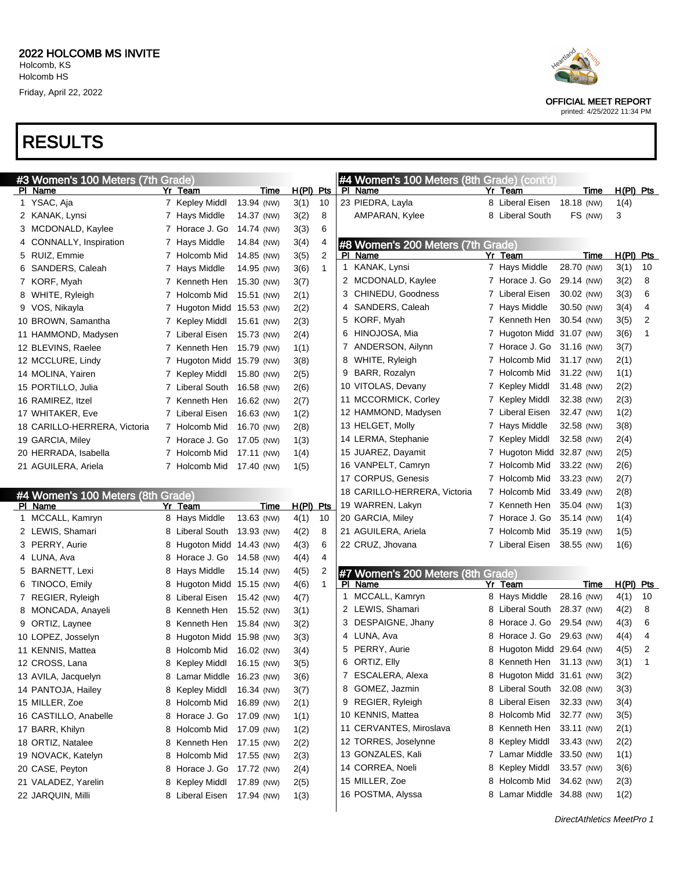|    | #3 Women's 100 Meters (7th Grade) |   |                     |            |              |     |
|----|-----------------------------------|---|---------------------|------------|--------------|-----|
| PI | Name                              |   | Yr Team             | Time       | <u>H(PI)</u> | Pts |
| 1  | YSAC, Aja                         | 7 | Kepley Middl        | 13.94 (NW) | 3(1)         | 10  |
| 2  | KANAK, Lynsi                      | 7 | Hays Middle         | 14.37 (NW) | 3(2)         | 8   |
| 3  | MCDONALD, Kaylee                  | 7 | Horace J. Go        | 14.74 (NW) | 3(3)         | 6   |
| 4  | CONNALLY, Inspiration             | 7 | Hays Middle         | 14.84 (NW) | 3(4)         | 4   |
| 5  | RUIZ, Emmie                       | 7 | Holcomb Mid         | 14.85 (NW) | 3(5)         | 2   |
| 6  | SANDERS, Caleah                   | 7 | Hays Middle         | 14.95 (NW) | 3(6)         | 1   |
| 7  | KORF, Myah                        | 7 | Kenneth Hen         | 15.30 (NW) | 3(7)         |     |
| 8  | WHITE, Ryleigh                    | 7 | Holcomb Mid         | 15.51 (NW) | 2(1)         |     |
| 9  | VOS, Nikayla                      | 7 | Hugoton Midd        | 15.53 (NW) | 2(2)         |     |
|    | 10 BROWN, Samantha                | 7 | Kepley Middl        | 15.61 (NW) | 2(3)         |     |
|    | 11 HAMMOND, Madysen               | 7 | Liberal Eisen       | 15.73 (NW) | 2(4)         |     |
|    | 12 BLEVINS, Raelee                | 7 | Kenneth Hen         | 15.79 (NW) | 1(1)         |     |
|    | 12 MCCLURE, Lindy                 | 7 | <b>Hugoton Midd</b> | 15.79 (NW) | 3(8)         |     |
|    | 14 MOLINA, Yairen                 | 7 | Kepley Middl        | 15.80 (NW) | 2(5)         |     |
|    | 15 PORTILLO, Julia                | 7 | Liberal South       | 16.58 (NW) | 2(6)         |     |
|    | 16 RAMIREZ, Itzel                 |   | 7 Kenneth Hen       | 16.62 (NW) | 2(7)         |     |
|    | 17 WHITAKER, Eve                  | 7 | Liberal Eisen       | 16.63 (NW) | 1(2)         |     |
|    | 18 CARILLO-HERRERA, Victoria      | 7 | Holcomb Mid         | 16.70 (NW) | 2(8)         |     |
|    | 19 GARCIA, Miley                  | 7 | Horace J. Go        | 17.05 (NW) | 1(3)         |     |
|    | 20 HERRADA, Isabella              | 7 | Holcomb Mid         | 17.11 (NW) | 1(4)         |     |
|    | 21 AGUILERA, Ariela               | 7 | Holcomb Mid         | 17.40 (NW) | 1(5)         |     |
|    |                                   |   |                     |            |              |     |

#### #4 Women's 100 Meters (8th Grade)

| PI | Name                  | Yr | Team          | Time       | H(PI) | <b>Pts</b> |
|----|-----------------------|----|---------------|------------|-------|------------|
| 1  | MCCALL, Kamryn        | 8  | Hays Middle   | 13.63 (NW) | 4(1)  | 10         |
| 2  | LEWIS, Shamari        | 8  | Liberal South | 13.93 (NW) | 4(2)  | 8          |
| 3  | PERRY, Aurie          | 8  | Hugoton Midd  | 14.43 (NW) | 4(3)  | 6          |
| 4  | LUNA, Ava             | 8  | Horace J. Go  | 14.58 (NW) | 4(4)  | 4          |
| 5  | <b>BARNETT, Lexi</b>  | 8  | Hays Middle   | 15.14 (NW) | 4(5)  | 2          |
| 6  | TINOCO, Emily         | 8  | Hugoton Midd  | 15.15 (NW) | 4(6)  | 1          |
| 7  | REGIER, Ryleigh       | 8  | Liberal Eisen | 15.42 (NW) | 4(7)  |            |
| 8  | MONCADA, Anayeli      | 8  | Kenneth Hen   | 15.52 (NW) | 3(1)  |            |
| 9  | ORTIZ, Laynee         | 8  | Kenneth Hen   | 15.84 (NW) | 3(2)  |            |
|    | 10 LOPEZ, Josselyn    | 8  | Hugoton Midd  | 15.98 (NW) | 3(3)  |            |
|    | 11 KENNIS, Mattea     | 8  | Holcomb Mid   | 16.02 (NW) | 3(4)  |            |
|    | 12 CROSS, Lana        | 8  | Kepley Middl  | 16.15 (NW) | 3(5)  |            |
|    | 13 AVILA, Jacquelyn   | 8  | Lamar Middle  | 16.23 (NW) | 3(6)  |            |
|    | 14 PANTOJA, Hailey    | 8  | Kepley Middl  | 16.34 (NW) | 3(7)  |            |
|    | 15 MILLER, Zoe        | 8  | Holcomb Mid   | 16.89 (NW) | 2(1)  |            |
|    | 16 CASTILLO, Anabelle | 8  | Horace J. Go  | 17.09 (NW) | 1(1)  |            |
|    | 17 BARR, Khilyn       | 8  | Holcomb Mid   | 17.09 (NW) | 1(2)  |            |
|    | 18 ORTIZ, Natalee     | 8  | Kenneth Hen   | 17.15 (NW) | 2(2)  |            |
|    | 19 NOVACK, Katelyn    | 8  | Holcomb Mid   | 17.55 (NW) | 2(3)  |            |
|    | 20 CASE, Peyton       | 8  | Horace J. Go  | 17.72 (NW) | 2(4)  |            |
|    | 21 VALADEZ, Yarelin   | 8  | Kepley Middl  | 17.89 (NW) | 2(5)  |            |
|    | 22 JARQUIN, Milli     | 8  | Liberal Eisen | 17.94 (NW) | 1(3)  |            |
|    |                       |    |               |            |       |            |

|   | #4 Women's 100 Meters (8th Grade) (cont'd)<br>PI Name | Yr             | Team                      | Time        | $H(PI)$ Pts      |    |
|---|-------------------------------------------------------|----------------|---------------------------|-------------|------------------|----|
|   | 23 PIEDRA, Layla                                      |                | 8 Liberal Eisen           | 18.18 (NW)  | 1(4)             |    |
|   | AMPARAN, Kylee                                        | 8              | Liberal South             | FS (NW)     | 3                |    |
|   |                                                       |                |                           |             |                  |    |
|   | #8 Women's 200 Meters (7th Grade)<br>PI Name          |                | Yr Team                   | <b>Time</b> | <u>H(PI) Pts</u> |    |
|   | 1 KANAK, Lynsi                                        | 7              | Hays Middle               | 28.70 (NW)  | 3(1)             | 10 |
|   | 2 MCDONALD, Kaylee                                    |                | 7 Horace J. Go            | 29.14 (NW)  | 3(2)             | 8  |
| 3 | CHINEDU, Goodness                                     |                | 7 Liberal Eisen           | 30.02 (NW)  | 3(3)             | 6  |
| 4 | SANDERS, Caleah                                       |                | 7 Hays Middle             | 30.50 (NW)  | 3(4)             | 4  |
|   | 5 KORF, Myah                                          |                | 7 Kenneth Hen             | 30.54 (NW)  | 3(5)             | 2  |
|   | 6 HINOJOSA, Mia                                       | $\overline{7}$ | Hugoton Midd 31.07 (NW)   |             | 3(6)             | 1  |
| 7 | ANDERSON, Ailynn                                      |                | 7 Horace J. Go            | 31.16 (NW)  | 3(7)             |    |
|   | 8 WHITE, Ryleigh                                      | 7              | Holcomb Mid               | 31.17 (NW)  | 2(1)             |    |
|   | 9 BARR, Rozalyn                                       |                | 7 Holcomb Mid             | 31.22 (NW)  | 1(1)             |    |
|   | 10 VITOLAS, Devany                                    | $\mathbf{7}$   | Kepley Middl              | 31.48 (NW)  | 2(2)             |    |
|   | 11 MCCORMICK, Corley                                  |                | 7 Kepley Middl            | 32.38 (NW)  | 2(3)             |    |
|   | 12 HAMMOND, Madysen                                   |                | 7 Liberal Eisen           | 32.47 (NW)  | 1(2)             |    |
|   | 13 HELGET, Molly                                      |                | 7 Hays Middle             | 32.58 (NW)  | 3(8)             |    |
|   | 14 LERMA, Stephanie                                   | $\overline{7}$ | Kepley Middl              | 32.58 (NW)  | 2(4)             |    |
|   | 15 JUAREZ, Dayamit                                    |                | 7 Hugoton Midd            | 32.87 (NW)  | 2(5)             |    |
|   | 16 VANPELT, Camryn                                    | 7              | Holcomb Mid               | 33.22 (NW)  | 2(6)             |    |
|   | 17 CORPUS, Genesis                                    |                | 7 Holcomb Mid             | 33.23 (NW)  | 2(7)             |    |
|   | 18 CARILLO-HERRERA, Victoria                          |                | 7 Holcomb Mid             | 33.49 (NW)  | 2(8)             |    |
|   | 19 WARREN, Lakyn                                      |                | 7 Kenneth Hen             | 35.04 (NW)  | 1(3)             |    |
|   | 20 GARCIA, Miley                                      | 7              | Horace J. Go              | 35.14 (NW)  | 1(4)             |    |
|   | 21 AGUILERA, Ariela                                   | $\overline{7}$ | Holcomb Mid               | 35.19 (NW)  | 1(5)             |    |
|   | 22 CRUZ, Jhovana                                      | 7              | Liberal Eisen             | 38.55 (NW)  | 1(6)             |    |
|   | #7 Women's 200 Meters (8th Grade)                     |                |                           |             |                  |    |
|   | PI Name                                               | Yr             | Team                      | Time        | $H(PI)$ Pts      |    |
| 1 | MCCALL, Kamryn                                        |                | 8 Hays Middle             | 28.16 (NW)  | 4(1)             | 10 |
|   | 2 LEWIS, Shamari                                      |                | 8 Liberal South           | 28.37 (NW)  | 4(2)             | 8  |
| 3 | DESPAIGNE, Jhany                                      |                | 8 Horace J. Go            | 29.54 (NW)  | 4(3)             | 6  |
| 4 | LUNA, Ava                                             |                | 8 Horace J. Go            | 29.63 (NW)  | 4(4)             | 4  |
| 5 | PERRY, Aurie                                          |                | 8 Hugoton Midd            | 29.64 (NW)  | 4(5)             | 2  |
| 6 | ORTIZ, Elly                                           |                | 8 Kenneth Hen             | 31.13 (NW)  | 3(1)             | 1  |
| 7 | ESCALERA, Alexa                                       |                | 8 Hugoton Midd 31.61 (NW) |             | 3(2)             |    |
| 8 | GOMEZ, Jazmin                                         | 8              | Liberal South             | 32.08 (NW)  | 3(3)             |    |
| 9 | REGIER, Ryleigh                                       | 8              | Liberal Eisen             | 32.33 (NW)  | 3(4)             |    |

 KENNIS, Mattea 8 Holcomb Mid 32.77 (NW) 3(5) CERVANTES, Miroslava 8 Kenneth Hen 33.11 (NW) 2(1) 12 TORRES, Joselynne 8 Kepley Middl 33.43 (NW) 2(2) 13 GONZALES, Kali 7 Lamar Middle 33.50 (NW) 1(1) CORREA, Noeli 8 Kepley Middl 33.57 (NW) 3(6) MILLER, Zoe 8 Holcomb Mid 34.62 (NW) 2(3) 16 POSTMA, Alyssa 8 Lamar Middle 34.88 (NW) 1(2)



OFFICIAL MEET REPORT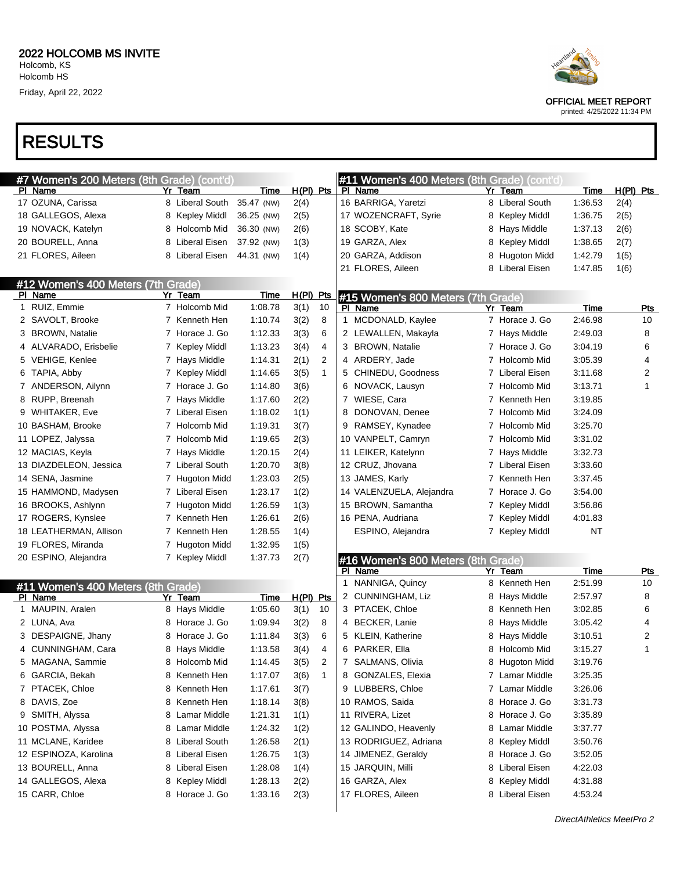

OFFICIAL MEET REPORT

printed: 4/25/2022 11:34 PM

#### RESULTS

| #7 Women's 200 Meters (8th Grade) (cont'd) |                 |             |                        | #11 Women's 400 Meters (8th Grade) (cont'd) |                    |             |             |
|--------------------------------------------|-----------------|-------------|------------------------|---------------------------------------------|--------------------|-------------|-------------|
| PI Name                                    | Yr Team         | <b>Time</b> | $H(PI)$ Pts            | PI Name                                     | Yr Team            | Time        | $H(PI)$ Pts |
| 17 OZUNA, Carissa                          | 8 Liberal South | 35.47 (NW)  | 2(4)                   | 16 BARRIGA, Yaretzi                         | 8 Liberal South    | 1:36.53     | 2(4)        |
| 18 GALLEGOS, Alexa                         | 8 Kepley Middl  | 36.25 (NW)  | 2(5)                   | 17 WOZENCRAFT, Syrie                        | Kepley Middl<br>8  | 1:36.75     | 2(5)        |
| 19 NOVACK, Katelyn                         | 8 Holcomb Mid   | 36.30 (NW)  | 2(6)                   | 18 SCOBY, Kate                              | Hays Middle<br>8   | 1:37.13     | 2(6)        |
| 20 BOURELL, Anna                           | 8 Liberal Eisen | 37.92 (NW)  | 1(3)                   | 19 GARZA, Alex                              | Kepley Middl<br>8  | 1:38.65     | 2(7)        |
| 21 FLORES, Aileen                          | 8 Liberal Eisen | 44.31 (NW)  | 1(4)                   | 20 GARZA, Addison                           | 8<br>Hugoton Midd  | 1:42.79     | 1(5)        |
|                                            |                 |             |                        | 21 FLORES, Aileen                           | Liberal Eisen<br>8 | 1:47.85     | 1(6)        |
| #12 Women's 400 Meters (7th Grade)         |                 |             |                        |                                             |                    |             |             |
| PI Name                                    | Yr Team         | Time        | H(PI) Pts              | #15 Women's 800 Meters (7th Grade)          |                    |             |             |
| 1 RUIZ, Emmie                              | 7 Holcomb Mid   | 1:08.78     | 10<br>3(1)             | PI Name                                     | Yr Team            | <b>Time</b> | <b>Pts</b>  |
| 2 SAVOLT, Brooke                           | 7 Kenneth Hen   | 1:10.74     | 8<br>3(2)              | MCDONALD, Kaylee<br>$\mathbf{1}$            | 7 Horace J. Go     | 2:46.98     | 10          |
| 3 BROWN, Natalie                           | 7 Horace J. Go  | 1:12.33     | 6<br>3(3)              | 2 LEWALLEN, Makayla                         | 7 Hays Middle      | 2:49.03     | 8           |
| 4 ALVARADO, Erisbelie                      | 7 Kepley Middl  | 1:13.23     | 4<br>3(4)              | 3 BROWN, Natalie                            | 7 Horace J. Go     | 3:04.19     | 6           |
| 5 VEHIGE, Kenlee                           | 7 Hays Middle   | 1:14.31     | 2(1)<br>$\overline{2}$ | 4 ARDERY, Jade                              | 7 Holcomb Mid      | 3:05.39     | 4           |
| 6 TAPIA, Abby                              | 7 Kepley Middl  | 1:14.65     | 3(5)<br>$\mathbf{1}$   | 5 CHINEDU, Goodness                         | 7 Liberal Eisen    | 3:11.68     | 2           |
| 7 ANDERSON, Ailynn                         | 7 Horace J. Go  | 1:14.80     | 3(6)                   | 6 NOVACK, Lausyn                            | 7 Holcomb Mid      | 3:13.71     | 1           |
| 8 RUPP, Breenah                            | 7 Hays Middle   | 1:17.60     | 2(2)                   | 7 WIESE, Cara                               | Kenneth Hen<br>7   | 3:19.85     |             |
| 9 WHITAKER, Eve                            | 7 Liberal Eisen | 1:18.02     | 1(1)                   | 8 DONOVAN, Denee                            | 7 Holcomb Mid      | 3:24.09     |             |
| 10 BASHAM, Brooke                          | 7 Holcomb Mid   | 1:19.31     | 3(7)                   | 9 RAMSEY, Kynadee                           | 7 Holcomb Mid      | 3:25.70     |             |
| 11 LOPEZ, Jalyssa                          | 7 Holcomb Mid   | 1:19.65     | 2(3)                   | 10 VANPELT, Camryn                          | 7 Holcomb Mid      | 3:31.02     |             |
| 12 MACIAS, Keyla                           | 7 Hays Middle   | 1:20.15     | 2(4)                   | 11 LEIKER, Katelynn                         | 7 Hays Middle      | 3:32.73     |             |
| 13 DIAZDELEON, Jessica                     | 7 Liberal South | 1:20.70     | 3(8)                   | 12 CRUZ, Jhovana                            | 7 Liberal Eisen    | 3:33.60     |             |
| 14 SENA, Jasmine                           | 7 Hugoton Midd  | 1:23.03     | 2(5)                   | 13 JAMES, Karly                             | Kenneth Hen        | 3:37.45     |             |
| 15 HAMMOND, Madysen                        | 7 Liberal Eisen | 1:23.17     | 1(2)                   | 14 VALENZUELA, Alejandra                    | 7 Horace J. Go     | 3:54.00     |             |
| 16 BROOKS, Ashlynn                         | 7 Hugoton Midd  | 1:26.59     | 1(3)                   | 15 BROWN, Samantha                          | 7 Kepley Middl     | 3:56.86     |             |
| 17 ROGERS, Kynslee                         | 7 Kenneth Hen   | 1:26.61     | 2(6)                   | 16 PENA, Audriana                           | 7 Kepley Middl     | 4:01.83     |             |
| 18 LEATHERMAN, Allison                     | 7 Kenneth Hen   | 1:28.55     | 1(4)                   | ESPINO, Alejandra                           | 7 Kepley Middl     | <b>NT</b>   |             |
| 19 FLORES, Miranda                         | 7 Hugoton Midd  | 1:32.95     | 1(5)                   |                                             |                    |             |             |
| 20 ESPINO, Alejandra                       | 7 Kepley Middl  | 1:37.73     | 2(7)                   | #16 Women's 800 Meters (8th Grade)          |                    |             |             |
|                                            |                 |             |                        | PI Name                                     | Yr<br>Team         | Time        | <u>Pts</u>  |
| #11 Women's 400 Meters (8th Grade)         |                 |             |                        | NANNIGA, Quincy<br>1                        | Kenneth Hen<br>8   | 2:51.99     | 10          |
| PI Name                                    | Yr Team         | Time        | $H(PI)$ Pts            | 2 CUNNINGHAM, Liz                           | Hays Middle<br>8   | 2:57.97     | 8           |
| 1 MAUPIN, Aralen                           | 8 Hays Middle   | 1:05.60     | 3(1)<br>10             | 3 PTACEK, Chloe                             | Kenneth Hen<br>8   | 3:02.85     | 6           |
| 2 LUNA, Ava                                | 8 Horace J. Go  | 1:09.94     | 8<br>3(2)              | 4 BECKER, Lanie                             | Hays Middle<br>8   | 3:05.42     | 4           |
| 3 DESPAIGNE, Jhany                         | 8 Horace J. Go  | 1:11.84     | 6<br>3(3)              | 5 KLEIN, Katherine                          | Hays Middle<br>8   | 3:10.51     | 2           |
| 4 CUNNINGHAM, Cara                         | 8 Hays Middle   | 1:13.58     | 3(4)<br>4              | 6 PARKER, Ella                              | 8 Holcomb Mid      | 3:15.27     | 1           |
| 5 MAGANA, Sammie                           | 8 Holcomb Mid   | 1:14.45     | 3(5)<br>2              | 7 SALMANS, Olivia                           | 8 Hugoton Midd     | 3:19.76     |             |
| 6 GARCIA, Bekah                            | 8 Kenneth Hen   | 1:17.07     | 3(6)<br>$\mathbf{1}$   | 8 GONZALES, Elexia                          | 7 Lamar Middle     | 3:25.35     |             |
| 7 PTACEK, Chloe                            | 8 Kenneth Hen   | 1:17.61     | 3(7)                   | 9 LUBBERS, Chloe                            | 7 Lamar Middle     | 3:26.06     |             |
| 8 DAVIS, Zoe                               | 8 Kenneth Hen   | 1:18.14     | 3(8)                   | 10 RAMOS, Saida                             | 8 Horace J. Go     | 3:31.73     |             |
| 9 SMITH, Alyssa                            | 8 Lamar Middle  | 1:21.31     | 1(1)                   | 11 RIVERA, Lizet                            | 8 Horace J. Go     | 3:35.89     |             |
| 10 POSTMA, Alyssa                          | 8 Lamar Middle  | 1:24.32     | 1(2)                   | 12 GALINDO, Heavenly                        | 8 Lamar Middle     | 3:37.77     |             |
| 11 MCLANE, Karidee                         | 8 Liberal South | 1:26.58     | 2(1)                   | 13 RODRIGUEZ, Adriana                       | 8 Kepley Middl     | 3:50.76     |             |
| 12 ESPINOZA, Karolina                      | 8 Liberal Eisen | 1:26.75     | 1(3)                   | 14 JIMENEZ, Geraldy                         | Horace J. Go<br>8  | 3:52.05     |             |
| 13 BOURELL, Anna                           | 8 Liberal Eisen | 1:28.08     | 1(4)                   | 15 JARQUIN, Milli                           | Liberal Eisen<br>8 | 4:22.03     |             |
| 14 GALLEGOS, Alexa                         | 8 Kepley Middl  | 1:28.13     | 2(2)                   | 16 GARZA, Alex                              | 8 Kepley Middl     | 4:31.88     |             |
| 15 CARR, Chloe                             | 8 Horace J. Go  | 1:33.16     | 2(3)                   | 17 FLORES, Aileen                           | 8 Liberal Eisen    | 4:53.24     |             |
|                                            |                 |             |                        |                                             |                    |             |             |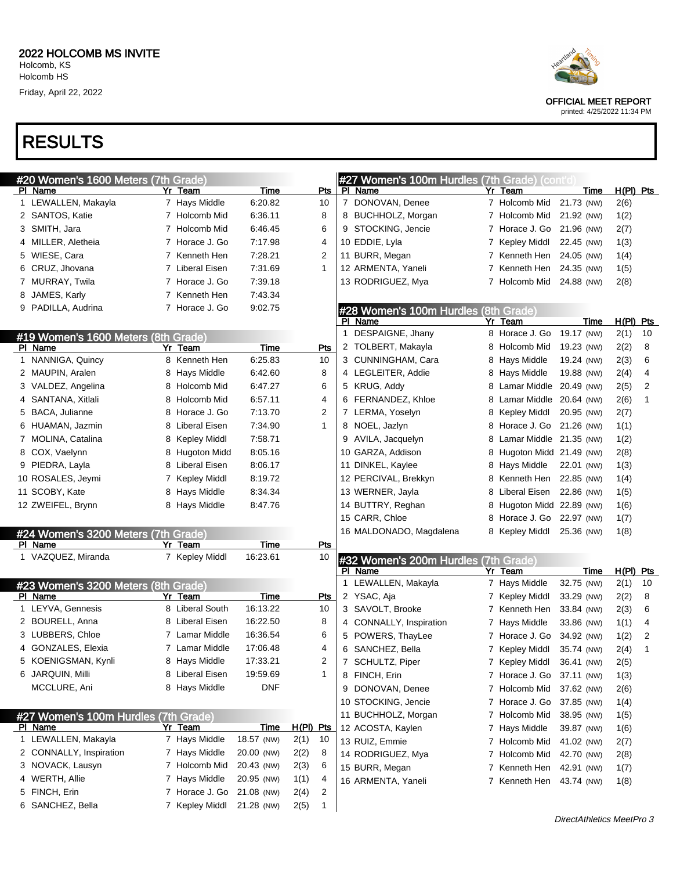# RESULTS

| #20 Women's 1600 Meters (7th Grade)            |    |                 |             |            |                | #27 Women's 100m Hurdles (7th Grade) (cont'd)   |   |                           |            |      |             |    |
|------------------------------------------------|----|-----------------|-------------|------------|----------------|-------------------------------------------------|---|---------------------------|------------|------|-------------|----|
| PI Name                                        | Yr | Team            | Time        | Pts        |                | PI Name                                         |   | Yr Team                   |            | Time | $H(PI)$ Pts |    |
| 1 LEWALLEN, Makayla                            |    | 7 Hays Middle   | 6:20.82     | 10         |                | 7 DONOVAN, Denee                                |   | 7 Holcomb Mid             | 21.73 (NW) |      | 2(6)        |    |
| 2 SANTOS, Katie                                |    | 7 Holcomb Mid   | 6:36.11     | 8          |                | 8 BUCHHOLZ, Morgan                              |   | 7 Holcomb Mid             | 21.92 (NW) |      | 1(2)        |    |
| 3 SMITH, Jara                                  |    | 7 Holcomb Mid   | 6:46.45     | 6          |                | 9 STOCKING, Jencie                              |   | 7 Horace J. Go 21.96 (NW) |            |      | 2(7)        |    |
| 4 MILLER, Aletheia                             |    | 7 Horace J. Go  | 7:17.98     | 4          |                | 10 EDDIE, Lyla                                  |   | 7 Kepley Middl            | 22.45 (NW) |      | 1(3)        |    |
| 5 WIESE, Cara                                  |    | 7 Kenneth Hen   | 7:28.21     | 2          |                | 11 BURR, Megan                                  |   | 7 Kenneth Hen             | 24.05 (NW) |      | 1(4)        |    |
| 6 CRUZ, Jhovana                                |    | 7 Liberal Eisen | 7:31.69     | 1          |                | 12 ARMENTA, Yaneli                              |   | 7 Kenneth Hen             | 24.35 (NW) |      | 1(5)        |    |
| 7 MURRAY, Twila                                |    | 7 Horace J. Go  | 7:39.18     |            |                | 13 RODRIGUEZ, Mya                               |   | 7 Holcomb Mid             | 24.88 (NW) |      | 2(8)        |    |
| 8 JAMES, Karly                                 |    | 7 Kenneth Hen   | 7:43.34     |            |                |                                                 |   |                           |            |      |             |    |
| 9 PADILLA, Audrina                             |    | 7 Horace J. Go  | 9:02.75     |            |                | #28 Women's 100m Hurdles (8th Grade)            |   |                           |            |      |             |    |
|                                                |    |                 |             |            |                | PI Name                                         |   | Yr Team                   |            | Time | H(PI) Pts   |    |
| #19 Women's 1600 Meters (8th Grade)            |    |                 |             |            | 1              | DESPAIGNE, Jhany                                |   | 8 Horace J. Go            | 19.17 (NW) |      | 2(1)        | 10 |
| PI Name                                        |    | Yr Team         | Time        | Pts        | 2              | TOLBERT, Makayla                                |   | 8 Holcomb Mid             | 19.23 (NW) |      | 2(2)        | 8  |
| 1 NANNIGA, Quincy                              |    | 8 Kenneth Hen   | 6:25.83     | 10         |                | 3 CUNNINGHAM, Cara                              |   | 8 Hays Middle             | 19.24 (NW) |      | 2(3)        | 6  |
| 2 MAUPIN, Aralen                               | 8  | Hays Middle     | 6:42.60     | 8          |                | 4 LEGLEITER, Addie                              |   | 8 Hays Middle             | 19.88 (NW) |      | 2(4)        | 4  |
| 3 VALDEZ, Angelina                             | 8  | Holcomb Mid     | 6:47.27     | 6          |                | 5 KRUG, Addy                                    | 8 | Lamar Middle 20.49 (NW)   |            |      | 2(5)        | 2  |
| 4 SANTANA, Xitlali                             | 8  | Holcomb Mid     | 6:57.11     | 4          |                | 6 FERNANDEZ, Khloe                              | 8 | Lamar Middle 20.64 (NW)   |            |      | 2(6)        | 1  |
| 5 BACA, Julianne                               | 8  | Horace J. Go    | 7:13.70     | 2          |                | 7 LERMA, Yoselyn                                | 8 | Kepley Middl              | 20.95 (NW) |      | 2(7)        |    |
| 6 HUAMAN, Jazmin                               | 8  | Liberal Eisen   | 7:34.90     | 1          |                | 8 NOEL, Jazlyn                                  | 8 | Horace J. Go              | 21.26 (NW) |      | 1(1)        |    |
| 7 MOLINA, Catalina                             | 8  | Kepley Middl    | 7:58.71     |            | 9              | AVILA, Jacquelyn                                | 8 | Lamar Middle 21.35 (NW)   |            |      | 1(2)        |    |
| 8 COX, Vaelynn                                 | 8  | Hugoton Midd    | 8:05.16     |            |                | 10 GARZA, Addison                               | 8 | Hugoton Midd 21.49 (NW)   |            |      | 2(8)        |    |
| 9 PIEDRA, Layla                                | 8  | Liberal Eisen   | 8:06.17     |            |                | 11 DINKEL, Kaylee                               | 8 | Hays Middle               | 22.01 (NW) |      | 1(3)        |    |
| 10 ROSALES, Jeymi                              |    | 7 Kepley Middl  | 8:19.72     |            |                | 12 PERCIVAL, Brekkyn                            | 8 | Kenneth Hen               | 22.85 (NW) |      | 1(4)        |    |
| 11 SCOBY, Kate                                 | 8  | Hays Middle     | 8:34.34     |            |                | 13 WERNER, Jayla                                | 8 | Liberal Eisen             | 22.86 (NW) |      | 1(5)        |    |
| 12 ZWEIFEL, Brynn                              |    | 8 Hays Middle   | 8:47.76     |            |                | 14 BUTTRY, Reghan                               | 8 | Hugoton Midd 22.89 (NW)   |            |      | 1(6)        |    |
|                                                |    |                 |             |            |                | 15 CARR, Chloe                                  | 8 | Horace J. Go              | 22.97 (NW) |      | 1(7)        |    |
| #24 Women's 3200 Meters (7th Grade)            |    |                 |             |            |                | 16 MALDONADO, Magdalena                         |   | 8 Kepley Middl            | 25.36 (NW) |      | 1(8)        |    |
| PI Name                                        |    | Yr Team         | Time        | Pts        |                |                                                 |   |                           |            |      |             |    |
| 1 VAZQUEZ, Miranda                             |    | 7 Kepley Middl  | 16:23.61    | 10         |                | #32 Women's 200m Hurdles (7th Grade)<br>PI Name |   | Yr Team                   |            | Time | H(PI) Pts   |    |
|                                                |    |                 |             |            |                | 1 LEWALLEN, Makayla                             |   | 7 Hays Middle             | 32.75 (NW) |      | 2(1)        | 10 |
| #23 Women's 3200 Meters (8th Grade)<br>PI Name |    | Yr Team         | Time        | Pts        |                | 2 YSAC, Aja                                     |   | 7 Kepley Middl            | 33.29 (NW) |      | 2(2)        | 8  |
| 1 LEYVA, Gennesis                              |    | 8 Liberal South | 16:13.22    | 10         |                | 3 SAVOLT, Brooke                                |   | 7 Kenneth Hen             | 33.84 (NW) |      | 2(3)        | 6  |
| 2 BOURELL, Anna                                |    | 8 Liberal Eisen | 16:22.50    | 8          |                | 4 CONNALLY, Inspiration                         |   | 7 Hays Middle             | 33.86 (NW) |      | 1(1)        | 4  |
| 3 LUBBERS, Chloe                               |    | 7 Lamar Middle  | 16:36.54    | 6          |                | 5 POWERS, ThayLee                               |   | 7 Horace J. Go            | 34.92 (NW) |      | 1(2)        | 2  |
| 4 GONZALES, Elexia                             |    | 7 Lamar Middle  | 17:06.48    | 4          |                | 6 SANCHEZ, Bella                                |   | 7 Kepley Middl            | 35.74 (NW) |      | 2(4)        | 1  |
| 5 KOENIGSMAN, Kynli                            |    | 8 Hays Middle   | 17:33.21    | 2          | $\overline{7}$ | SCHULTZ, Piper                                  |   | 7 Kepley Middl            | 36.41 (NW) |      | 2(5)        |    |
| 6 JARQUIN, Milli                               |    | 8 Liberal Eisen | 19:59.69    | 1          |                | 8 FINCH, Erin                                   |   | 7 Horace J. Go 37.11 (NW) |            |      | 1(3)        |    |
| MCCLURE, Ani                                   |    | 8 Hays Middle   | <b>DNF</b>  |            |                | 9 DONOVAN, Denee                                |   | 7 Holcomb Mid 37.62 (NW)  |            |      | 2(6)        |    |
|                                                |    |                 |             |            |                | 10 STOCKING, Jencie                             |   | 7 Horace J. Go 37.85 (NW) |            |      | 1(4)        |    |
| #27 Women's 100m Hurdles (7th Grade)           |    |                 |             |            |                | 11 BUCHHOLZ, Morgan                             |   | 7 Holcomb Mid             | 38.95 (NW) |      | 1(5)        |    |
| PI Name                                        |    | Yr_Team         | <b>Time</b> | H(PI) Pts  |                | 12 ACOSTA, Kaylen                               |   | 7 Hays Middle             | 39.87 (NW) |      | 1(6)        |    |
| 1 LEWALLEN, Makayla                            |    | 7 Hays Middle   | 18.57 (NW)  | 2(1)<br>10 |                | 13 RUIZ, Emmie                                  |   | 7 Holcomb Mid             | 41.02 (NW) |      | 2(7)        |    |
| 2 CONNALLY, Inspiration                        |    | 7 Hays Middle   | 20.00 (NW)  | 2(2)<br>8  |                | 14 RODRIGUEZ, Mya                               |   | 7 Holcomb Mid             | 42.70 (NW) |      | 2(8)        |    |
| 3 NOVACK, Lausyn                               |    | 7 Holcomb Mid   | 20.43 (NW)  | 2(3)<br>6  |                | 15 BURR, Megan                                  |   | 7 Kenneth Hen             | 42.91 (NW) |      | 1(7)        |    |
| 4 WERTH, Allie                                 |    | 7 Hays Middle   | 20.95 (NW)  | 1(1)<br>4  |                | 16 ARMENTA, Yaneli                              |   | 7 Kenneth Hen             | 43.74 (NW) |      | 1(8)        |    |
| 5 FINCH, Erin                                  |    | 7 Horace J. Go  | 21.08 (NW)  | 2(4)<br>2  |                |                                                 |   |                           |            |      |             |    |
| 6 SANCHEZ, Bella                               |    | 7 Kepley Middl  | 21.28 (NW)  | 1<br>2(5)  |                |                                                 |   |                           |            |      |             |    |
|                                                |    |                 |             |            |                |                                                 |   |                           |            |      |             |    |



OFFICIAL MEET REPORT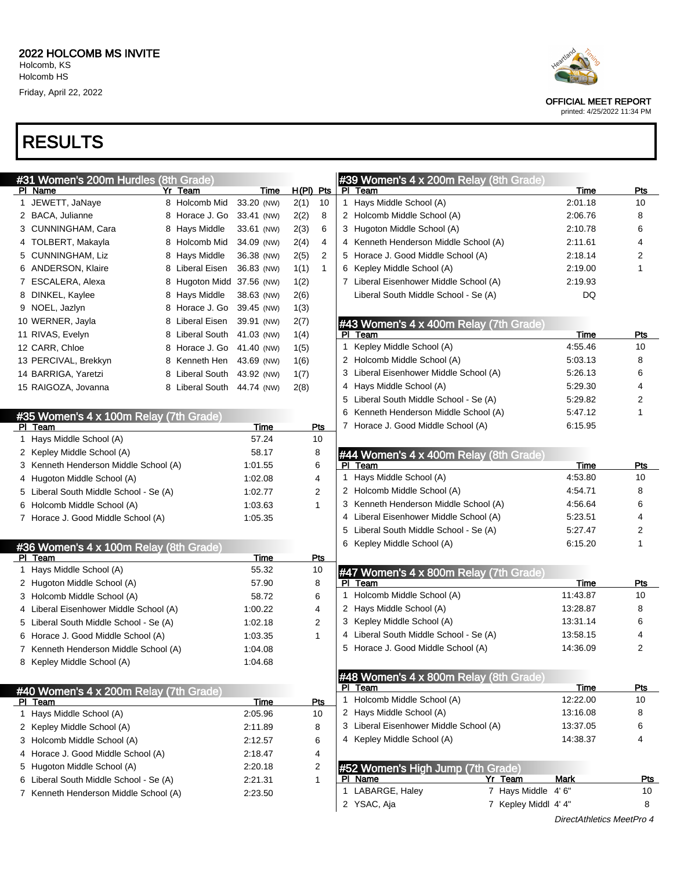| #31 Women's 200m Hurdles (8th Grade) |                         |   |               |            |              |     |  |  |  |  |
|--------------------------------------|-------------------------|---|---------------|------------|--------------|-----|--|--|--|--|
| ΡI                                   | Name                    |   | Yr Team       | Time       | <u>H(PI)</u> | Pts |  |  |  |  |
| 1                                    | JEWETT, JaNaye          | 8 | Holcomb Mid   | 33.20 (NW) | 2(1)         | 10  |  |  |  |  |
| 2                                    | <b>BACA, Julianne</b>   | 8 | Horace J. Go  | 33.41 (NW) | 2(2)         | 8   |  |  |  |  |
| 3                                    | CUNNINGHAM, Cara        | 8 | Hays Middle   | 33.61 (NW) | 2(3)         | 6   |  |  |  |  |
| 4                                    | TOLBERT, Makayla        | 8 | Holcomb Mid   | 34.09 (NW) | 2(4)         | 4   |  |  |  |  |
| 5                                    | <b>CUNNINGHAM, Liz</b>  | 8 | Hays Middle   | 36.38 (NW) | 2(5)         | 2   |  |  |  |  |
| 6                                    | <b>ANDERSON, Klaire</b> | 8 | Liberal Eisen | 36.83 (NW) | 1(1)         | 1   |  |  |  |  |
| 7                                    | ESCALERA, Alexa         | 8 | Hugoton Midd  | 37.56 (NW) | 1(2)         |     |  |  |  |  |
| 8                                    | DINKEL, Kaylee          | 8 | Hays Middle   | 38.63 (NW) | 2(6)         |     |  |  |  |  |
| 9                                    | NOEL, Jazlyn            | 8 | Horace J. Go  | 39.45 (NW) | 1(3)         |     |  |  |  |  |
|                                      | 10 WERNER, Jayla        | 8 | Liberal Eisen | 39.91 (NW) | 2(7)         |     |  |  |  |  |
|                                      | 11 RIVAS, Evelyn        | 8 | Liberal South | 41.03 (NW) | 1(4)         |     |  |  |  |  |
|                                      | 12 CARR, Chloe          | 8 | Horace J. Go  | 41.40 (NW) | 1(5)         |     |  |  |  |  |
|                                      | 13 PERCIVAL, Brekkyn    | 8 | Kenneth Hen   | 43.69 (NW) | 1(6)         |     |  |  |  |  |
|                                      | 14 BARRIGA, Yaretzi     | 8 | Liberal South | 43.92 (NW) | 1(7)         |     |  |  |  |  |
|                                      | 15 RAIGOZA, Jovanna     | 8 | Liberal South | 44.74 (NW) | 2(8)         |     |  |  |  |  |
|                                      |                         |   |               |            |              |     |  |  |  |  |

|           | #35 Women's 4 x 100m Relay (7th Grade) |         |     |
|-----------|----------------------------------------|---------|-----|
| PI        | Геаm                                   | Time    | Pts |
| 1         | Hays Middle School (A)                 | 57.24   | 10  |
| 2         | Kepley Middle School (A)               | 58.17   | 8   |
| 3         | Kenneth Henderson Middle School (A)    | 1:01.55 | 6   |
| 4         | Hugoton Middle School (A)              | 1:02.08 | 4   |
| 5         | Liberal South Middle School - Se (A)   | 1:02.77 | 2   |
| 6         | Holcomb Middle School (A)              | 1:03.63 | 1   |
| 7         | Horace J. Good Middle School (A)       | 1:05.35 |     |
|           |                                        |         |     |
|           | #36 Women's 4 x 100m Relay (8th Grade) |         |     |
| PI        | Team                                   | Time    | Pts |
| 1         | Hays Middle School (A)                 | 55.32   | 10  |
| 2         | Hugoton Middle School (A)              | 57.90   | 8   |
| 3         | Holcomb Middle School (A)              | 58.72   | 6   |
|           | 4 Liberal Eisenhower Middle School (A) | 1:00.22 | 4   |
| 5         | Liberal South Middle School - Se (A)   | 1:02.18 | 2   |
| 6         | Horace J. Good Middle School (A)       | 1:03.35 | 1   |
| 7         | Kenneth Henderson Middle School (A)    | 1:04.08 |     |
| 8         | Kepley Middle School (A)               | 1:04.68 |     |
|           |                                        |         |     |
|           | #40 Women's 4 x 200m Relay (7th Grade) |         |     |
| <b>PI</b> | Team                                   | Time    | Pts |
| 1         | Hays Middle School (A)                 | 2:05.96 | 10  |
| 2         | Kepley Middle School (A)               | 2:11.89 | 8   |
| 3         | Holcomb Middle School (A)              | 2:12.57 | 6   |
| 4         | Horace J. Good Middle School (A)       | 2:18.47 | 4   |
| 5         | Hugoton Middle School (A)              | 2:20.18 | 2   |
| 6         | Liberal South Middle School - Se (A)   | 2:21.31 | 1   |
| 7         | Kenneth Henderson Middle School (A)    | 2:23.50 |     |
|           |                                        |         |     |

#### #39 Women's 4 x 200m Relay (8th Grade)

|    | <u>— 2011 —</u><br><u>PI Team</u>               | <b>Time</b> | Pts |
|----|-------------------------------------------------|-------------|-----|
| 1  | Hays Middle School (A)                          | 2:01.18     | 10  |
|    | 2 Holcomb Middle School (A)                     | 2:06.76     | 8   |
|    | 3 Hugoton Middle School (A)                     | 2:10.78     | 6   |
|    | 4 Kenneth Henderson Middle School (A)           | 2:11.61     | 4   |
|    | 5 Horace J. Good Middle School (A)              | 2:18.14     | 2   |
|    | 6 Kepley Middle School (A)                      | 2:19.00     | 1   |
|    | 7 Liberal Eisenhower Middle School (A)          | 2:19.93     |     |
|    | Liberal South Middle School - Se (A)            | DQ          |     |
|    | #43 Women's 4 x 400m Relay (7th Grade)          |             |     |
| ΡI | Team                                            | Time        | Pts |
| 1. | Kepley Middle School (A)                        | 4:55.46     | 10  |
|    | 2 Holcomb Middle School (A)                     | 5:03.13     | 8   |
|    | 3 Liberal Eisenhower Middle School (A)          | 5:26.13     | 6   |
|    | 4 Hays Middle School (A)                        | 5.29.30     | 4   |
|    | 5 Liberal South Middle School - Se (A)          | 5:29.82     | 2   |
|    | 6 Kenneth Henderson Middle School (A)           | 5:47.12     | 1   |
|    | 7 Horace J. Good Middle School (A)              | 6:15.95     |     |
|    | #44 Women's 4 x 400m Relay (8th Grade)          |             |     |
|    | PI Team                                         | Time        | Pts |
|    | 1 Hays Middle School (A)                        | 4:53.80     | 10  |
|    | 2 Holcomb Middle School (A)                     | 4:54.71     | 8   |
|    | 3 Kenneth Henderson Middle School (A)           | 4:56.64     | 6   |
|    | 4 Liberal Eisenhower Middle School (A)          | 5:23.51     | 4   |
|    | 5 Liberal South Middle School - Se (A)          | 5:27.47     | 2   |
|    | 6 Kepley Middle School (A)                      | 6:15.20     | 1   |
|    | #47 Women's 4 x 800m Relay (7th Grade)          |             |     |
|    | PI Team                                         | Time        | Pts |
| 1. | Holcomb Middle School (A)                       | 11:43.87    | 10  |
|    | 2 Hays Middle School (A)                        | 13:28.87    | 8   |
|    | 3 Kepley Middle School (A)                      | 13:31.14    | 6   |
|    | 4 Liberal South Middle School - Se (A)          | 13:58.15    | 4   |
|    | 5 Horace J. Good Middle School (A)              | 14:36.09    | 2   |
|    |                                                 |             |     |
|    | <mark>#48 Women's 4 x 800m Relay (8th Gr</mark> |             |     |
| ΡI | Team                                            | <u>Time</u> | Pts |
| 1  | Holcomb Middle School (A)                       | 12:22.00    | 10  |
| 2  | Hays Middle School (A)                          | 13:16.08    | 8   |
|    | 3 Liberal Eisenhower Middle School (A)          | 13:37.05    | 6   |

| #52 Women's High Jump (7th Grade) |                  |  |                      |      |     |  |  |  |
|-----------------------------------|------------------|--|----------------------|------|-----|--|--|--|
|                                   | PI Name          |  | Yr Team              | Mark | Pts |  |  |  |
|                                   | 1 LABARGE, Haley |  | 7 Hays Middle 4'6"   |      | 10  |  |  |  |
|                                   | 2 YSAC, Aja      |  | 7 Kepley Middl 4' 4" |      | 8   |  |  |  |





OFFICIAL MEET REPORT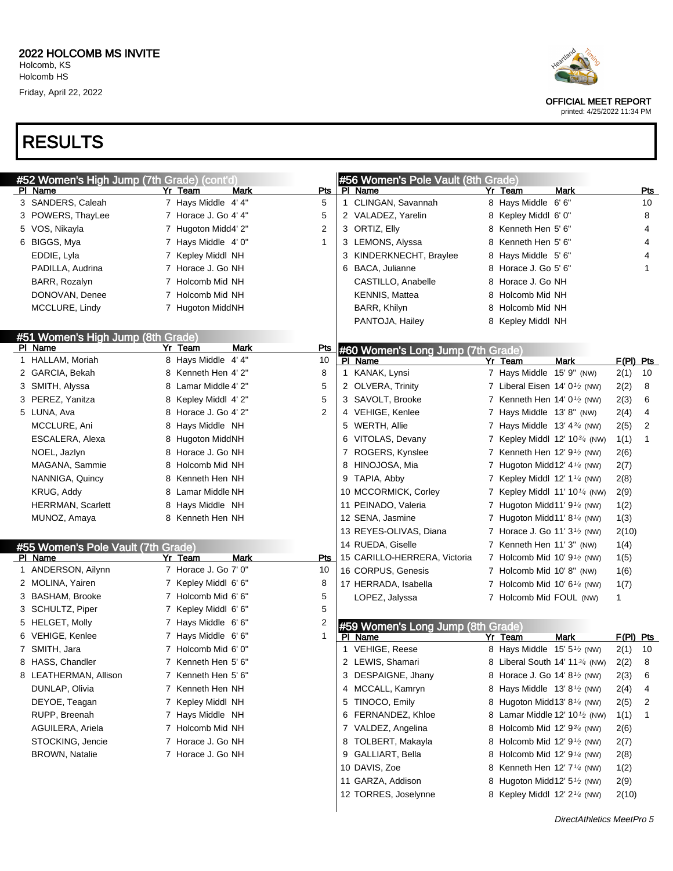





OFFICIAL MEET REPORT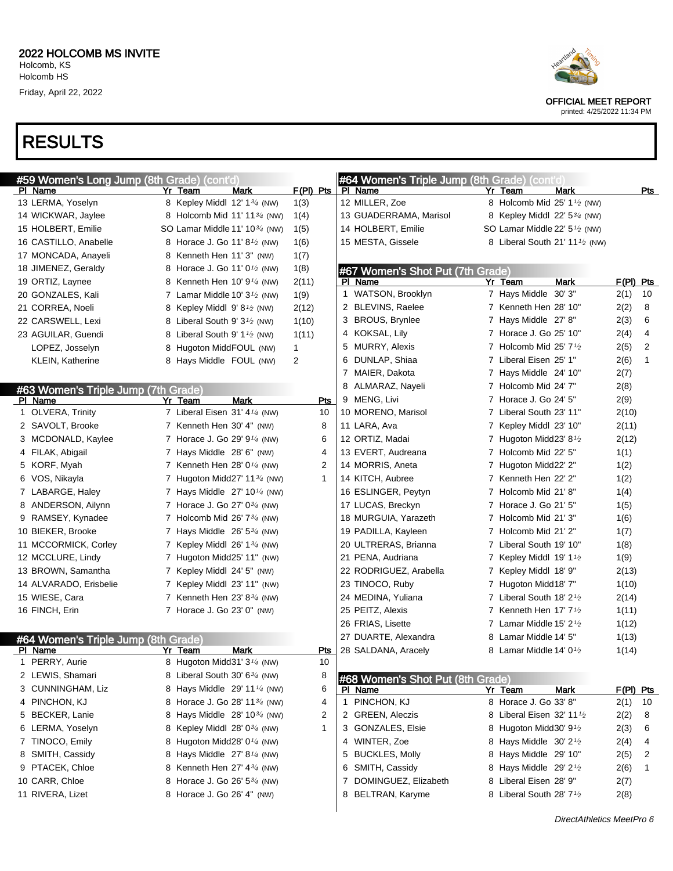



OFFICIAL MEET REPORT

printed: 4/25/2022 11:34 PM

DirectAthletics MeetPro 6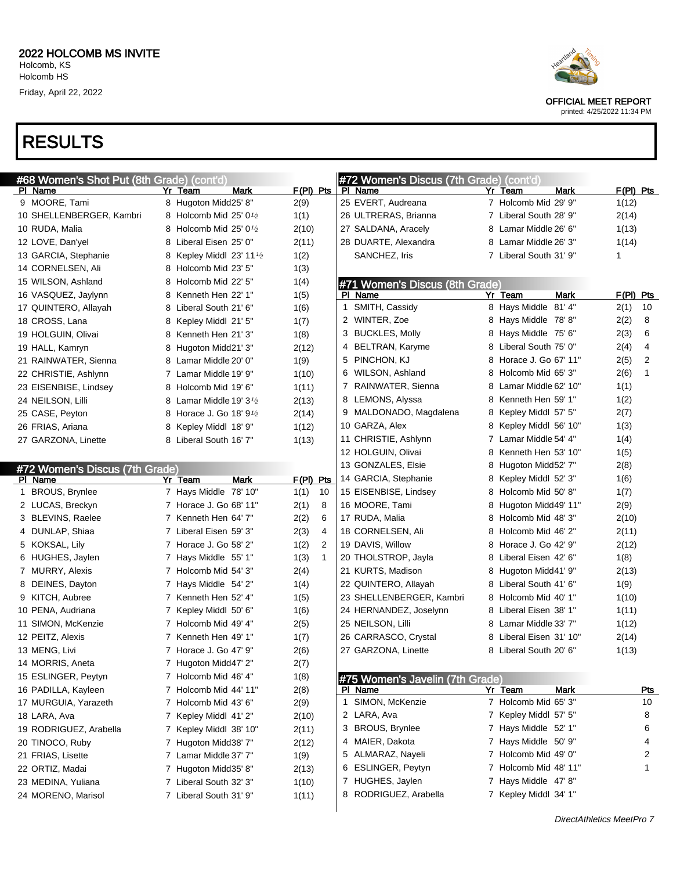| #68 Women's Shot Put (8th Grade) (cont'd) |                                                  |                      | #72 Women's Discus (7th Grade) (cont'd) |                         |                      |
|-------------------------------------------|--------------------------------------------------|----------------------|-----------------------------------------|-------------------------|----------------------|
| PI Name                                   | Yr Team<br>Mark                                  | $F(PI)$ Pts          | PI Name                                 | Yr Team<br>Mark         | $F(PI)$ Pts          |
| 9 MOORE, Tami                             | 8 Hugoton Midd25' 8"                             | 2(9)                 | 25 EVERT, Audreana                      | 7 Holcomb Mid 29' 9"    | 1(12)                |
| 10 SHELLENBERGER, Kambri                  | 8 Holcomb Mid 25' $0\frac{1}{2}$                 | 1(1)                 | 26 ULTRERAS, Brianna                    | 7 Liberal South 28' 9"  | 2(14)                |
| 10 RUDA, Malia                            | 8 Holcomb Mid 25' $0\frac{1}{2}$                 | 2(10)                | 27 SALDANA, Aracely                     | 8 Lamar Middle 26' 6"   | 1(13)                |
| 12 LOVE, Dan'yel                          | 8 Liberal Eisen 25' 0"                           | 2(11)                | 28 DUARTE, Alexandra                    | 8 Lamar Middle 26' 3"   | 1(14)                |
| 13 GARCIA, Stephanie                      | Kepley Middl 23' 11 $\frac{1}{2}$<br>8           | 1(2)                 | SANCHEZ, Iris                           | 7 Liberal South 31' 9"  | 1                    |
| 14 CORNELSEN, Ali                         | 8 Holcomb Mid 23' 5"                             | 1(3)                 |                                         |                         |                      |
| 15 WILSON, Ashland                        | 8 Holcomb Mid 22' 5"                             | 1(4)                 | #71 Women's Discus (8th Grade)          |                         |                      |
| 16 VASQUEZ, Jaylynn                       | 8 Kenneth Hen 22' 1"                             | 1(5)                 | PI Name                                 | Yr Team<br>Mark         | $F(PI)$ Pts          |
| 17 QUINTERO, Allayah                      | 8 Liberal South 21' 6"                           | 1(6)                 | 1 SMITH, Cassidy                        | 8 Hays Middle 81' 4"    | 2(1)<br>10           |
| 18 CROSS, Lana                            | Kepley Middl 21' 5"<br>8                         | 1(7)                 | 2 WINTER, Zoe                           | 8 Hays Middle 78'8"     | 2(2)<br>8            |
| 19 HOLGUIN, Olivai                        | 8 Kenneth Hen 21' 3"                             | 1(8)                 | 3 BUCKLES, Molly                        | 8 Hays Middle 75' 6"    | 6<br>2(3)            |
| 19 HALL, Kamryn                           | Hugoton Midd21' 3"<br>8                          | 2(12)                | 4 BELTRAN, Karyme                       | 8 Liberal South 75' 0"  | 4<br>2(4)            |
| 21 RAINWATER, Sienna                      | 8 Lamar Middle 20' 0"                            | 1(9)                 | 5 PINCHON, KJ                           | 8 Horace J. Go 67' 11"  | 2(5)<br>2            |
| 22 CHRISTIE, Ashlynn                      | 7 Lamar Middle 19' 9"                            | 1(10)                | 6 WILSON, Ashland                       | 8 Holcomb Mid 65' 3"    | 2(6)<br>$\mathbf{1}$ |
| 23 EISENBISE, Lindsey                     | 8 Holcomb Mid 19' 6"                             | 1(11)                | 7 RAINWATER, Sienna                     | 8 Lamar Middle 62' 10"  | 1(1)                 |
| 24 NEILSON, Lilli                         | 8 Lamar Middle 19' 3 <sup>1</sup> / <sub>2</sub> | 2(13)                | 8 LEMONS, Alyssa                        | 8 Kenneth Hen 59' 1"    | 1(2)                 |
| 25 CASE, Peyton                           | 8 Horace J. Go 18' 9 <sup>1</sup> /2             | 2(14)                | 9 MALDONADO, Magdalena                  | 8 Kepley Middl 57' 5"   | 2(7)                 |
| 26 FRIAS, Ariana                          | Kepley Middl 18' 9"<br>8                         | 1(12)                | 10 GARZA, Alex                          | 8 Kepley Middl 56' 10"  | 1(3)                 |
| 27 GARZONA, Linette                       | 8 Liberal South 16' 7"                           | 1(13)                | 11 CHRISTIE, Ashlynn                    | 7 Lamar Middle 54' 4"   | 1(4)                 |
|                                           |                                                  |                      | 12 HOLGUIN, Olivai                      | 8 Kenneth Hen 53' 10"   | 1(5)                 |
|                                           |                                                  |                      | 13 GONZALES, Elsie                      | 8 Hugoton Midd52' 7"    | 2(8)                 |
| #72 Women's Discus (7th Grade)<br>PI Name | <b>Mark</b><br>Yr Team                           | $F(PI)$ Pts          | 14 GARCIA, Stephanie                    | 8 Kepley Middl 52' 3"   | 1(6)                 |
| 1 BROUS, Brynlee                          | 7 Hays Middle 78' 10"                            | 1(1)<br>10           | 15 EISENBISE, Lindsey                   | 8 Holcomb Mid 50' 8"    | 1(7)                 |
| 2 LUCAS, Breckyn                          | 7 Horace J. Go 68' 11"                           | 2(1)<br>8            | 16 MOORE, Tami                          | 8 Hugoton Midd49' 11"   | 2(9)                 |
| 3 BLEVINS, Raelee                         | 7 Kenneth Hen 64' 7"                             | 2(2)<br>6            | 17 RUDA, Malia                          | 8 Holcomb Mid 48' 3"    | 2(10)                |
| 4 DUNLAP, Shiaa                           | 7 Liberal Eisen 59' 3"                           | 2(3)<br>4            | 18 CORNELSEN, Ali                       | 8 Holcomb Mid 46' 2"    | 2(11)                |
| 5 KOKSAL, Lily                            | 7 Horace J. Go 58' 2"                            | 1(2)<br>2            | 19 DAVIS, Willow                        | 8 Horace J. Go 42' 9"   | 2(12)                |
| 6 HUGHES, Jaylen                          | 7 Hays Middle 55' 1"                             | 1(3)<br>$\mathbf{1}$ | 20 THOLSTROP, Jayla                     | 8 Liberal Eisen 42' 6"  | 1(8)                 |
| 7 MURRY, Alexis                           | 7 Holcomb Mid 54' 3"                             | 2(4)                 | 21 KURTS, Madison                       | 8 Hugoton Midd41' 9"    | 2(13)                |
| 8 DEINES, Dayton                          | 7 Hays Middle 54' 2"                             | 1(4)                 | 22 QUINTERO, Allayah                    | 8 Liberal South 41' 6"  |                      |
| 9 KITCH, Aubree                           | 7 Kenneth Hen 52' 4"                             | 1(5)                 | 23 SHELLENBERGER, Kambri                | 8 Holcomb Mid 40' 1"    | 1(9)<br>1(10)        |
|                                           |                                                  |                      |                                         | 8 Liberal Eisen 38' 1"  |                      |
| 10 PENA, Audriana                         | 7 Kepley Middl 50' 6"                            | 1(6)                 | 24 HERNANDEZ, Joselynn                  |                         | 1(11)                |
| 11 SIMON, McKenzie                        | 7 Holcomb Mid 49' 4"                             | 2(5)                 | 25 NEILSON, Lilli                       | 8 Lamar Middle 33' 7"   | 1(12)                |
| 12 PEITZ, Alexis                          | 7 Kenneth Hen 49' 1"                             | 1(7)                 | 26 CARRASCO, Crystal                    | 8 Liberal Eisen 31' 10" | 2(14)                |
| 13 MENG, Livi                             | 7 Horace J. Go 47' 9"                            | 2(6)                 | 27 GARZONA, Linette                     | 8 Liberal South 20' 6"  | 1(13)                |
| 14 MORRIS, Aneta                          | 7 Hugoton Midd47' 2"                             | 2(7)                 |                                         |                         |                      |
| 15 ESLINGER, Peytyn                       | 7 Holcomb Mid 46' 4"                             | 1(8)                 | #75 Women's Javelin (7th Grade)         |                         |                      |
| 16 PADILLA, Kayleen                       | 7 Holcomb Mid 44' 11"                            | 2(8)                 | PI Name                                 | Yr Team<br><b>Mark</b>  | <u>Pts</u>           |
| 17 MURGUIA, Yarazeth                      | 7 Holcomb Mid 43' 6"                             | 2(9)                 | 1 SIMON, McKenzie                       | 7 Holcomb Mid 65' 3"    | 10                   |
| 18 LARA, Ava                              | 7 Kepley Middl 41' 2"                            | 2(10)                | 2 LARA, Ava                             | 7 Kepley Middl 57' 5"   | 8                    |
| 19 RODRIGUEZ, Arabella                    | 7 Kepley Middl 38' 10"                           | 2(11)                | 3 BROUS, Brynlee                        | 7 Hays Middle 52' 1"    | 6                    |
| 20 TINOCO, Ruby                           | 7 Hugoton Midd38' 7"                             | 2(12)                | 4 MAIER, Dakota                         | 7 Hays Middle 50' 9"    | 4                    |
| 21 FRIAS, Lisette                         | 7 Lamar Middle 37' 7"                            | 1(9)                 | 5 ALMARAZ, Nayeli                       | 7 Holcomb Mid 49' 0"    | 2                    |
| 22 ORTIZ, Madai                           | 7 Hugoton Midd35' 8"                             | 2(13)                | 6 ESLINGER, Peytyn                      | 7 Holcomb Mid 48' 11"   | 1                    |
| 23 MEDINA, Yuliana                        | 7 Liberal South 32' 3"                           | 1(10)                | 7 HUGHES, Jaylen                        | 7 Hays Middle 47'8"     |                      |
| 24 MORENO, Marisol                        | 7 Liberal South 31' 9"                           | 1(11)                | 8 RODRIGUEZ, Arabella                   | 7 Kepley Middl 34' 1"   |                      |



OFFICIAL MEET REPORT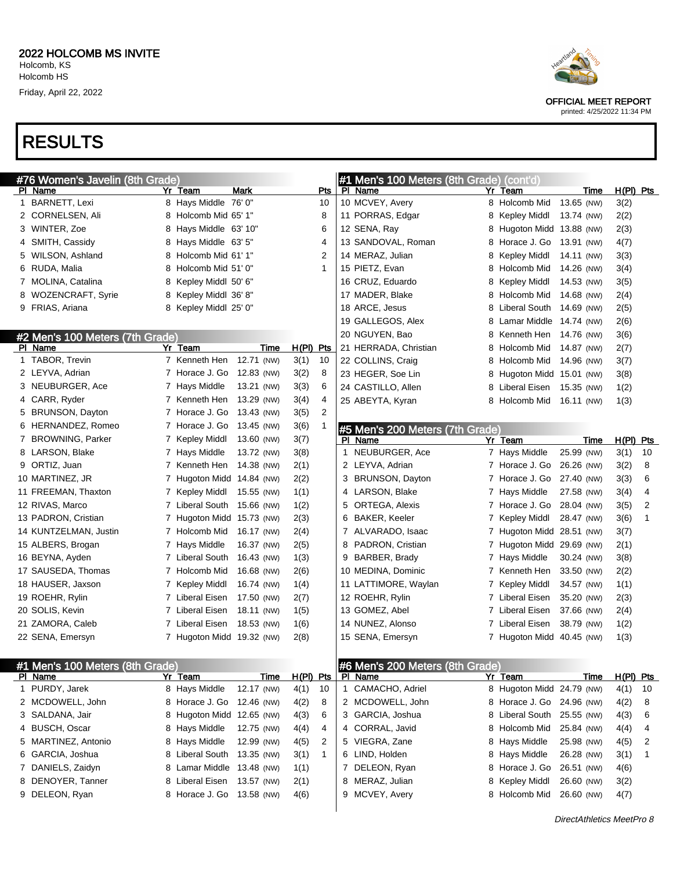# RESULTS

| #76 Women's Javelin (8th Grade) |                                 |  |                            |             |             |                | #1 Men's 100 Meters (8th Grade) (cont'd) |                                 |   |                           |            |      |             |                |
|---------------------------------|---------------------------------|--|----------------------------|-------------|-------------|----------------|------------------------------------------|---------------------------------|---|---------------------------|------------|------|-------------|----------------|
|                                 | PI Name                         |  | Yr Team                    | <b>Mark</b> |             | Pts            |                                          | PI Name                         |   | Yr Team                   |            | Time | $H(PI)$ Pts |                |
|                                 | 1 BARNETT, Lexi                 |  | 8 Hays Middle 76' 0"       |             |             | 10             |                                          | 10 MCVEY, Avery                 |   | 8 Holcomb Mid             | 13.65 (NW) |      | 3(2)        |                |
|                                 | 2 CORNELSEN, Ali                |  | 8 Holcomb Mid 65' 1"       |             |             | 8              |                                          | 11 PORRAS, Edgar                | 8 | <b>Kepley Middl</b>       | 13.74 (NW) |      | 2(2)        |                |
|                                 | 3 WINTER, Zoe                   |  | 8 Hays Middle 63' 10"      |             |             | 6              |                                          | 12 SENA, Ray                    | 8 | Hugoton Midd              | 13.88 (NW) |      | 2(3)        |                |
|                                 | 4 SMITH, Cassidy                |  | 8 Hays Middle 63' 5"       |             |             | 4              |                                          | 13 SANDOVAL, Roman              | 8 | Horace J. Go              | 13.91 (NW) |      | 4(7)        |                |
|                                 | 5 WILSON, Ashland               |  | 8 Holcomb Mid 61' 1"       |             |             | 2              |                                          | 14 MERAZ, Julian                | 8 | Kepley Middl              | 14.11 (NW) |      | 3(3)        |                |
|                                 | 6 RUDA, Malia                   |  | 8 Holcomb Mid 51' 0"       |             |             | $\mathbf{1}$   |                                          | 15 PIETZ, Evan                  | 8 | Holcomb Mid               | 14.26 (NW) |      | 3(4)        |                |
|                                 | 7 MOLINA, Catalina              |  | 8 Kepley Middl 50' 6"      |             |             |                |                                          | 16 CRUZ, Eduardo                | 8 | Kepley Middl              | 14.53 (NW) |      | 3(5)        |                |
|                                 | 8 WOZENCRAFT, Syrie             |  | 8 Kepley Middl 36' 8"      |             |             |                |                                          | 17 MADER, Blake                 | 8 | Holcomb Mid               | 14.68 (NW) |      | 2(4)        |                |
|                                 | 9 FRIAS, Ariana                 |  | 8 Kepley Middl 25' 0"      |             |             |                |                                          | 18 ARCE, Jesus                  | 8 | Liberal South             | 14.69 (NW) |      | 2(5)        |                |
|                                 |                                 |  |                            |             |             |                |                                          | 19 GALLEGOS, Alex               | 8 | Lamar Middle              | 14.74 (NW) |      | 2(6)        |                |
|                                 | #2 Men's 100 Meters (7th Grade) |  |                            |             |             |                |                                          | 20 NGUYEN, Bao                  | 8 | Kenneth Hen               | 14.76 (NW) |      | 3(6)        |                |
|                                 | PI Name                         |  | Yr Team                    | Time        | $H(PI)$ Pts |                |                                          | 21 HERRADA, Christian           | 8 | Holcomb Mid               | 14.87 (NW) |      | 2(7)        |                |
|                                 | 1 TABOR, Trevin                 |  | 7 Kenneth Hen              | 12.71 (NW)  | 3(1)        | 10             |                                          | 22 COLLINS, Craig               | 8 | Holcomb Mid               | 14.96 (NW) |      | 3(7)        |                |
|                                 | 2 LEYVA, Adrian                 |  | 7 Horace J. Go             | 12.83 (NW)  | 3(2)        | 8              |                                          | 23 HEGER, Soe Lin               | 8 | Hugoton Midd 15.01 (NW)   |            |      | 3(8)        |                |
|                                 | 3 NEUBURGER, Ace                |  | 7 Hays Middle              | 13.21 (NW)  | 3(3)        | 6              |                                          | 24 CASTILLO, Allen              | 8 | Liberal Eisen             | 15.35 (NW) |      | 1(2)        |                |
|                                 | 4 CARR, Ryder                   |  | 7 Kenneth Hen              | 13.29 (NW)  | 3(4)        | 4              |                                          | 25 ABEYTA, Kyran                | 8 | Holcomb Mid               | 16.11 (NW) |      | 1(3)        |                |
|                                 | 5 BRUNSON, Dayton               |  | 7 Horace J. Go             | 13.43 (NW)  | 3(5)        | $\overline{2}$ |                                          |                                 |   |                           |            |      |             |                |
|                                 | 6 HERNANDEZ, Romeo              |  | 7 Horace J. Go             | 13.45 (NW)  | 3(6)        | 1              |                                          | #5 Men's 200 Meters (7th Grade) |   |                           |            |      |             |                |
|                                 | 7 BROWNING, Parker              |  | 7 Kepley Middl             | 13.60 (NW)  | 3(7)        |                |                                          | PI Name                         |   | Yr Team                   |            | Time | H(PI) Pts   |                |
|                                 | 8 LARSON, Blake                 |  | 7 Hays Middle              | 13.72 (NW)  | 3(8)        |                |                                          | 1 NEUBURGER, Ace                |   | 7 Hays Middle             | 25.99 (NW) |      | 3(1)        | 10             |
|                                 | 9 ORTIZ, Juan                   |  | 7 Kenneth Hen              | 14.38 (NW)  | 2(1)        |                |                                          | 2 LEYVA, Adrian                 |   | 7 Horace J. Go            | 26.26 (NW) |      | 3(2)        | 8              |
|                                 | 10 MARTINEZ, JR                 |  | 7 Hugoton Midd 14.84 (NW)  |             | 2(2)        |                |                                          | 3 BRUNSON, Dayton               |   | 7 Horace J. Go            | 27.40 (NW) |      | 3(3)        | 6              |
|                                 | 11 FREEMAN, Thaxton             |  | 7 Kepley Middl             | 15.55 (NW)  | 1(1)        |                |                                          | 4 LARSON, Blake                 |   | 7 Hays Middle             | 27.58 (NW) |      | 3(4)        | 4              |
|                                 | 12 RIVAS, Marco                 |  | 7 Liberal South            | 15.66 (NW)  | 1(2)        |                |                                          | 5 ORTEGA, Alexis                |   | 7 Horace J. Go            | 28.04 (NW) |      | 3(5)        | $\overline{2}$ |
|                                 | 13 PADRON, Cristian             |  | 7 Hugoton Midd 15.73 (NW)  |             | 2(3)        |                |                                          | 6 BAKER, Keeler                 | 7 | Kepley Middl              | 28.47 (NW) |      | 3(6)        | 1              |
|                                 | 14 KUNTZELMAN, Justin           |  | 7 Holcomb Mid              | 16.17 (NW)  | 2(4)        |                |                                          | 7 ALVARADO, Isaac               |   | 7 Hugoton Midd 28.51 (NW) |            |      | 3(7)        |                |
|                                 | 15 ALBERS, Brogan               |  | 7 Hays Middle              | 16.37 (NW)  | 2(5)        |                |                                          | 8 PADRON, Cristian              |   | 7 Hugoton Midd 29.69 (NW) |            |      | 2(1)        |                |
|                                 | 16 BEYNA, Ayden                 |  | 7 Liberal South            | 16.43 (NW)  | 1(3)        |                |                                          | 9 BARBER, Brady                 |   | 7 Hays Middle             | 30.24 (NW) |      | 3(8)        |                |
|                                 | 17 SAUSEDA, Thomas              |  | 7 Holcomb Mid              | 16.68 (NW)  | 2(6)        |                |                                          | 10 MEDINA, Dominic              |   | 7 Kenneth Hen             | 33.50 (NW) |      | 2(2)        |                |
|                                 | 18 HAUSER, Jaxson               |  | 7 Kepley Middl             | 16.74 (NW)  | 1(4)        |                |                                          | 11 LATTIMORE, Waylan            |   | 7 Kepley Middl            | 34.57 (NW) |      | 1(1)        |                |
|                                 | 19 ROEHR, Rylin                 |  | 7 Liberal Eisen            | 17.50 (NW)  | 2(7)        |                |                                          | 12 ROEHR, Rylin                 |   | 7 Liberal Eisen           | 35.20 (NW) |      | 2(3)        |                |
|                                 | 20 SOLIS, Kevin                 |  | 7 Liberal Eisen            | 18.11 (NW)  | 1(5)        |                |                                          | 13 GOMEZ, Abel                  |   | 7 Liberal Eisen           | 37.66 (NW) |      | 2(4)        |                |
|                                 | 21 ZAMORA, Caleb                |  | 7 Liberal Eisen            | 18.53 (NW)  | 1(6)        |                |                                          | 14 NUNEZ, Alonso                |   | 7 Liberal Eisen           | 38.79 (NW) |      | 1(2)        |                |
|                                 | 22 SENA, Emersyn                |  | 7 Hugoton Midd 19.32 (NW)  |             | 2(8)        |                |                                          | 15 SENA, Emersyn                |   | 7 Hugoton Midd 40.45 (NW) |            |      | 1(3)        |                |
|                                 |                                 |  |                            |             |             |                |                                          |                                 |   |                           |            |      |             |                |
|                                 | #1 Men's 100 Meters (8th Grade) |  |                            |             |             |                |                                          | #6 Men's 200 Meters (8th Grade) |   |                           |            |      |             |                |
|                                 | <b>PI</b> Name                  |  | <u>Yr Team</u>             | Time        | H(PI) Pts   |                |                                          | PI Name                         |   | Yr Team                   |            | Time | H(PI) Pts   |                |
|                                 | 1 PURDY, Jarek                  |  | 8 Hays Middle              | 12.17 (NW)  | 4(1)        | 10             |                                          | 1 CAMACHO, Adriel               |   | 8 Hugoton Midd 24.79 (NW) |            |      | 4(1)        | 10             |
|                                 | 2 MCDOWELL, John                |  | 8 Horace J. Go             | 12.46 (NW)  | 4(2)        | 8              |                                          | 2 MCDOWELL, John                |   | 8 Horace J. Go            | 24.96 (NW) |      | 4(2)        | 8              |
|                                 | 3 SALDANA, Jair                 |  | 8 Hugoton Midd 12.65 (NW)  |             | 4(3)        | 6              |                                          | 3 GARCIA, Joshua                |   | 8 Liberal South           | 25.55 (NW) |      | 4(3)        | 6              |
|                                 | 4 BUSCH, Oscar                  |  | 8 Hays Middle              | 12.75 (NW)  | 4(4)        | 4              |                                          | 4 CORRAL, Javid                 |   | 8 Holcomb Mid             | 25.84 (NW) |      | 4(4)        | 4              |
|                                 | 5 MARTINEZ, Antonio             |  | 8 Hays Middle              | 12.99 (NW)  | 4(5)        | 2              |                                          | 5 VIEGRA, Zane                  | 8 | Hays Middle               | 25.98 (NW) |      | 4(5)        | 2              |
|                                 | 6 GARCIA, Joshua                |  | 8 Liberal South            | 13.35 (NW)  | 3(1)        | $\mathbf{1}$   |                                          | 6 LIND, Holden                  |   | 8 Hays Middle             | 26.28 (NW) |      | 3(1)        | 1              |
|                                 | 7 DANIELS, Zaidyn               |  | 8 Lamar Middle             | 13.48 (NW)  | 1(1)        |                |                                          | 7 DELEON, Ryan                  |   | 8 Horace J. Go            | 26.51 (NW) |      | 4(6)        |                |
|                                 | 8 DENOYER, Tanner               |  | 8 Liberal Eisen 13.57 (NW) |             | 2(1)        |                |                                          | 8 MERAZ, Julian                 |   | 8 Kepley Middl            | 26.60 (NW) |      | 3(2)        |                |





OFFICIAL MEET REPORT

printed: 4/25/2022 11:34 PM

MCVEY, Avery 8 Holcomb Mid 26.60 (NW) 4(7)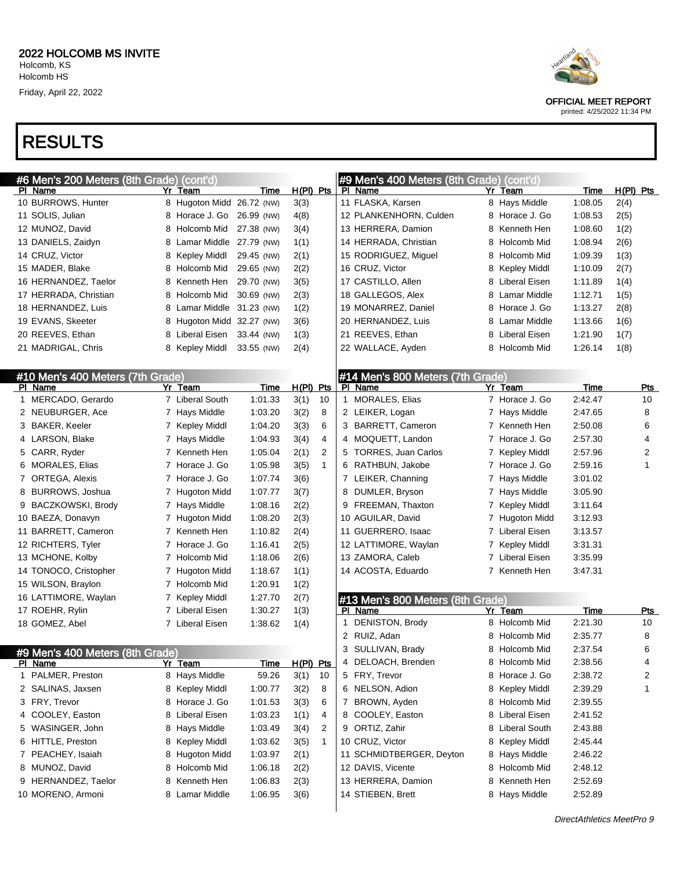| #6 Men's 200 Meters (8th Grade) (cont'd) |    |                           |             |             |              |   | #9 Men's 400 Meters (8th Grade) (cont'd) |    |                 |         |             |
|------------------------------------------|----|---------------------------|-------------|-------------|--------------|---|------------------------------------------|----|-----------------|---------|-------------|
| PI Name                                  | Yr | Team                      | Time        | H(PI) Pts   |              |   | PI Name                                  | Yr | Team            | Time    | $H(PI)$ Pts |
| 10 BURROWS, Hunter                       |    | 8 Hugoton Midd 26.72 (NW) |             | 3(3)        |              |   | 11 FLASKA, Karsen                        |    | 8 Hays Middle   | 1:08.05 | 2(4)        |
| 11 SOLIS, Julian                         |    | 8 Horace J. Go 26.99 (NW) |             | 4(8)        |              |   | 12 PLANKENHORN, Culden                   |    | 8 Horace J. Go  | 1:08.53 | 2(5)        |
| 12 MUNOZ, David                          | 8  | Holcomb Mid               | 27.38 (NW)  | 3(4)        |              |   | 13 HERRERA, Damion                       | 8  | Kenneth Hen     | 1:08.60 | 1(2)        |
| 13 DANIELS, Zaidyn                       | 8  | Lamar Middle 27.79 (NW)   |             | 1(1)        |              |   | 14 HERRADA, Christian                    | 8  | Holcomb Mid     | 1:08.94 | 2(6)        |
| 14 CRUZ, Victor                          | 8  | Kepley Middl              | 29.45 (NW)  | 2(1)        |              |   | 15 RODRIGUEZ, Miguel                     | 8  | Holcomb Mid     | 1:09.39 | 1(3)        |
| 15 MADER, Blake                          | 8  | Holcomb Mid               | 29.65 (NW)  | 2(2)        |              |   | 16 CRUZ, Victor                          | 8  | Kepley Middl    | 1:10.09 | 2(7)        |
| 16 HERNANDEZ, Taelor                     | 8  | Kenneth Hen               | 29.70 (NW)  | 3(5)        |              |   | 17 CASTILLO, Allen                       |    | 8 Liberal Eisen | 1:11.89 | 1(4)        |
| 17 HERRADA, Christian                    | 8  | Holcomb Mid               | 30.69 (NW)  | 2(3)        |              |   | 18 GALLEGOS, Alex                        |    | 8 Lamar Middle  | 1:12.71 | 1(5)        |
| 18 HERNANDEZ, Luis                       | 8  | Lamar Middle              | 31.23 (NW)  | 1(2)        |              |   | 19 MONARREZ, Daniel                      |    | 8 Horace J. Go  | 1:13.27 | 2(8)        |
| 19 EVANS, Skeeter                        | 8  | Hugoton Midd 32.27 (NW)   |             | 3(6)        |              |   | 20 HERNANDEZ, Luis                       |    | 8 Lamar Middle  | 1:13.66 | 1(6)        |
| 20 REEVES, Ethan                         | 8  | Liberal Eisen             | 33.44 (NW)  | 1(3)        |              |   | 21 REEVES, Ethan                         | 8  | Liberal Eisen   | 1:21.90 | 1(7)        |
| 21 MADRIGAL, Chris                       |    | 8 Kepley Middl            | 33.55 (NW)  | 2(4)        |              |   | 22 WALLACE, Ayden                        |    | 8 Holcomb Mid   | 1:26.14 | 1(8)        |
|                                          |    |                           |             |             |              |   |                                          |    |                 |         |             |
| #10 Men's 400 Meters (7th Grade)         |    |                           |             |             |              |   | #14 Men's 800 Meters (7th Grade)         |    |                 |         |             |
| PI Name                                  |    | Yr Team                   | Time        | $H(PI)$ Pts |              |   | PI Name                                  |    | Yr Team         | Time    | <b>Pts</b>  |
| 1 MERCADO, Gerardo                       |    | 7 Liberal South           | 1:01.33     | 3(1)        | 10           |   | 1 MORALES, Elias                         |    | 7 Horace J. Go  | 2:42.47 | 10          |
| 2 NEUBURGER, Ace                         |    | 7 Hays Middle             | 1:03.20     | 3(2)        | 8            |   | 2 LEIKER, Logan                          |    | 7 Hays Middle   | 2:47.65 | 8           |
| 3 BAKER, Keeler                          |    | 7 Kepley Middl            | 1:04.20     | 3(3)        | 6            |   | 3 BARRETT, Cameron                       |    | 7 Kenneth Hen   | 2:50.08 | 6           |
| 4 LARSON, Blake                          |    | 7 Hays Middle             | 1:04.93     | 3(4)        | 4            |   | 4 MOQUETT, Landon                        |    | 7 Horace J. Go  | 2:57.30 | 4           |
| 5 CARR, Ryder                            |    | 7 Kenneth Hen             | 1:05.04     | 2(1)        | 2            |   | 5 TORRES, Juan Carlos                    |    | 7 Kepley Middl  | 2:57.96 | 2           |
| 6 MORALES, Elias                         |    | 7 Horace J. Go            | 1:05.98     | 3(5)        | $\mathbf{1}$ |   | 6 RATHBUN, Jakobe                        |    | 7 Horace J. Go  | 2:59.16 | 1           |
| 7 ORTEGA, Alexis                         |    | 7 Horace J. Go            | 1:07.74     | 3(6)        |              |   | 7 LEIKER, Channing                       |    | 7 Hays Middle   | 3:01.02 |             |
| 8 BURROWS, Joshua                        |    | 7 Hugoton Midd            | 1:07.77     | 3(7)        |              |   | 8 DUMLER, Bryson                         |    | 7 Hays Middle   | 3:05.90 |             |
| 9 BACZKOWSKI, Brody                      |    | 7 Hays Middle             | 1:08.16     | 2(2)        |              |   | 9 FREEMAN, Thaxton                       |    | 7 Kepley Middl  | 3:11.64 |             |
| 10 BAEZA, Donavyn                        |    | 7 Hugoton Midd            | 1:08.20     | 2(3)        |              |   | 10 AGUILAR, David                        | 7  | Hugoton Midd    | 3:12.93 |             |
| 11 BARRETT, Cameron                      |    | 7 Kenneth Hen             | 1:10.82     | 2(4)        |              |   | 11 GUERRERO, Isaac                       |    | 7 Liberal Eisen | 3:13.57 |             |
| 12 RICHTERS, Tyler                       |    | 7 Horace J. Go            | 1:16.41     | 2(5)        |              |   | 12 LATTIMORE, Waylan                     | 7  | Kepley Middl    | 3:31.31 |             |
| 13 MCHONE, Kolby                         |    | 7 Holcomb Mid             | 1:18.06     | 2(6)        |              |   | 13 ZAMORA, Caleb                         |    | 7 Liberal Eisen | 3:35.99 |             |
| 14 TONOCO, Cristopher                    |    | 7 Hugoton Midd            | 1:18.67     | 1(1)        |              |   | 14 ACOSTA, Eduardo                       |    | 7 Kenneth Hen   | 3:47.31 |             |
| 15 WILSON, Braylon                       |    | 7 Holcomb Mid             | 1:20.91     | 1(2)        |              |   |                                          |    |                 |         |             |
| 16 LATTIMORE, Waylan                     |    | 7 Kepley Middl            | 1:27.70     | 2(7)        |              |   | #13 Men's 800 Meters (8th Grade)         |    |                 |         |             |
| 17 ROEHR, Rylin                          |    | 7 Liberal Eisen           | 1:30.27     | 1(3)        |              |   | PI Name                                  |    | Yr Team         | Time    | Pts         |
| 18 GOMEZ, Abel                           |    | 7 Liberal Eisen           | 1:38.62     | 1(4)        |              | 1 | <b>DENISTON, Brody</b>                   |    | 8 Holcomb Mid   | 2:21.30 | 10          |
|                                          |    |                           |             |             |              |   | 2 RUIZ, Adan                             |    | 8 Holcomb Mid   | 2:35.77 | 8           |
| #9 Men's 400 Meters (8th Grade)          |    |                           |             |             |              |   | 3 SULLIVAN, Brady                        |    | 8 Holcomb Mid   | 2:37.54 | 6           |
| PI Name                                  |    | <u>Yr Team</u>            | <u>Time</u> | H(PI) Pts   |              | 4 | DELOACH, Brenden                         |    | 8 Holcomb Mid   | 2:38.56 | 4           |
| 1 PALMER, Preston                        |    | 8 Hays Middle             | 59.26       | 3(1)        | 10           |   | 5 FRY, Trevor                            |    | 8 Horace J. Go  | 2:38.72 | 2           |
| 2 SALINAS, Jaxsen                        |    | 8 Kepley Middl            | 1:00.77     | 3(2)        | 8            |   | 6 NELSON, Adion                          |    | 8 Kepley Middl  | 2:39.29 | 1           |
| 3 FRY, Trevor                            |    | 8 Horace J. Go            | 1:01.53     | 3(3)        | 6            |   | 7 BROWN, Ayden                           |    | 8 Holcomb Mid   | 2:39.55 |             |
| 4 COOLEY, Easton                         |    | 8 Liberal Eisen           | 1:03.23     | 1(1)        | 4            |   | 8 COOLEY, Easton                         |    | 8 Liberal Eisen | 2:41.52 |             |
| 5 WASINGER, John                         |    | 8 Hays Middle             | 1:03.49     | 3(4)        | 2            |   | 9 ORTIZ, Zahir                           |    | 8 Liberal South | 2:43.88 |             |
| 6 HITTLE, Preston                        |    | 8 Kepley Middl            | 1:03.62     | 3(5)        | $\mathbf{1}$ |   | 10 CRUZ, Victor                          |    | 8 Kepley Middl  | 2:45.44 |             |
| 7 PEACHEY, Isaiah                        |    | 8 Hugoton Midd            | 1:03.97     | 2(1)        |              |   | 11 SCHMIDTBERGER, Deyton                 |    | 8 Hays Middle   | 2:46.22 |             |
| 8 MUNOZ, David                           |    | 8 Holcomb Mid             | 1:06.18     | 2(2)        |              |   | 12 DAVIS, Vicente                        |    | 8 Holcomb Mid   | 2:48.12 |             |
| 9 HERNANDEZ, Taelor                      |    | 8 Kenneth Hen             | 1:06.83     | 2(3)        |              |   | 13 HERRERA, Damion                       |    | 8 Kenneth Hen   | 2:52.69 |             |
| 10 MORENO, Armoni                        |    | 8 Lamar Middle            | 1:06.95     | 3(6)        |              |   | 14 STIEBEN, Brett                        |    | 8 Hays Middle   | 2:52.89 |             |
|                                          |    |                           |             |             |              |   |                                          |    |                 |         |             |



OFFICIAL MEET REPORT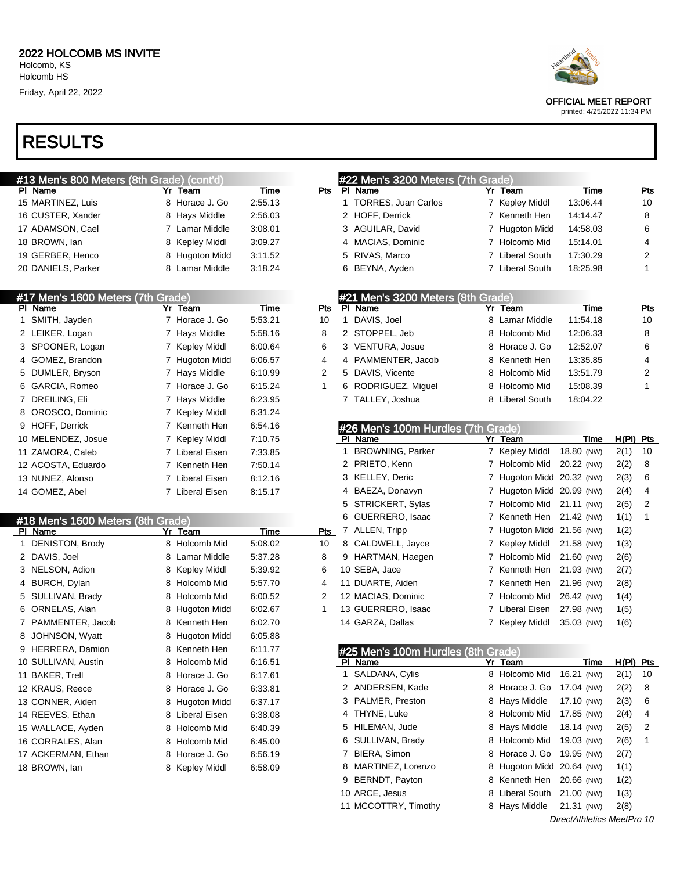# RESULTS

| #13 Men's 800 Meters (8th Grade) (cont'd)<br>#22 Men's 3200 Meters (7th Grade)<br>Pts<br>Time<br>PI Name<br>Yr Team<br><b>Time</b><br>PI Name<br>Yr Team<br><b>Pts</b><br>1 TORRES, Juan Carlos<br>8 Horace J. Go<br>2:55.13<br>13:06.44<br>10<br>7 Kepley Middl<br>2:56.03<br>2 HOFF, Derrick<br>14:14.47<br>8<br>16 CUSTER, Xander<br>8 Hays Middle<br>7 Kenneth Hen<br>3:08.01<br>14:58.03<br>6<br>17 ADAMSON, Cael<br>7 Lamar Middle<br>3 AGUILAR, David<br>7 Hugoton Midd<br>3:09.27<br>15:14.01<br>4<br>18 BROWN, lan<br>8 Kepley Middl<br>MACIAS, Dominic<br>7 Holcomb Mid<br>4<br>5 RIVAS, Marco<br>7 Liberal South<br>17:30.29<br>2<br>19 GERBER, Henco<br>8 Hugoton Midd<br>3:11.52<br>3:18.24<br>7 Liberal South<br>18:25.98<br>1<br>8 Lamar Middle<br>6 BEYNA, Ayden<br>#17 Men's 1600 Meters (7th Grade)<br>#21 Men's 3200 Meters (8th Grade)<br>PI Name<br>Time<br>Pts<br>PI Name<br>Yr Team<br>Time<br>Yr Team<br><b>Pts</b><br>DAVIS, Joel<br>1 SMITH, Jayden<br>7 Horace J. Go<br>5:53.21<br>11:54.18<br>10<br>8 Lamar Middle<br>10<br>1<br>2 STOPPEL, Jeb<br>2 LEIKER, Logan<br>7 Hays Middle<br>5:58.16<br>8<br>8 Holcomb Mid<br>12:06.33<br>8<br>6<br>3 SPOONER, Logan<br>7 Kepley Middl<br>6:00.64<br>6<br>3 VENTURA, Josue<br>8 Horace J. Go<br>12:52.07<br>4 GOMEZ, Brandon<br>7 Hugoton Midd<br>6:06.57<br>4<br>4 PAMMENTER, Jacob<br>8 Kenneth Hen<br>13:35.85<br>4<br>2<br>5 DAVIS, Vicente<br>2<br>5 DUMLER, Bryson<br>7 Hays Middle<br>6:10.99<br>8 Holcomb Mid<br>13:51.79<br>RODRIGUEZ, Miguel<br>6 GARCIA, Romeo<br>7 Horace J. Go<br>6:15.24<br>$\mathbf{1}$<br>8 Holcomb Mid<br>15:08.39<br>1<br>6<br>7 DREILING, Eli<br>7 Hays Middle<br>6:23.95<br>7 TALLEY, Joshua<br>8 Liberal South<br>18:04.22<br>8 OROSCO, Dominic<br>7 Kepley Middl<br>6:31.24<br>6:54.16<br>9 HOFF, Derrick<br>7 Kenneth Hen<br>#26 Men's 100m Hurdles (7th Grade)<br>7:10.75<br>$H(PI)$ Pts<br>10 MELENDEZ, Josue<br>7 Kepley Middl<br>PI Name<br>Yr Team<br>Time<br>1 BROWNING, Parker<br>7 Kepley Middl<br>18.80 (NW)<br>2(1)<br>10<br>7:33.85<br>11 ZAMORA, Caleb<br>7 Liberal Eisen<br>2 PRIETO, Kenn<br>7 Holcomb Mid 20.22 (NW)<br>2(2)<br>8<br>7:50.14<br>12 ACOSTA, Eduardo<br>7 Kenneth Hen<br>3 KELLEY, Deric<br>6<br>7 Hugoton Midd 20.32 (NW)<br>2(3)<br>8:12.16<br>13 NUNEZ, Alonso<br>7 Liberal Eisen<br>4<br>4 BAEZA, Donavyn<br>7 Hugoton Midd 20.99 (NW)<br>2(4)<br>14 GOMEZ, Abel<br>7 Liberal Eisen<br>8:15.17<br>STRICKERT, Sylas<br>2(5)<br>2<br>5<br>7 Holcomb Mid 21.11 (NW)<br>GUERRERO, Isaac<br>7 Kenneth Hen 21.42 (NW)<br>1(1)<br>1<br>6<br>#18 Men's 1600 Meters (8th Grade)<br>7 ALLEN, Tripp<br>7 Hugoton Midd 21.56 (NW)<br>1(2)<br>PI Name<br>Yr Team<br>Time<br>Pts<br>1 DENISTON, Brody<br>8 Holcomb Mid<br>5:08.02<br>10<br>8 CALDWELL, Jayce<br>7 Kepley Middl<br>1(3)<br>21.58 (NW)<br>Lamar Middle<br>5:37.28<br>2 DAVIS, Joel<br>8<br>9 HARTMAN, Haegen<br>7 Holcomb Mid<br>21.60 (NW)<br>2(6)<br>8<br>5:39.92<br>10 SEBA, Jace<br>3 NELSON, Adion<br>Kepley Middl<br>6<br>7 Kenneth Hen<br>21.93 (NW)<br>2(7)<br>8<br>5:57.70<br>11 DUARTE, Aiden<br>4 BURCH, Dylan<br>Holcomb Mid<br>4<br>7 Kenneth Hen<br>21.96 (NW)<br>2(8)<br>8<br>$\overline{2}$<br>12 MACIAS, Dominic<br>5 SULLIVAN, Brady<br>Holcomb Mid<br>6:00.52<br>7 Holcomb Mid<br>26.42 (NW)<br>1(4)<br>8<br>6 ORNELAS, Alan<br>13 GUERRERO, Isaac<br>7 Liberal Eisen<br>Hugoton Midd<br>6:02.67<br>1<br>27.98 (NW)<br>1(5)<br>8<br>14 GARZA, Dallas<br>7 PAMMENTER, Jacob<br>Kenneth Hen<br>6:02.70<br>7 Kepley Middl<br>35.03 (NW)<br>1(6)<br>8<br>8 JOHNSON, Wyatt<br>8 Hugoton Midd<br>6:05.88<br>9 HERRERA, Damion<br>8 Kenneth Hen<br>6:11.77<br>#25 Men's 100m Hurdles (8th Grade)<br>6:16.51<br><u>H(PI) Pts</u><br>10 SULLIVAN, Austin<br>Holcomb Mid<br><u>Yr Team</u><br><u>Time</u><br>8<br><u>PI Name</u><br>1 SALDANA, Cylis<br>8 Holcomb Mid<br>16.21 (NW)<br>2(1)<br>10<br>11 BAKER, Trell<br>Horace J. Go<br>6:17.61<br>8<br>2 ANDERSEN, Kade<br>8 Horace J. Go<br>17.04 (NW)<br>2(2)<br>8<br>12 KRAUS, Reece<br>Horace J. Go<br>6:33.81<br>8<br>3 PALMER, Preston<br>6:37.17<br>8 Hays Middle<br>17.10 (NW)<br>2(3)<br>6<br>13 CONNER, Aiden<br>8 Hugoton Midd<br>4 THYNE, Luke<br>8 Holcomb Mid<br>17.85 (NW)<br>2(4)<br>4<br>14 REEVES, Ethan<br>Liberal Eisen<br>6:38.08<br>8<br>5 HILEMAN, Jude<br>8 Hays Middle<br>18.14 (NW)<br>2(5)<br>2<br>15 WALLACE, Ayden<br>Holcomb Mid<br>6:40.39<br>8<br>6 SULLIVAN, Brady<br>8 Holcomb Mid<br>19.03 (NW)<br>2(6)<br>16 CORRALES, Alan<br>Holcomb Mid<br>6:45.00<br>1<br>8<br>7 BIERA, Simon<br>8 Horace J. Go 19.95 (NW)<br>6:56.19<br>2(7)<br>17 ACKERMAN, Ethan<br>Horace J. Go<br>8<br>8 MARTINEZ, Lorenzo<br>8 Hugoton Midd 20.64 (NW)<br>1(1)<br>18 BROWN, lan<br>8 Kepley Middl<br>6:58.09<br>9 BERNDT, Payton<br>8 Kenneth Hen<br>20.66 (NW)<br>1(2)<br>10 ARCE, Jesus<br>8 Liberal South<br>21.00 (NW)<br>1(3)<br>11 MCCOTTRY, Timothy<br>8 Hays Middle<br>21.31 (NW)<br>2(8) |                    |  |  |  |  |  |  |
|-------------------------------------------------------------------------------------------------------------------------------------------------------------------------------------------------------------------------------------------------------------------------------------------------------------------------------------------------------------------------------------------------------------------------------------------------------------------------------------------------------------------------------------------------------------------------------------------------------------------------------------------------------------------------------------------------------------------------------------------------------------------------------------------------------------------------------------------------------------------------------------------------------------------------------------------------------------------------------------------------------------------------------------------------------------------------------------------------------------------------------------------------------------------------------------------------------------------------------------------------------------------------------------------------------------------------------------------------------------------------------------------------------------------------------------------------------------------------------------------------------------------------------------------------------------------------------------------------------------------------------------------------------------------------------------------------------------------------------------------------------------------------------------------------------------------------------------------------------------------------------------------------------------------------------------------------------------------------------------------------------------------------------------------------------------------------------------------------------------------------------------------------------------------------------------------------------------------------------------------------------------------------------------------------------------------------------------------------------------------------------------------------------------------------------------------------------------------------------------------------------------------------------------------------------------------------------------------------------------------------------------------------------------------------------------------------------------------------------------------------------------------------------------------------------------------------------------------------------------------------------------------------------------------------------------------------------------------------------------------------------------------------------------------------------------------------------------------------------------------------------------------------------------------------------------------------------------------------------------------------------------------------------------------------------------------------------------------------------------------------------------------------------------------------------------------------------------------------------------------------------------------------------------------------------------------------------------------------------------------------------------------------------------------------------------------------------------------------------------------------------------------------------------------------------------------------------------------------------------------------------------------------------------------------------------------------------------------------------------------------------------------------------------------------------------------------------------------------------------------------------------------------------------------------------------------------------------------------------------------------------------------------------------------------------------------------------------------------------------------------------------------------------------------------------------------------------------------------------------------------------------------------------------------------------------------------------------------------------------------------------------------------------------------------------------------------------------------------------------------------------------------------------------------------------------------------------------------------------------------------------------------------------------------------------------------------------------------------|--------------------|--|--|--|--|--|--|
|                                                                                                                                                                                                                                                                                                                                                                                                                                                                                                                                                                                                                                                                                                                                                                                                                                                                                                                                                                                                                                                                                                                                                                                                                                                                                                                                                                                                                                                                                                                                                                                                                                                                                                                                                                                                                                                                                                                                                                                                                                                                                                                                                                                                                                                                                                                                                                                                                                                                                                                                                                                                                                                                                                                                                                                                                                                                                                                                                                                                                                                                                                                                                                                                                                                                                                                                                                                                                                                                                                                                                                                                                                                                                                                                                                                                                                                                                                                                                                                                                                                                                                                                                                                                                                                                                                                                                                                                                                                                                                                                                                                                                                                                                                                                                                                                                                                                                                                                                                         |                    |  |  |  |  |  |  |
|                                                                                                                                                                                                                                                                                                                                                                                                                                                                                                                                                                                                                                                                                                                                                                                                                                                                                                                                                                                                                                                                                                                                                                                                                                                                                                                                                                                                                                                                                                                                                                                                                                                                                                                                                                                                                                                                                                                                                                                                                                                                                                                                                                                                                                                                                                                                                                                                                                                                                                                                                                                                                                                                                                                                                                                                                                                                                                                                                                                                                                                                                                                                                                                                                                                                                                                                                                                                                                                                                                                                                                                                                                                                                                                                                                                                                                                                                                                                                                                                                                                                                                                                                                                                                                                                                                                                                                                                                                                                                                                                                                                                                                                                                                                                                                                                                                                                                                                                                                         |                    |  |  |  |  |  |  |
|                                                                                                                                                                                                                                                                                                                                                                                                                                                                                                                                                                                                                                                                                                                                                                                                                                                                                                                                                                                                                                                                                                                                                                                                                                                                                                                                                                                                                                                                                                                                                                                                                                                                                                                                                                                                                                                                                                                                                                                                                                                                                                                                                                                                                                                                                                                                                                                                                                                                                                                                                                                                                                                                                                                                                                                                                                                                                                                                                                                                                                                                                                                                                                                                                                                                                                                                                                                                                                                                                                                                                                                                                                                                                                                                                                                                                                                                                                                                                                                                                                                                                                                                                                                                                                                                                                                                                                                                                                                                                                                                                                                                                                                                                                                                                                                                                                                                                                                                                                         | 15 MARTINEZ, Luis  |  |  |  |  |  |  |
|                                                                                                                                                                                                                                                                                                                                                                                                                                                                                                                                                                                                                                                                                                                                                                                                                                                                                                                                                                                                                                                                                                                                                                                                                                                                                                                                                                                                                                                                                                                                                                                                                                                                                                                                                                                                                                                                                                                                                                                                                                                                                                                                                                                                                                                                                                                                                                                                                                                                                                                                                                                                                                                                                                                                                                                                                                                                                                                                                                                                                                                                                                                                                                                                                                                                                                                                                                                                                                                                                                                                                                                                                                                                                                                                                                                                                                                                                                                                                                                                                                                                                                                                                                                                                                                                                                                                                                                                                                                                                                                                                                                                                                                                                                                                                                                                                                                                                                                                                                         |                    |  |  |  |  |  |  |
|                                                                                                                                                                                                                                                                                                                                                                                                                                                                                                                                                                                                                                                                                                                                                                                                                                                                                                                                                                                                                                                                                                                                                                                                                                                                                                                                                                                                                                                                                                                                                                                                                                                                                                                                                                                                                                                                                                                                                                                                                                                                                                                                                                                                                                                                                                                                                                                                                                                                                                                                                                                                                                                                                                                                                                                                                                                                                                                                                                                                                                                                                                                                                                                                                                                                                                                                                                                                                                                                                                                                                                                                                                                                                                                                                                                                                                                                                                                                                                                                                                                                                                                                                                                                                                                                                                                                                                                                                                                                                                                                                                                                                                                                                                                                                                                                                                                                                                                                                                         |                    |  |  |  |  |  |  |
|                                                                                                                                                                                                                                                                                                                                                                                                                                                                                                                                                                                                                                                                                                                                                                                                                                                                                                                                                                                                                                                                                                                                                                                                                                                                                                                                                                                                                                                                                                                                                                                                                                                                                                                                                                                                                                                                                                                                                                                                                                                                                                                                                                                                                                                                                                                                                                                                                                                                                                                                                                                                                                                                                                                                                                                                                                                                                                                                                                                                                                                                                                                                                                                                                                                                                                                                                                                                                                                                                                                                                                                                                                                                                                                                                                                                                                                                                                                                                                                                                                                                                                                                                                                                                                                                                                                                                                                                                                                                                                                                                                                                                                                                                                                                                                                                                                                                                                                                                                         |                    |  |  |  |  |  |  |
|                                                                                                                                                                                                                                                                                                                                                                                                                                                                                                                                                                                                                                                                                                                                                                                                                                                                                                                                                                                                                                                                                                                                                                                                                                                                                                                                                                                                                                                                                                                                                                                                                                                                                                                                                                                                                                                                                                                                                                                                                                                                                                                                                                                                                                                                                                                                                                                                                                                                                                                                                                                                                                                                                                                                                                                                                                                                                                                                                                                                                                                                                                                                                                                                                                                                                                                                                                                                                                                                                                                                                                                                                                                                                                                                                                                                                                                                                                                                                                                                                                                                                                                                                                                                                                                                                                                                                                                                                                                                                                                                                                                                                                                                                                                                                                                                                                                                                                                                                                         |                    |  |  |  |  |  |  |
|                                                                                                                                                                                                                                                                                                                                                                                                                                                                                                                                                                                                                                                                                                                                                                                                                                                                                                                                                                                                                                                                                                                                                                                                                                                                                                                                                                                                                                                                                                                                                                                                                                                                                                                                                                                                                                                                                                                                                                                                                                                                                                                                                                                                                                                                                                                                                                                                                                                                                                                                                                                                                                                                                                                                                                                                                                                                                                                                                                                                                                                                                                                                                                                                                                                                                                                                                                                                                                                                                                                                                                                                                                                                                                                                                                                                                                                                                                                                                                                                                                                                                                                                                                                                                                                                                                                                                                                                                                                                                                                                                                                                                                                                                                                                                                                                                                                                                                                                                                         | 20 DANIELS, Parker |  |  |  |  |  |  |
|                                                                                                                                                                                                                                                                                                                                                                                                                                                                                                                                                                                                                                                                                                                                                                                                                                                                                                                                                                                                                                                                                                                                                                                                                                                                                                                                                                                                                                                                                                                                                                                                                                                                                                                                                                                                                                                                                                                                                                                                                                                                                                                                                                                                                                                                                                                                                                                                                                                                                                                                                                                                                                                                                                                                                                                                                                                                                                                                                                                                                                                                                                                                                                                                                                                                                                                                                                                                                                                                                                                                                                                                                                                                                                                                                                                                                                                                                                                                                                                                                                                                                                                                                                                                                                                                                                                                                                                                                                                                                                                                                                                                                                                                                                                                                                                                                                                                                                                                                                         |                    |  |  |  |  |  |  |
|                                                                                                                                                                                                                                                                                                                                                                                                                                                                                                                                                                                                                                                                                                                                                                                                                                                                                                                                                                                                                                                                                                                                                                                                                                                                                                                                                                                                                                                                                                                                                                                                                                                                                                                                                                                                                                                                                                                                                                                                                                                                                                                                                                                                                                                                                                                                                                                                                                                                                                                                                                                                                                                                                                                                                                                                                                                                                                                                                                                                                                                                                                                                                                                                                                                                                                                                                                                                                                                                                                                                                                                                                                                                                                                                                                                                                                                                                                                                                                                                                                                                                                                                                                                                                                                                                                                                                                                                                                                                                                                                                                                                                                                                                                                                                                                                                                                                                                                                                                         |                    |  |  |  |  |  |  |
|                                                                                                                                                                                                                                                                                                                                                                                                                                                                                                                                                                                                                                                                                                                                                                                                                                                                                                                                                                                                                                                                                                                                                                                                                                                                                                                                                                                                                                                                                                                                                                                                                                                                                                                                                                                                                                                                                                                                                                                                                                                                                                                                                                                                                                                                                                                                                                                                                                                                                                                                                                                                                                                                                                                                                                                                                                                                                                                                                                                                                                                                                                                                                                                                                                                                                                                                                                                                                                                                                                                                                                                                                                                                                                                                                                                                                                                                                                                                                                                                                                                                                                                                                                                                                                                                                                                                                                                                                                                                                                                                                                                                                                                                                                                                                                                                                                                                                                                                                                         |                    |  |  |  |  |  |  |
|                                                                                                                                                                                                                                                                                                                                                                                                                                                                                                                                                                                                                                                                                                                                                                                                                                                                                                                                                                                                                                                                                                                                                                                                                                                                                                                                                                                                                                                                                                                                                                                                                                                                                                                                                                                                                                                                                                                                                                                                                                                                                                                                                                                                                                                                                                                                                                                                                                                                                                                                                                                                                                                                                                                                                                                                                                                                                                                                                                                                                                                                                                                                                                                                                                                                                                                                                                                                                                                                                                                                                                                                                                                                                                                                                                                                                                                                                                                                                                                                                                                                                                                                                                                                                                                                                                                                                                                                                                                                                                                                                                                                                                                                                                                                                                                                                                                                                                                                                                         |                    |  |  |  |  |  |  |
|                                                                                                                                                                                                                                                                                                                                                                                                                                                                                                                                                                                                                                                                                                                                                                                                                                                                                                                                                                                                                                                                                                                                                                                                                                                                                                                                                                                                                                                                                                                                                                                                                                                                                                                                                                                                                                                                                                                                                                                                                                                                                                                                                                                                                                                                                                                                                                                                                                                                                                                                                                                                                                                                                                                                                                                                                                                                                                                                                                                                                                                                                                                                                                                                                                                                                                                                                                                                                                                                                                                                                                                                                                                                                                                                                                                                                                                                                                                                                                                                                                                                                                                                                                                                                                                                                                                                                                                                                                                                                                                                                                                                                                                                                                                                                                                                                                                                                                                                                                         |                    |  |  |  |  |  |  |
|                                                                                                                                                                                                                                                                                                                                                                                                                                                                                                                                                                                                                                                                                                                                                                                                                                                                                                                                                                                                                                                                                                                                                                                                                                                                                                                                                                                                                                                                                                                                                                                                                                                                                                                                                                                                                                                                                                                                                                                                                                                                                                                                                                                                                                                                                                                                                                                                                                                                                                                                                                                                                                                                                                                                                                                                                                                                                                                                                                                                                                                                                                                                                                                                                                                                                                                                                                                                                                                                                                                                                                                                                                                                                                                                                                                                                                                                                                                                                                                                                                                                                                                                                                                                                                                                                                                                                                                                                                                                                                                                                                                                                                                                                                                                                                                                                                                                                                                                                                         |                    |  |  |  |  |  |  |
|                                                                                                                                                                                                                                                                                                                                                                                                                                                                                                                                                                                                                                                                                                                                                                                                                                                                                                                                                                                                                                                                                                                                                                                                                                                                                                                                                                                                                                                                                                                                                                                                                                                                                                                                                                                                                                                                                                                                                                                                                                                                                                                                                                                                                                                                                                                                                                                                                                                                                                                                                                                                                                                                                                                                                                                                                                                                                                                                                                                                                                                                                                                                                                                                                                                                                                                                                                                                                                                                                                                                                                                                                                                                                                                                                                                                                                                                                                                                                                                                                                                                                                                                                                                                                                                                                                                                                                                                                                                                                                                                                                                                                                                                                                                                                                                                                                                                                                                                                                         |                    |  |  |  |  |  |  |
|                                                                                                                                                                                                                                                                                                                                                                                                                                                                                                                                                                                                                                                                                                                                                                                                                                                                                                                                                                                                                                                                                                                                                                                                                                                                                                                                                                                                                                                                                                                                                                                                                                                                                                                                                                                                                                                                                                                                                                                                                                                                                                                                                                                                                                                                                                                                                                                                                                                                                                                                                                                                                                                                                                                                                                                                                                                                                                                                                                                                                                                                                                                                                                                                                                                                                                                                                                                                                                                                                                                                                                                                                                                                                                                                                                                                                                                                                                                                                                                                                                                                                                                                                                                                                                                                                                                                                                                                                                                                                                                                                                                                                                                                                                                                                                                                                                                                                                                                                                         |                    |  |  |  |  |  |  |
|                                                                                                                                                                                                                                                                                                                                                                                                                                                                                                                                                                                                                                                                                                                                                                                                                                                                                                                                                                                                                                                                                                                                                                                                                                                                                                                                                                                                                                                                                                                                                                                                                                                                                                                                                                                                                                                                                                                                                                                                                                                                                                                                                                                                                                                                                                                                                                                                                                                                                                                                                                                                                                                                                                                                                                                                                                                                                                                                                                                                                                                                                                                                                                                                                                                                                                                                                                                                                                                                                                                                                                                                                                                                                                                                                                                                                                                                                                                                                                                                                                                                                                                                                                                                                                                                                                                                                                                                                                                                                                                                                                                                                                                                                                                                                                                                                                                                                                                                                                         |                    |  |  |  |  |  |  |
|                                                                                                                                                                                                                                                                                                                                                                                                                                                                                                                                                                                                                                                                                                                                                                                                                                                                                                                                                                                                                                                                                                                                                                                                                                                                                                                                                                                                                                                                                                                                                                                                                                                                                                                                                                                                                                                                                                                                                                                                                                                                                                                                                                                                                                                                                                                                                                                                                                                                                                                                                                                                                                                                                                                                                                                                                                                                                                                                                                                                                                                                                                                                                                                                                                                                                                                                                                                                                                                                                                                                                                                                                                                                                                                                                                                                                                                                                                                                                                                                                                                                                                                                                                                                                                                                                                                                                                                                                                                                                                                                                                                                                                                                                                                                                                                                                                                                                                                                                                         |                    |  |  |  |  |  |  |
|                                                                                                                                                                                                                                                                                                                                                                                                                                                                                                                                                                                                                                                                                                                                                                                                                                                                                                                                                                                                                                                                                                                                                                                                                                                                                                                                                                                                                                                                                                                                                                                                                                                                                                                                                                                                                                                                                                                                                                                                                                                                                                                                                                                                                                                                                                                                                                                                                                                                                                                                                                                                                                                                                                                                                                                                                                                                                                                                                                                                                                                                                                                                                                                                                                                                                                                                                                                                                                                                                                                                                                                                                                                                                                                                                                                                                                                                                                                                                                                                                                                                                                                                                                                                                                                                                                                                                                                                                                                                                                                                                                                                                                                                                                                                                                                                                                                                                                                                                                         |                    |  |  |  |  |  |  |
|                                                                                                                                                                                                                                                                                                                                                                                                                                                                                                                                                                                                                                                                                                                                                                                                                                                                                                                                                                                                                                                                                                                                                                                                                                                                                                                                                                                                                                                                                                                                                                                                                                                                                                                                                                                                                                                                                                                                                                                                                                                                                                                                                                                                                                                                                                                                                                                                                                                                                                                                                                                                                                                                                                                                                                                                                                                                                                                                                                                                                                                                                                                                                                                                                                                                                                                                                                                                                                                                                                                                                                                                                                                                                                                                                                                                                                                                                                                                                                                                                                                                                                                                                                                                                                                                                                                                                                                                                                                                                                                                                                                                                                                                                                                                                                                                                                                                                                                                                                         |                    |  |  |  |  |  |  |
|                                                                                                                                                                                                                                                                                                                                                                                                                                                                                                                                                                                                                                                                                                                                                                                                                                                                                                                                                                                                                                                                                                                                                                                                                                                                                                                                                                                                                                                                                                                                                                                                                                                                                                                                                                                                                                                                                                                                                                                                                                                                                                                                                                                                                                                                                                                                                                                                                                                                                                                                                                                                                                                                                                                                                                                                                                                                                                                                                                                                                                                                                                                                                                                                                                                                                                                                                                                                                                                                                                                                                                                                                                                                                                                                                                                                                                                                                                                                                                                                                                                                                                                                                                                                                                                                                                                                                                                                                                                                                                                                                                                                                                                                                                                                                                                                                                                                                                                                                                         |                    |  |  |  |  |  |  |
|                                                                                                                                                                                                                                                                                                                                                                                                                                                                                                                                                                                                                                                                                                                                                                                                                                                                                                                                                                                                                                                                                                                                                                                                                                                                                                                                                                                                                                                                                                                                                                                                                                                                                                                                                                                                                                                                                                                                                                                                                                                                                                                                                                                                                                                                                                                                                                                                                                                                                                                                                                                                                                                                                                                                                                                                                                                                                                                                                                                                                                                                                                                                                                                                                                                                                                                                                                                                                                                                                                                                                                                                                                                                                                                                                                                                                                                                                                                                                                                                                                                                                                                                                                                                                                                                                                                                                                                                                                                                                                                                                                                                                                                                                                                                                                                                                                                                                                                                                                         |                    |  |  |  |  |  |  |
|                                                                                                                                                                                                                                                                                                                                                                                                                                                                                                                                                                                                                                                                                                                                                                                                                                                                                                                                                                                                                                                                                                                                                                                                                                                                                                                                                                                                                                                                                                                                                                                                                                                                                                                                                                                                                                                                                                                                                                                                                                                                                                                                                                                                                                                                                                                                                                                                                                                                                                                                                                                                                                                                                                                                                                                                                                                                                                                                                                                                                                                                                                                                                                                                                                                                                                                                                                                                                                                                                                                                                                                                                                                                                                                                                                                                                                                                                                                                                                                                                                                                                                                                                                                                                                                                                                                                                                                                                                                                                                                                                                                                                                                                                                                                                                                                                                                                                                                                                                         |                    |  |  |  |  |  |  |
|                                                                                                                                                                                                                                                                                                                                                                                                                                                                                                                                                                                                                                                                                                                                                                                                                                                                                                                                                                                                                                                                                                                                                                                                                                                                                                                                                                                                                                                                                                                                                                                                                                                                                                                                                                                                                                                                                                                                                                                                                                                                                                                                                                                                                                                                                                                                                                                                                                                                                                                                                                                                                                                                                                                                                                                                                                                                                                                                                                                                                                                                                                                                                                                                                                                                                                                                                                                                                                                                                                                                                                                                                                                                                                                                                                                                                                                                                                                                                                                                                                                                                                                                                                                                                                                                                                                                                                                                                                                                                                                                                                                                                                                                                                                                                                                                                                                                                                                                                                         |                    |  |  |  |  |  |  |
|                                                                                                                                                                                                                                                                                                                                                                                                                                                                                                                                                                                                                                                                                                                                                                                                                                                                                                                                                                                                                                                                                                                                                                                                                                                                                                                                                                                                                                                                                                                                                                                                                                                                                                                                                                                                                                                                                                                                                                                                                                                                                                                                                                                                                                                                                                                                                                                                                                                                                                                                                                                                                                                                                                                                                                                                                                                                                                                                                                                                                                                                                                                                                                                                                                                                                                                                                                                                                                                                                                                                                                                                                                                                                                                                                                                                                                                                                                                                                                                                                                                                                                                                                                                                                                                                                                                                                                                                                                                                                                                                                                                                                                                                                                                                                                                                                                                                                                                                                                         |                    |  |  |  |  |  |  |
|                                                                                                                                                                                                                                                                                                                                                                                                                                                                                                                                                                                                                                                                                                                                                                                                                                                                                                                                                                                                                                                                                                                                                                                                                                                                                                                                                                                                                                                                                                                                                                                                                                                                                                                                                                                                                                                                                                                                                                                                                                                                                                                                                                                                                                                                                                                                                                                                                                                                                                                                                                                                                                                                                                                                                                                                                                                                                                                                                                                                                                                                                                                                                                                                                                                                                                                                                                                                                                                                                                                                                                                                                                                                                                                                                                                                                                                                                                                                                                                                                                                                                                                                                                                                                                                                                                                                                                                                                                                                                                                                                                                                                                                                                                                                                                                                                                                                                                                                                                         |                    |  |  |  |  |  |  |
|                                                                                                                                                                                                                                                                                                                                                                                                                                                                                                                                                                                                                                                                                                                                                                                                                                                                                                                                                                                                                                                                                                                                                                                                                                                                                                                                                                                                                                                                                                                                                                                                                                                                                                                                                                                                                                                                                                                                                                                                                                                                                                                                                                                                                                                                                                                                                                                                                                                                                                                                                                                                                                                                                                                                                                                                                                                                                                                                                                                                                                                                                                                                                                                                                                                                                                                                                                                                                                                                                                                                                                                                                                                                                                                                                                                                                                                                                                                                                                                                                                                                                                                                                                                                                                                                                                                                                                                                                                                                                                                                                                                                                                                                                                                                                                                                                                                                                                                                                                         |                    |  |  |  |  |  |  |
|                                                                                                                                                                                                                                                                                                                                                                                                                                                                                                                                                                                                                                                                                                                                                                                                                                                                                                                                                                                                                                                                                                                                                                                                                                                                                                                                                                                                                                                                                                                                                                                                                                                                                                                                                                                                                                                                                                                                                                                                                                                                                                                                                                                                                                                                                                                                                                                                                                                                                                                                                                                                                                                                                                                                                                                                                                                                                                                                                                                                                                                                                                                                                                                                                                                                                                                                                                                                                                                                                                                                                                                                                                                                                                                                                                                                                                                                                                                                                                                                                                                                                                                                                                                                                                                                                                                                                                                                                                                                                                                                                                                                                                                                                                                                                                                                                                                                                                                                                                         |                    |  |  |  |  |  |  |
|                                                                                                                                                                                                                                                                                                                                                                                                                                                                                                                                                                                                                                                                                                                                                                                                                                                                                                                                                                                                                                                                                                                                                                                                                                                                                                                                                                                                                                                                                                                                                                                                                                                                                                                                                                                                                                                                                                                                                                                                                                                                                                                                                                                                                                                                                                                                                                                                                                                                                                                                                                                                                                                                                                                                                                                                                                                                                                                                                                                                                                                                                                                                                                                                                                                                                                                                                                                                                                                                                                                                                                                                                                                                                                                                                                                                                                                                                                                                                                                                                                                                                                                                                                                                                                                                                                                                                                                                                                                                                                                                                                                                                                                                                                                                                                                                                                                                                                                                                                         |                    |  |  |  |  |  |  |
|                                                                                                                                                                                                                                                                                                                                                                                                                                                                                                                                                                                                                                                                                                                                                                                                                                                                                                                                                                                                                                                                                                                                                                                                                                                                                                                                                                                                                                                                                                                                                                                                                                                                                                                                                                                                                                                                                                                                                                                                                                                                                                                                                                                                                                                                                                                                                                                                                                                                                                                                                                                                                                                                                                                                                                                                                                                                                                                                                                                                                                                                                                                                                                                                                                                                                                                                                                                                                                                                                                                                                                                                                                                                                                                                                                                                                                                                                                                                                                                                                                                                                                                                                                                                                                                                                                                                                                                                                                                                                                                                                                                                                                                                                                                                                                                                                                                                                                                                                                         |                    |  |  |  |  |  |  |
|                                                                                                                                                                                                                                                                                                                                                                                                                                                                                                                                                                                                                                                                                                                                                                                                                                                                                                                                                                                                                                                                                                                                                                                                                                                                                                                                                                                                                                                                                                                                                                                                                                                                                                                                                                                                                                                                                                                                                                                                                                                                                                                                                                                                                                                                                                                                                                                                                                                                                                                                                                                                                                                                                                                                                                                                                                                                                                                                                                                                                                                                                                                                                                                                                                                                                                                                                                                                                                                                                                                                                                                                                                                                                                                                                                                                                                                                                                                                                                                                                                                                                                                                                                                                                                                                                                                                                                                                                                                                                                                                                                                                                                                                                                                                                                                                                                                                                                                                                                         |                    |  |  |  |  |  |  |
|                                                                                                                                                                                                                                                                                                                                                                                                                                                                                                                                                                                                                                                                                                                                                                                                                                                                                                                                                                                                                                                                                                                                                                                                                                                                                                                                                                                                                                                                                                                                                                                                                                                                                                                                                                                                                                                                                                                                                                                                                                                                                                                                                                                                                                                                                                                                                                                                                                                                                                                                                                                                                                                                                                                                                                                                                                                                                                                                                                                                                                                                                                                                                                                                                                                                                                                                                                                                                                                                                                                                                                                                                                                                                                                                                                                                                                                                                                                                                                                                                                                                                                                                                                                                                                                                                                                                                                                                                                                                                                                                                                                                                                                                                                                                                                                                                                                                                                                                                                         |                    |  |  |  |  |  |  |
|                                                                                                                                                                                                                                                                                                                                                                                                                                                                                                                                                                                                                                                                                                                                                                                                                                                                                                                                                                                                                                                                                                                                                                                                                                                                                                                                                                                                                                                                                                                                                                                                                                                                                                                                                                                                                                                                                                                                                                                                                                                                                                                                                                                                                                                                                                                                                                                                                                                                                                                                                                                                                                                                                                                                                                                                                                                                                                                                                                                                                                                                                                                                                                                                                                                                                                                                                                                                                                                                                                                                                                                                                                                                                                                                                                                                                                                                                                                                                                                                                                                                                                                                                                                                                                                                                                                                                                                                                                                                                                                                                                                                                                                                                                                                                                                                                                                                                                                                                                         |                    |  |  |  |  |  |  |
|                                                                                                                                                                                                                                                                                                                                                                                                                                                                                                                                                                                                                                                                                                                                                                                                                                                                                                                                                                                                                                                                                                                                                                                                                                                                                                                                                                                                                                                                                                                                                                                                                                                                                                                                                                                                                                                                                                                                                                                                                                                                                                                                                                                                                                                                                                                                                                                                                                                                                                                                                                                                                                                                                                                                                                                                                                                                                                                                                                                                                                                                                                                                                                                                                                                                                                                                                                                                                                                                                                                                                                                                                                                                                                                                                                                                                                                                                                                                                                                                                                                                                                                                                                                                                                                                                                                                                                                                                                                                                                                                                                                                                                                                                                                                                                                                                                                                                                                                                                         |                    |  |  |  |  |  |  |
|                                                                                                                                                                                                                                                                                                                                                                                                                                                                                                                                                                                                                                                                                                                                                                                                                                                                                                                                                                                                                                                                                                                                                                                                                                                                                                                                                                                                                                                                                                                                                                                                                                                                                                                                                                                                                                                                                                                                                                                                                                                                                                                                                                                                                                                                                                                                                                                                                                                                                                                                                                                                                                                                                                                                                                                                                                                                                                                                                                                                                                                                                                                                                                                                                                                                                                                                                                                                                                                                                                                                                                                                                                                                                                                                                                                                                                                                                                                                                                                                                                                                                                                                                                                                                                                                                                                                                                                                                                                                                                                                                                                                                                                                                                                                                                                                                                                                                                                                                                         |                    |  |  |  |  |  |  |
|                                                                                                                                                                                                                                                                                                                                                                                                                                                                                                                                                                                                                                                                                                                                                                                                                                                                                                                                                                                                                                                                                                                                                                                                                                                                                                                                                                                                                                                                                                                                                                                                                                                                                                                                                                                                                                                                                                                                                                                                                                                                                                                                                                                                                                                                                                                                                                                                                                                                                                                                                                                                                                                                                                                                                                                                                                                                                                                                                                                                                                                                                                                                                                                                                                                                                                                                                                                                                                                                                                                                                                                                                                                                                                                                                                                                                                                                                                                                                                                                                                                                                                                                                                                                                                                                                                                                                                                                                                                                                                                                                                                                                                                                                                                                                                                                                                                                                                                                                                         |                    |  |  |  |  |  |  |
|                                                                                                                                                                                                                                                                                                                                                                                                                                                                                                                                                                                                                                                                                                                                                                                                                                                                                                                                                                                                                                                                                                                                                                                                                                                                                                                                                                                                                                                                                                                                                                                                                                                                                                                                                                                                                                                                                                                                                                                                                                                                                                                                                                                                                                                                                                                                                                                                                                                                                                                                                                                                                                                                                                                                                                                                                                                                                                                                                                                                                                                                                                                                                                                                                                                                                                                                                                                                                                                                                                                                                                                                                                                                                                                                                                                                                                                                                                                                                                                                                                                                                                                                                                                                                                                                                                                                                                                                                                                                                                                                                                                                                                                                                                                                                                                                                                                                                                                                                                         |                    |  |  |  |  |  |  |
|                                                                                                                                                                                                                                                                                                                                                                                                                                                                                                                                                                                                                                                                                                                                                                                                                                                                                                                                                                                                                                                                                                                                                                                                                                                                                                                                                                                                                                                                                                                                                                                                                                                                                                                                                                                                                                                                                                                                                                                                                                                                                                                                                                                                                                                                                                                                                                                                                                                                                                                                                                                                                                                                                                                                                                                                                                                                                                                                                                                                                                                                                                                                                                                                                                                                                                                                                                                                                                                                                                                                                                                                                                                                                                                                                                                                                                                                                                                                                                                                                                                                                                                                                                                                                                                                                                                                                                                                                                                                                                                                                                                                                                                                                                                                                                                                                                                                                                                                                                         |                    |  |  |  |  |  |  |
|                                                                                                                                                                                                                                                                                                                                                                                                                                                                                                                                                                                                                                                                                                                                                                                                                                                                                                                                                                                                                                                                                                                                                                                                                                                                                                                                                                                                                                                                                                                                                                                                                                                                                                                                                                                                                                                                                                                                                                                                                                                                                                                                                                                                                                                                                                                                                                                                                                                                                                                                                                                                                                                                                                                                                                                                                                                                                                                                                                                                                                                                                                                                                                                                                                                                                                                                                                                                                                                                                                                                                                                                                                                                                                                                                                                                                                                                                                                                                                                                                                                                                                                                                                                                                                                                                                                                                                                                                                                                                                                                                                                                                                                                                                                                                                                                                                                                                                                                                                         |                    |  |  |  |  |  |  |
|                                                                                                                                                                                                                                                                                                                                                                                                                                                                                                                                                                                                                                                                                                                                                                                                                                                                                                                                                                                                                                                                                                                                                                                                                                                                                                                                                                                                                                                                                                                                                                                                                                                                                                                                                                                                                                                                                                                                                                                                                                                                                                                                                                                                                                                                                                                                                                                                                                                                                                                                                                                                                                                                                                                                                                                                                                                                                                                                                                                                                                                                                                                                                                                                                                                                                                                                                                                                                                                                                                                                                                                                                                                                                                                                                                                                                                                                                                                                                                                                                                                                                                                                                                                                                                                                                                                                                                                                                                                                                                                                                                                                                                                                                                                                                                                                                                                                                                                                                                         |                    |  |  |  |  |  |  |
|                                                                                                                                                                                                                                                                                                                                                                                                                                                                                                                                                                                                                                                                                                                                                                                                                                                                                                                                                                                                                                                                                                                                                                                                                                                                                                                                                                                                                                                                                                                                                                                                                                                                                                                                                                                                                                                                                                                                                                                                                                                                                                                                                                                                                                                                                                                                                                                                                                                                                                                                                                                                                                                                                                                                                                                                                                                                                                                                                                                                                                                                                                                                                                                                                                                                                                                                                                                                                                                                                                                                                                                                                                                                                                                                                                                                                                                                                                                                                                                                                                                                                                                                                                                                                                                                                                                                                                                                                                                                                                                                                                                                                                                                                                                                                                                                                                                                                                                                                                         |                    |  |  |  |  |  |  |
|                                                                                                                                                                                                                                                                                                                                                                                                                                                                                                                                                                                                                                                                                                                                                                                                                                                                                                                                                                                                                                                                                                                                                                                                                                                                                                                                                                                                                                                                                                                                                                                                                                                                                                                                                                                                                                                                                                                                                                                                                                                                                                                                                                                                                                                                                                                                                                                                                                                                                                                                                                                                                                                                                                                                                                                                                                                                                                                                                                                                                                                                                                                                                                                                                                                                                                                                                                                                                                                                                                                                                                                                                                                                                                                                                                                                                                                                                                                                                                                                                                                                                                                                                                                                                                                                                                                                                                                                                                                                                                                                                                                                                                                                                                                                                                                                                                                                                                                                                                         |                    |  |  |  |  |  |  |
|                                                                                                                                                                                                                                                                                                                                                                                                                                                                                                                                                                                                                                                                                                                                                                                                                                                                                                                                                                                                                                                                                                                                                                                                                                                                                                                                                                                                                                                                                                                                                                                                                                                                                                                                                                                                                                                                                                                                                                                                                                                                                                                                                                                                                                                                                                                                                                                                                                                                                                                                                                                                                                                                                                                                                                                                                                                                                                                                                                                                                                                                                                                                                                                                                                                                                                                                                                                                                                                                                                                                                                                                                                                                                                                                                                                                                                                                                                                                                                                                                                                                                                                                                                                                                                                                                                                                                                                                                                                                                                                                                                                                                                                                                                                                                                                                                                                                                                                                                                         |                    |  |  |  |  |  |  |
|                                                                                                                                                                                                                                                                                                                                                                                                                                                                                                                                                                                                                                                                                                                                                                                                                                                                                                                                                                                                                                                                                                                                                                                                                                                                                                                                                                                                                                                                                                                                                                                                                                                                                                                                                                                                                                                                                                                                                                                                                                                                                                                                                                                                                                                                                                                                                                                                                                                                                                                                                                                                                                                                                                                                                                                                                                                                                                                                                                                                                                                                                                                                                                                                                                                                                                                                                                                                                                                                                                                                                                                                                                                                                                                                                                                                                                                                                                                                                                                                                                                                                                                                                                                                                                                                                                                                                                                                                                                                                                                                                                                                                                                                                                                                                                                                                                                                                                                                                                         |                    |  |  |  |  |  |  |
|                                                                                                                                                                                                                                                                                                                                                                                                                                                                                                                                                                                                                                                                                                                                                                                                                                                                                                                                                                                                                                                                                                                                                                                                                                                                                                                                                                                                                                                                                                                                                                                                                                                                                                                                                                                                                                                                                                                                                                                                                                                                                                                                                                                                                                                                                                                                                                                                                                                                                                                                                                                                                                                                                                                                                                                                                                                                                                                                                                                                                                                                                                                                                                                                                                                                                                                                                                                                                                                                                                                                                                                                                                                                                                                                                                                                                                                                                                                                                                                                                                                                                                                                                                                                                                                                                                                                                                                                                                                                                                                                                                                                                                                                                                                                                                                                                                                                                                                                                                         |                    |  |  |  |  |  |  |
|                                                                                                                                                                                                                                                                                                                                                                                                                                                                                                                                                                                                                                                                                                                                                                                                                                                                                                                                                                                                                                                                                                                                                                                                                                                                                                                                                                                                                                                                                                                                                                                                                                                                                                                                                                                                                                                                                                                                                                                                                                                                                                                                                                                                                                                                                                                                                                                                                                                                                                                                                                                                                                                                                                                                                                                                                                                                                                                                                                                                                                                                                                                                                                                                                                                                                                                                                                                                                                                                                                                                                                                                                                                                                                                                                                                                                                                                                                                                                                                                                                                                                                                                                                                                                                                                                                                                                                                                                                                                                                                                                                                                                                                                                                                                                                                                                                                                                                                                                                         |                    |  |  |  |  |  |  |
|                                                                                                                                                                                                                                                                                                                                                                                                                                                                                                                                                                                                                                                                                                                                                                                                                                                                                                                                                                                                                                                                                                                                                                                                                                                                                                                                                                                                                                                                                                                                                                                                                                                                                                                                                                                                                                                                                                                                                                                                                                                                                                                                                                                                                                                                                                                                                                                                                                                                                                                                                                                                                                                                                                                                                                                                                                                                                                                                                                                                                                                                                                                                                                                                                                                                                                                                                                                                                                                                                                                                                                                                                                                                                                                                                                                                                                                                                                                                                                                                                                                                                                                                                                                                                                                                                                                                                                                                                                                                                                                                                                                                                                                                                                                                                                                                                                                                                                                                                                         |                    |  |  |  |  |  |  |
|                                                                                                                                                                                                                                                                                                                                                                                                                                                                                                                                                                                                                                                                                                                                                                                                                                                                                                                                                                                                                                                                                                                                                                                                                                                                                                                                                                                                                                                                                                                                                                                                                                                                                                                                                                                                                                                                                                                                                                                                                                                                                                                                                                                                                                                                                                                                                                                                                                                                                                                                                                                                                                                                                                                                                                                                                                                                                                                                                                                                                                                                                                                                                                                                                                                                                                                                                                                                                                                                                                                                                                                                                                                                                                                                                                                                                                                                                                                                                                                                                                                                                                                                                                                                                                                                                                                                                                                                                                                                                                                                                                                                                                                                                                                                                                                                                                                                                                                                                                         |                    |  |  |  |  |  |  |



printed: 4/25/2022 11:34 PM

OFFICIAL MEET REPORT

DirectAthletics MeetPro 10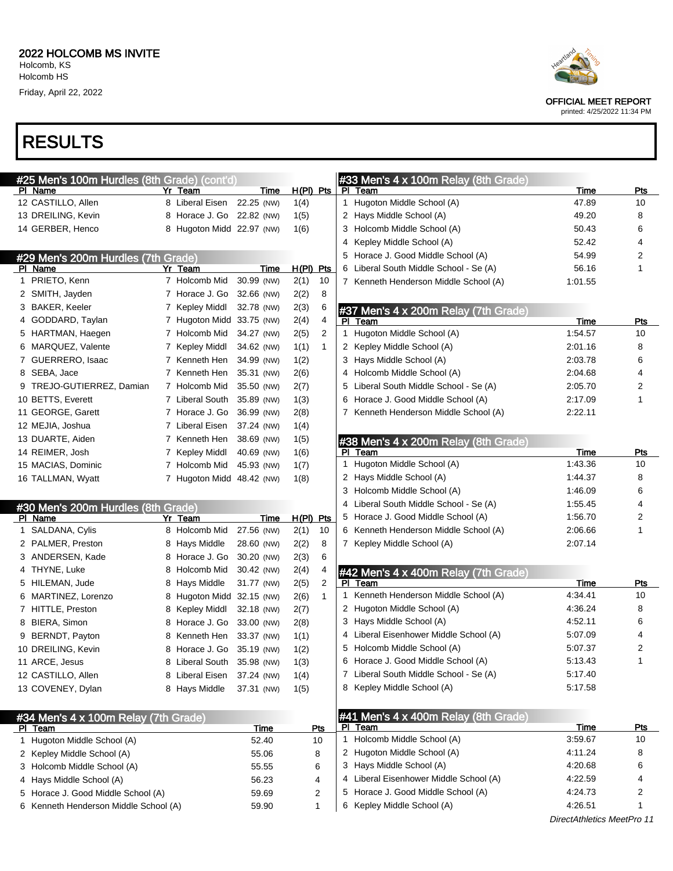

| #25 Men's 100m Hurdles (8th Grade) (cont'd) |    |                            |             |             |              |    | #33 Men's 4 x 100m Relay (8th Grade)   |                            |            |
|---------------------------------------------|----|----------------------------|-------------|-------------|--------------|----|----------------------------------------|----------------------------|------------|
| PI Name                                     |    | Yr Team                    | Time        |             | $H(PI)$ Pts  |    | PI Team                                | Time                       | <u>Pts</u> |
| 12 CASTILLO, Allen                          |    | 8 Liberal Eisen 22.25 (NW) |             | 1(4)        |              |    | 1 Hugoton Middle School (A)            | 47.89                      | 10         |
| 13 DREILING, Kevin                          |    | 8 Horace J. Go 22.82 (NW)  |             | 1(5)        |              |    | 2 Hays Middle School (A)               | 49.20                      | 8          |
| 14 GERBER, Henco                            |    | 8 Hugoton Midd 22.97 (NW)  |             | 1(6)        |              |    | 3 Holcomb Middle School (A)            | 50.43                      | 6          |
|                                             |    |                            |             |             |              |    | 4 Kepley Middle School (A)             | 52.42                      | 4          |
| #29 Men's 200m Hurdles (7th Grade)          |    |                            |             |             |              |    | 5 Horace J. Good Middle School (A)     | 54.99                      | 2          |
| PI Name                                     |    | Yr Team                    | Time        | $H(PI)$ Pts |              |    | 6 Liberal South Middle School - Se (A) | 56.16                      | 1          |
| 1 PRIETO, Kenn                              |    | 7 Holcomb Mid              | 30.99 (NW)  | 2(1)        | 10           |    | 7 Kenneth Henderson Middle School (A)  | 1:01.55                    |            |
| 2 SMITH, Jayden                             |    | 7 Horace J. Go             | 32.66 (NW)  | 2(2)        | 8            |    |                                        |                            |            |
| 3 BAKER, Keeler                             |    | 7 Kepley Middl             | 32.78 (NW)  | 2(3)        | 6            |    | #37 Men's 4 x 200m Relay (7th Grade)   |                            |            |
| 4 GODDARD, Taylan                           |    | 7 Hugoton Midd 33.75 (NW)  |             | 2(4)        | 4            |    | PI Team                                | <b>Time</b>                | Pts        |
| 5 HARTMAN, Haegen                           |    | 7 Holcomb Mid              | 34.27 (NW)  | 2(5)        | 2            |    | 1 Hugoton Middle School (A)            | 1:54.57                    | 10         |
| 6 MARQUEZ, Valente                          |    | 7 Kepley Middl             | 34.62 (NW)  | 1(1)        | $\mathbf{1}$ |    | 2 Kepley Middle School (A)             | 2:01.16                    | 8          |
| 7 GUERRERO, Isaac                           |    | 7 Kenneth Hen              | 34.99 (NW)  | 1(2)        |              |    | 3 Hays Middle School (A)               | 2:03.78                    | 6          |
| 8 SEBA, Jace                                |    | 7 Kenneth Hen              | 35.31 (NW)  | 2(6)        |              |    | 4 Holcomb Middle School (A)            | 2:04.68                    | 4          |
| 9 TREJO-GUTIERREZ, Damian                   |    | 7 Holcomb Mid              | 35.50 (NW)  | 2(7)        |              |    | 5 Liberal South Middle School - Se (A) | 2:05.70                    | 2          |
| 10 BETTS, Everett                           |    | 7 Liberal South            | 35.89 (NW)  | 1(3)        |              |    | 6 Horace J. Good Middle School (A)     | 2:17.09                    | 1          |
| 11 GEORGE, Garett                           |    | 7 Horace J. Go             | 36.99 (NW)  | 2(8)        |              |    | 7 Kenneth Henderson Middle School (A)  | 2:22.11                    |            |
| 12 MEJIA, Joshua                            |    | 7 Liberal Eisen            | 37.24 (NW)  | 1(4)        |              |    |                                        |                            |            |
| 13 DUARTE, Aiden                            |    | 7 Kenneth Hen              | 38.69 (NW)  | 1(5)        |              |    | #38 Men's 4 x 200m Relay (8th Grade)   |                            |            |
| 14 REIMER, Josh                             |    | 7 Kepley Middl             | 40.69 (NW)  | 1(6)        |              |    | PI Team                                | Time                       | Pts        |
| 15 MACIAS, Dominic                          |    | 7 Holcomb Mid              | 45.93 (NW)  | 1(7)        |              | 1  | Hugoton Middle School (A)              | 1:43.36                    | 10         |
| 16 TALLMAN, Wyatt                           |    | 7 Hugoton Midd 48.42 (NW)  |             | 1(8)        |              |    | 2 Hays Middle School (A)               | 1:44.37                    | 8          |
|                                             |    |                            |             |             |              |    | 3 Holcomb Middle School (A)            | 1:46.09                    | 6          |
| #30 Men's 200m Hurdles (8th Grade)          |    |                            |             |             |              | 4  | Liberal South Middle School - Se (A)   | 1:55.45                    | 4          |
| PI Name                                     | Yr | Team                       | Time        | $H(PI)$ Pts |              |    | 5 Horace J. Good Middle School (A)     | 1:56.70                    | 2          |
| 1 SALDANA, Cylis                            |    | 8 Holcomb Mid              | 27.56 (NW)  | 2(1)        | 10           |    | 6 Kenneth Henderson Middle School (A)  | 2:06.66                    | 1          |
| 2 PALMER, Preston                           |    | 8 Hays Middle              | 28.60 (NW)  | 2(2)        | 8            |    | 7 Kepley Middle School (A)             | 2:07.14                    |            |
| 3 ANDERSEN, Kade                            |    | 8 Horace J. Go             | 30.20 (NW)  | 2(3)        | 6            |    |                                        |                            |            |
| 4 THYNE, Luke                               | 8  | Holcomb Mid                | 30.42 (NW)  | 2(4)        | 4            |    | #42 Men's 4 x 400m Relay (7th Grade)   |                            |            |
| 5 HILEMAN, Jude                             | 8  | Hays Middle                | 31.77 (NW)  | 2(5)        | 2            |    | PI Team                                | <b>Time</b>                | <u>Pts</u> |
| 6 MARTINEZ, Lorenzo                         | 8  | Hugoton Midd 32.15 (NW)    |             | 2(6)        | $\mathbf{1}$ | 1. | Kenneth Henderson Middle School (A)    | 4:34.41                    | 10         |
| 7 HITTLE, Preston                           | 8  | Kepley Middl               | 32.18 (NW)  | 2(7)        |              |    | 2 Hugoton Middle School (A)            | 4:36.24                    | 8          |
| 8 BIERA, Simon                              | 8  | Horace J. Go               | 33.00 (NW)  | 2(8)        |              |    | 3 Hays Middle School (A)               | 4:52.11                    | 6          |
| 9 BERNDT, Payton                            | 8  | Kenneth Hen                | 33.37 (NW)  | 1(1)        |              |    | 4 Liberal Eisenhower Middle School (A) | 5:07.09                    | 4          |
| 10 DREILING, Kevin                          |    | 8 Horace J. Go 35.19 (NW)  |             | 1(2)        |              |    | 5 Holcomb Middle School (A)            | 5:07.37                    | 2          |
| 11 ARCE, Jesus                              |    | 8 Liberal South 35.98 (NW) |             | 1(3)        |              |    | 6 Horace J. Good Middle School (A)     | 5:13.43                    |            |
| 12 CASTILLO, Allen                          |    | 8 Liberal Eisen 37.24 (NW) |             | 1(4)        |              |    | 7 Liberal South Middle School - Se (A) | 5:17.40                    |            |
| 13 COVENEY, Dylan                           |    | 8 Hays Middle              | 37.31 (NW)  | 1(5)        |              |    | 8 Kepley Middle School (A)             | 5:17.58                    |            |
|                                             |    |                            |             |             |              |    |                                        |                            |            |
| #34 Men's 4 x 100m Relay (7th Grade)        |    |                            |             |             |              |    | #41 Men's 4 x 400m Relay (8th Grade)   |                            |            |
| <b>PI</b> Team                              |    |                            | <b>Time</b> |             | Pts          |    | PI Team                                | <b>Time</b>                | Pts        |
| 1 Hugoton Middle School (A)                 |    |                            | 52.40       |             | 10           |    | 1 Holcomb Middle School (A)            | 3:59.67                    | 10         |
| 2 Kepley Middle School (A)                  |    |                            | 55.06       |             | 8            |    | 2 Hugoton Middle School (A)            | 4:11.24                    | 8          |
| 3 Holcomb Middle School (A)                 |    |                            | 55.55       |             | 6            |    | 3 Hays Middle School (A)               | 4:20.68                    | 6          |
| 4 Hays Middle School (A)                    |    |                            | 56.23       |             | 4            |    | 4 Liberal Eisenhower Middle School (A) | 4:22.59                    |            |
| 5 Horace J. Good Middle School (A)          |    |                            | 59.69       |             | 2            |    | 5 Horace J. Good Middle School (A)     | 4:24.73                    | 2          |
| 6 Kenneth Henderson Middle School (A)       |    |                            | 59.90       |             | $\mathbf{1}$ |    | 6 Kepley Middle School (A)             | 4:26.51                    |            |
|                                             |    |                            |             |             |              |    |                                        | DirectAthletics MeetPro 11 |            |



OFFICIAL MEET REPORT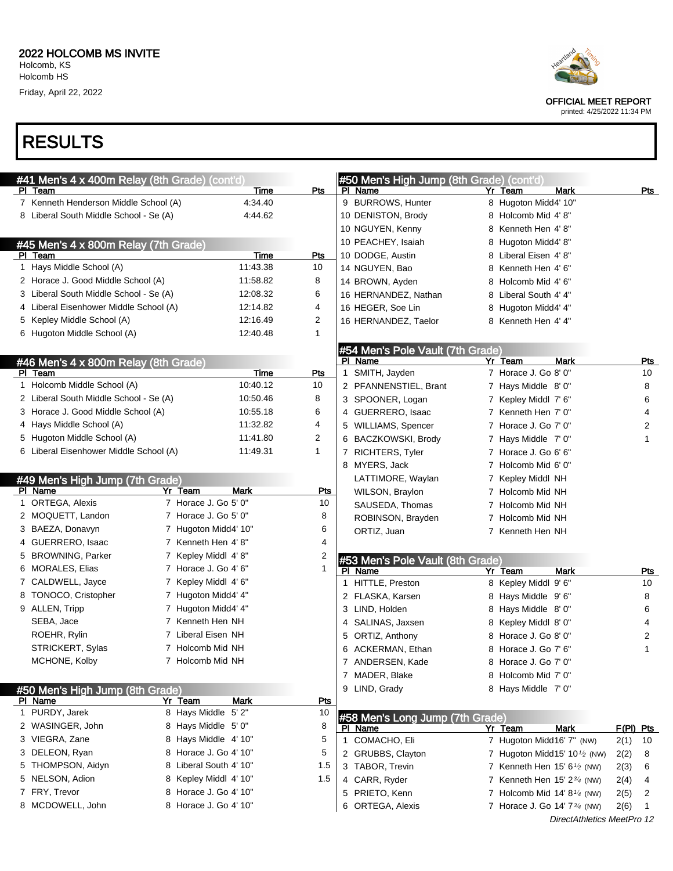

OFFICIAL MEET REPORT

printed: 4/25/2022 11:34 PM

#### RESULTS

| Pts<br>PI Team<br>Time<br>PI Name<br>Mark<br>Pts<br>Yr Team<br>9 BURROWS, Hunter<br>8 Hugoton Midd4' 10"<br>7 Kenneth Henderson Middle School (A)<br>4:34.40<br>8 Liberal South Middle School - Se (A)<br>4:44.62<br>10 DENISTON, Brody<br>8 Holcomb Mid 4'8"<br>10 NGUYEN, Kenny<br>8 Kenneth Hen 4'8"<br>10 PEACHEY, Isaiah<br>8 Hugoton Midd4' 8"<br>#45 Men's 4 x 800m Relay (7th Grade)<br>PI Team<br>Time<br>10 DODGE, Austin<br>Pts<br>8 Liberal Eisen 4'8"<br>1 Hays Middle School (A)<br>11:43.38<br>10<br>14 NGUYEN, Bao<br>8 Kenneth Hen 4'6"<br>2 Horace J. Good Middle School (A)<br>11:58.82<br>8<br>14 BROWN, Ayden<br>8 Holcomb Mid 4' 6"<br>3 Liberal South Middle School - Se (A)<br>12:08.32<br>6<br>8 Liberal South 4' 4"<br>16 HERNANDEZ, Nathan<br>4 Liberal Eisenhower Middle School (A)<br>4<br>12:14.82<br>16 HEGER, Soe Lin<br>8 Hugoton Midd4' 4"<br>2<br>5 Kepley Middle School (A)<br>12:16.49<br>16 HERNANDEZ, Taelor<br>8 Kenneth Hen 4' 4"<br>6 Hugoton Middle School (A)<br>12:40.48<br>1<br>#54 Men's Pole Vault (7th Grade)<br>Yr Team<br>PI Name<br><b>Mark</b><br>Pts<br>#46 Men's 4 x 800m Relay (8th Grade)<br>7 Horace J. Go 8' 0"<br>Time<br>1 SMITH, Jayden<br>PI Team<br>Pts<br>10<br>1 Holcomb Middle School (A)<br>10:40.12<br>10<br>7 Hays Middle 8' 0"<br>2 PFANNENSTIEL, Brant<br>8<br>2 Liberal South Middle School - Se (A)<br>8<br>10:50.46<br>3 SPOONER, Logan<br>6<br>7 Kepley Middl 7' 6"<br>3 Horace J. Good Middle School (A)<br>10:55.18<br>6<br>4 GUERRERO, Isaac<br>7 Kenneth Hen 7' 0"<br>4<br>4 Hays Middle School (A)<br>11:32.82<br>4<br>5 WILLIAMS, Spencer<br>7 Horace J. Go 7' 0"<br>2<br>5 Hugoton Middle School (A)<br>$\overline{c}$<br>11:41.80<br>6 BACZKOWSKI, Brody<br>7 Hays Middle 7' 0"<br>1<br>6 Liberal Eisenhower Middle School (A)<br>11:49.31<br>1<br>7 RICHTERS, Tyler<br>7 Horace J. Go 6' 6"<br>8 MYERS, Jack<br>7 Holcomb Mid 6' 0"<br>LATTIMORE, Waylan<br>7 Kepley Middl NH<br>#49 Men's High Jump (7th Grade)<br>PI Name<br>Yr Team<br><b>Mark</b><br><u>Pts</u><br>WILSON, Braylon<br>7 Holcomb Mid NH<br>1 ORTEGA, Alexis<br>7 Horace J. Go 5' 0"<br>10<br>SAUSEDA, Thomas<br>7 Holcomb Mid NH<br>7 Horace J. Go 5' 0"<br>2 MOQUETT, Landon<br>8<br>ROBINSON, Brayden<br>7 Holcomb Mid NH<br>3 BAEZA, Donavyn<br>7 Hugoton Midd4' 10"<br>6<br>ORTIZ, Juan<br>7 Kenneth Hen NH<br>7 Kenneth Hen 4'8"<br>4<br>4 GUERRERO, Isaac<br>5 BROWNING, Parker<br>7 Kepley Middl 4'8"<br>2<br>#53 Men's Pole Vault (8th Grade)<br>7 Horace J. Go 4' 6"<br>6 MORALES, Elias<br>1<br><b>Mark</b><br>PI Name<br>Yr Team<br><u>Pts</u><br>7 CALDWELL, Jayce<br>7 Kepley Middl 4' 6"<br>1 HITTLE, Preston<br>8 Kepley Middl 9' 6"<br>10<br>8 TONOCO, Cristopher<br>7 Hugoton Midd4' 4"<br>2 FLASKA, Karsen<br>8<br>8 Hays Middle 9'6"<br>9 ALLEN, Tripp<br>7 Hugoton Midd4' 4"<br>3 LIND, Holden<br>8 Hays Middle 8'0"<br>6<br>7 Kenneth Hen NH<br>SEBA, Jace<br>4 SALINAS, Jaxsen<br>8 Kepley Middl 8' 0"<br>4<br>7 Liberal Eisen NH<br>ROEHR, Rylin<br>8 Horace J. Go 8' 0"<br>5 ORTIZ, Anthony<br>2<br>7 Holcomb Mid NH<br>STRICKERT, Sylas<br>6 ACKERMAN, Ethan<br>8 Horace J. Go 7' 6"<br>1<br>MCHONE, Kolby<br>7 Holcomb Mid NH<br>7 ANDERSEN, Kade<br>8 Horace J. Go 7' 0"<br>7 MADER, Blake<br>8 Holcomb Mid 7' 0"<br>9 LIND, Grady<br>8 Hays Middle 7' 0"<br>#50 Men's High Jump (8th Grade)<br>PI Name<br>Yr Team<br>Mark<br><b>Pts</b><br>1 PURDY, Jarek<br>8 Hays Middle 5'2"<br>10<br>#58 Men's Long Jump (7th Grade)<br>2 WASINGER, John<br>8 Hays Middle 5' 0"<br>8<br><b>Mark</b><br>F(PI) Pts<br>PI Name<br>Yr Team<br>3 VIEGRA, Zane<br>8 Hays Middle 4' 10"<br>5<br>1 COMACHO, Eli<br>7 Hugoton Midd16' 7" (NW)<br>2(1)<br>10<br>8 Horace J. Go 4' 10"<br>3 DELEON, Ryan<br>5<br>2 GRUBBS, Clayton<br>7 Hugoton Midd15' 10 <sup>1</sup> / <sub>2</sub> (NW)<br>2(2)<br>8<br>8 Liberal South 4' 10"<br>5 THOMPSON, Aidyn<br>1.5<br>3 TABOR, Trevin<br>7 Kenneth Hen 15' 61/2 (NW)<br>2(3)<br>6<br>5 NELSON, Adion<br>8 Kepley Middl 4' 10"<br>1.5<br>4 CARR, Ryder<br>7 Kenneth Hen $15' 2^{3/4}$ (NW)<br>2(4)<br>4<br>7 FRY, Trevor<br>8 Horace J. Go 4' 10"<br>5 PRIETO, Kenn<br>7 Holcomb Mid 14' 8 $\frac{1}{4}$ (NW)<br>2(5)<br>2<br>8 MCDOWELL, John<br>8 Horace J. Go 4' 10"<br>6 ORTEGA, Alexis<br>7 Horace J. Go 14' 7 <sup>3/4</sup> (NW)<br>2(6)<br>-1<br>DirectAthletics MeetPro 12 | #41 Men's 4 x 400m Relay (8th Grade) (cont'd) |  | #50 Men's High Jump (8th Grade) (cont'd) |  |  |
|---------------------------------------------------------------------------------------------------------------------------------------------------------------------------------------------------------------------------------------------------------------------------------------------------------------------------------------------------------------------------------------------------------------------------------------------------------------------------------------------------------------------------------------------------------------------------------------------------------------------------------------------------------------------------------------------------------------------------------------------------------------------------------------------------------------------------------------------------------------------------------------------------------------------------------------------------------------------------------------------------------------------------------------------------------------------------------------------------------------------------------------------------------------------------------------------------------------------------------------------------------------------------------------------------------------------------------------------------------------------------------------------------------------------------------------------------------------------------------------------------------------------------------------------------------------------------------------------------------------------------------------------------------------------------------------------------------------------------------------------------------------------------------------------------------------------------------------------------------------------------------------------------------------------------------------------------------------------------------------------------------------------------------------------------------------------------------------------------------------------------------------------------------------------------------------------------------------------------------------------------------------------------------------------------------------------------------------------------------------------------------------------------------------------------------------------------------------------------------------------------------------------------------------------------------------------------------------------------------------------------------------------------------------------------------------------------------------------------------------------------------------------------------------------------------------------------------------------------------------------------------------------------------------------------------------------------------------------------------------------------------------------------------------------------------------------------------------------------------------------------------------------------------------------------------------------------------------------------------------------------------------------------------------------------------------------------------------------------------------------------------------------------------------------------------------------------------------------------------------------------------------------------------------------------------------------------------------------------------------------------------------------------------------------------------------------------------------------------------------------------------------------------------------------------------------------------------------------------------------------------------------------------------------------------------------------------------------------------------------------------------------------------------------------------------------------------------------------------------------------------------------------------------------------------------------------------------------------------------------------------------------------------------------------------------------------------------------------------------------------------------------------|-----------------------------------------------|--|------------------------------------------|--|--|
|                                                                                                                                                                                                                                                                                                                                                                                                                                                                                                                                                                                                                                                                                                                                                                                                                                                                                                                                                                                                                                                                                                                                                                                                                                                                                                                                                                                                                                                                                                                                                                                                                                                                                                                                                                                                                                                                                                                                                                                                                                                                                                                                                                                                                                                                                                                                                                                                                                                                                                                                                                                                                                                                                                                                                                                                                                                                                                                                                                                                                                                                                                                                                                                                                                                                                                                                                                                                                                                                                                                                                                                                                                                                                                                                                                                                                                                                                                                                                                                                                                                                                                                                                                                                                                                                                                                                                                                             |                                               |  |                                          |  |  |
|                                                                                                                                                                                                                                                                                                                                                                                                                                                                                                                                                                                                                                                                                                                                                                                                                                                                                                                                                                                                                                                                                                                                                                                                                                                                                                                                                                                                                                                                                                                                                                                                                                                                                                                                                                                                                                                                                                                                                                                                                                                                                                                                                                                                                                                                                                                                                                                                                                                                                                                                                                                                                                                                                                                                                                                                                                                                                                                                                                                                                                                                                                                                                                                                                                                                                                                                                                                                                                                                                                                                                                                                                                                                                                                                                                                                                                                                                                                                                                                                                                                                                                                                                                                                                                                                                                                                                                                             |                                               |  |                                          |  |  |
|                                                                                                                                                                                                                                                                                                                                                                                                                                                                                                                                                                                                                                                                                                                                                                                                                                                                                                                                                                                                                                                                                                                                                                                                                                                                                                                                                                                                                                                                                                                                                                                                                                                                                                                                                                                                                                                                                                                                                                                                                                                                                                                                                                                                                                                                                                                                                                                                                                                                                                                                                                                                                                                                                                                                                                                                                                                                                                                                                                                                                                                                                                                                                                                                                                                                                                                                                                                                                                                                                                                                                                                                                                                                                                                                                                                                                                                                                                                                                                                                                                                                                                                                                                                                                                                                                                                                                                                             |                                               |  |                                          |  |  |
|                                                                                                                                                                                                                                                                                                                                                                                                                                                                                                                                                                                                                                                                                                                                                                                                                                                                                                                                                                                                                                                                                                                                                                                                                                                                                                                                                                                                                                                                                                                                                                                                                                                                                                                                                                                                                                                                                                                                                                                                                                                                                                                                                                                                                                                                                                                                                                                                                                                                                                                                                                                                                                                                                                                                                                                                                                                                                                                                                                                                                                                                                                                                                                                                                                                                                                                                                                                                                                                                                                                                                                                                                                                                                                                                                                                                                                                                                                                                                                                                                                                                                                                                                                                                                                                                                                                                                                                             |                                               |  |                                          |  |  |
|                                                                                                                                                                                                                                                                                                                                                                                                                                                                                                                                                                                                                                                                                                                                                                                                                                                                                                                                                                                                                                                                                                                                                                                                                                                                                                                                                                                                                                                                                                                                                                                                                                                                                                                                                                                                                                                                                                                                                                                                                                                                                                                                                                                                                                                                                                                                                                                                                                                                                                                                                                                                                                                                                                                                                                                                                                                                                                                                                                                                                                                                                                                                                                                                                                                                                                                                                                                                                                                                                                                                                                                                                                                                                                                                                                                                                                                                                                                                                                                                                                                                                                                                                                                                                                                                                                                                                                                             |                                               |  |                                          |  |  |
|                                                                                                                                                                                                                                                                                                                                                                                                                                                                                                                                                                                                                                                                                                                                                                                                                                                                                                                                                                                                                                                                                                                                                                                                                                                                                                                                                                                                                                                                                                                                                                                                                                                                                                                                                                                                                                                                                                                                                                                                                                                                                                                                                                                                                                                                                                                                                                                                                                                                                                                                                                                                                                                                                                                                                                                                                                                                                                                                                                                                                                                                                                                                                                                                                                                                                                                                                                                                                                                                                                                                                                                                                                                                                                                                                                                                                                                                                                                                                                                                                                                                                                                                                                                                                                                                                                                                                                                             |                                               |  |                                          |  |  |
|                                                                                                                                                                                                                                                                                                                                                                                                                                                                                                                                                                                                                                                                                                                                                                                                                                                                                                                                                                                                                                                                                                                                                                                                                                                                                                                                                                                                                                                                                                                                                                                                                                                                                                                                                                                                                                                                                                                                                                                                                                                                                                                                                                                                                                                                                                                                                                                                                                                                                                                                                                                                                                                                                                                                                                                                                                                                                                                                                                                                                                                                                                                                                                                                                                                                                                                                                                                                                                                                                                                                                                                                                                                                                                                                                                                                                                                                                                                                                                                                                                                                                                                                                                                                                                                                                                                                                                                             |                                               |  |                                          |  |  |
|                                                                                                                                                                                                                                                                                                                                                                                                                                                                                                                                                                                                                                                                                                                                                                                                                                                                                                                                                                                                                                                                                                                                                                                                                                                                                                                                                                                                                                                                                                                                                                                                                                                                                                                                                                                                                                                                                                                                                                                                                                                                                                                                                                                                                                                                                                                                                                                                                                                                                                                                                                                                                                                                                                                                                                                                                                                                                                                                                                                                                                                                                                                                                                                                                                                                                                                                                                                                                                                                                                                                                                                                                                                                                                                                                                                                                                                                                                                                                                                                                                                                                                                                                                                                                                                                                                                                                                                             |                                               |  |                                          |  |  |
|                                                                                                                                                                                                                                                                                                                                                                                                                                                                                                                                                                                                                                                                                                                                                                                                                                                                                                                                                                                                                                                                                                                                                                                                                                                                                                                                                                                                                                                                                                                                                                                                                                                                                                                                                                                                                                                                                                                                                                                                                                                                                                                                                                                                                                                                                                                                                                                                                                                                                                                                                                                                                                                                                                                                                                                                                                                                                                                                                                                                                                                                                                                                                                                                                                                                                                                                                                                                                                                                                                                                                                                                                                                                                                                                                                                                                                                                                                                                                                                                                                                                                                                                                                                                                                                                                                                                                                                             |                                               |  |                                          |  |  |
|                                                                                                                                                                                                                                                                                                                                                                                                                                                                                                                                                                                                                                                                                                                                                                                                                                                                                                                                                                                                                                                                                                                                                                                                                                                                                                                                                                                                                                                                                                                                                                                                                                                                                                                                                                                                                                                                                                                                                                                                                                                                                                                                                                                                                                                                                                                                                                                                                                                                                                                                                                                                                                                                                                                                                                                                                                                                                                                                                                                                                                                                                                                                                                                                                                                                                                                                                                                                                                                                                                                                                                                                                                                                                                                                                                                                                                                                                                                                                                                                                                                                                                                                                                                                                                                                                                                                                                                             |                                               |  |                                          |  |  |
|                                                                                                                                                                                                                                                                                                                                                                                                                                                                                                                                                                                                                                                                                                                                                                                                                                                                                                                                                                                                                                                                                                                                                                                                                                                                                                                                                                                                                                                                                                                                                                                                                                                                                                                                                                                                                                                                                                                                                                                                                                                                                                                                                                                                                                                                                                                                                                                                                                                                                                                                                                                                                                                                                                                                                                                                                                                                                                                                                                                                                                                                                                                                                                                                                                                                                                                                                                                                                                                                                                                                                                                                                                                                                                                                                                                                                                                                                                                                                                                                                                                                                                                                                                                                                                                                                                                                                                                             |                                               |  |                                          |  |  |
|                                                                                                                                                                                                                                                                                                                                                                                                                                                                                                                                                                                                                                                                                                                                                                                                                                                                                                                                                                                                                                                                                                                                                                                                                                                                                                                                                                                                                                                                                                                                                                                                                                                                                                                                                                                                                                                                                                                                                                                                                                                                                                                                                                                                                                                                                                                                                                                                                                                                                                                                                                                                                                                                                                                                                                                                                                                                                                                                                                                                                                                                                                                                                                                                                                                                                                                                                                                                                                                                                                                                                                                                                                                                                                                                                                                                                                                                                                                                                                                                                                                                                                                                                                                                                                                                                                                                                                                             |                                               |  |                                          |  |  |
|                                                                                                                                                                                                                                                                                                                                                                                                                                                                                                                                                                                                                                                                                                                                                                                                                                                                                                                                                                                                                                                                                                                                                                                                                                                                                                                                                                                                                                                                                                                                                                                                                                                                                                                                                                                                                                                                                                                                                                                                                                                                                                                                                                                                                                                                                                                                                                                                                                                                                                                                                                                                                                                                                                                                                                                                                                                                                                                                                                                                                                                                                                                                                                                                                                                                                                                                                                                                                                                                                                                                                                                                                                                                                                                                                                                                                                                                                                                                                                                                                                                                                                                                                                                                                                                                                                                                                                                             |                                               |  |                                          |  |  |
|                                                                                                                                                                                                                                                                                                                                                                                                                                                                                                                                                                                                                                                                                                                                                                                                                                                                                                                                                                                                                                                                                                                                                                                                                                                                                                                                                                                                                                                                                                                                                                                                                                                                                                                                                                                                                                                                                                                                                                                                                                                                                                                                                                                                                                                                                                                                                                                                                                                                                                                                                                                                                                                                                                                                                                                                                                                                                                                                                                                                                                                                                                                                                                                                                                                                                                                                                                                                                                                                                                                                                                                                                                                                                                                                                                                                                                                                                                                                                                                                                                                                                                                                                                                                                                                                                                                                                                                             |                                               |  |                                          |  |  |
|                                                                                                                                                                                                                                                                                                                                                                                                                                                                                                                                                                                                                                                                                                                                                                                                                                                                                                                                                                                                                                                                                                                                                                                                                                                                                                                                                                                                                                                                                                                                                                                                                                                                                                                                                                                                                                                                                                                                                                                                                                                                                                                                                                                                                                                                                                                                                                                                                                                                                                                                                                                                                                                                                                                                                                                                                                                                                                                                                                                                                                                                                                                                                                                                                                                                                                                                                                                                                                                                                                                                                                                                                                                                                                                                                                                                                                                                                                                                                                                                                                                                                                                                                                                                                                                                                                                                                                                             |                                               |  |                                          |  |  |
|                                                                                                                                                                                                                                                                                                                                                                                                                                                                                                                                                                                                                                                                                                                                                                                                                                                                                                                                                                                                                                                                                                                                                                                                                                                                                                                                                                                                                                                                                                                                                                                                                                                                                                                                                                                                                                                                                                                                                                                                                                                                                                                                                                                                                                                                                                                                                                                                                                                                                                                                                                                                                                                                                                                                                                                                                                                                                                                                                                                                                                                                                                                                                                                                                                                                                                                                                                                                                                                                                                                                                                                                                                                                                                                                                                                                                                                                                                                                                                                                                                                                                                                                                                                                                                                                                                                                                                                             |                                               |  |                                          |  |  |
|                                                                                                                                                                                                                                                                                                                                                                                                                                                                                                                                                                                                                                                                                                                                                                                                                                                                                                                                                                                                                                                                                                                                                                                                                                                                                                                                                                                                                                                                                                                                                                                                                                                                                                                                                                                                                                                                                                                                                                                                                                                                                                                                                                                                                                                                                                                                                                                                                                                                                                                                                                                                                                                                                                                                                                                                                                                                                                                                                                                                                                                                                                                                                                                                                                                                                                                                                                                                                                                                                                                                                                                                                                                                                                                                                                                                                                                                                                                                                                                                                                                                                                                                                                                                                                                                                                                                                                                             |                                               |  |                                          |  |  |
|                                                                                                                                                                                                                                                                                                                                                                                                                                                                                                                                                                                                                                                                                                                                                                                                                                                                                                                                                                                                                                                                                                                                                                                                                                                                                                                                                                                                                                                                                                                                                                                                                                                                                                                                                                                                                                                                                                                                                                                                                                                                                                                                                                                                                                                                                                                                                                                                                                                                                                                                                                                                                                                                                                                                                                                                                                                                                                                                                                                                                                                                                                                                                                                                                                                                                                                                                                                                                                                                                                                                                                                                                                                                                                                                                                                                                                                                                                                                                                                                                                                                                                                                                                                                                                                                                                                                                                                             |                                               |  |                                          |  |  |
|                                                                                                                                                                                                                                                                                                                                                                                                                                                                                                                                                                                                                                                                                                                                                                                                                                                                                                                                                                                                                                                                                                                                                                                                                                                                                                                                                                                                                                                                                                                                                                                                                                                                                                                                                                                                                                                                                                                                                                                                                                                                                                                                                                                                                                                                                                                                                                                                                                                                                                                                                                                                                                                                                                                                                                                                                                                                                                                                                                                                                                                                                                                                                                                                                                                                                                                                                                                                                                                                                                                                                                                                                                                                                                                                                                                                                                                                                                                                                                                                                                                                                                                                                                                                                                                                                                                                                                                             |                                               |  |                                          |  |  |
|                                                                                                                                                                                                                                                                                                                                                                                                                                                                                                                                                                                                                                                                                                                                                                                                                                                                                                                                                                                                                                                                                                                                                                                                                                                                                                                                                                                                                                                                                                                                                                                                                                                                                                                                                                                                                                                                                                                                                                                                                                                                                                                                                                                                                                                                                                                                                                                                                                                                                                                                                                                                                                                                                                                                                                                                                                                                                                                                                                                                                                                                                                                                                                                                                                                                                                                                                                                                                                                                                                                                                                                                                                                                                                                                                                                                                                                                                                                                                                                                                                                                                                                                                                                                                                                                                                                                                                                             |                                               |  |                                          |  |  |
|                                                                                                                                                                                                                                                                                                                                                                                                                                                                                                                                                                                                                                                                                                                                                                                                                                                                                                                                                                                                                                                                                                                                                                                                                                                                                                                                                                                                                                                                                                                                                                                                                                                                                                                                                                                                                                                                                                                                                                                                                                                                                                                                                                                                                                                                                                                                                                                                                                                                                                                                                                                                                                                                                                                                                                                                                                                                                                                                                                                                                                                                                                                                                                                                                                                                                                                                                                                                                                                                                                                                                                                                                                                                                                                                                                                                                                                                                                                                                                                                                                                                                                                                                                                                                                                                                                                                                                                             |                                               |  |                                          |  |  |
|                                                                                                                                                                                                                                                                                                                                                                                                                                                                                                                                                                                                                                                                                                                                                                                                                                                                                                                                                                                                                                                                                                                                                                                                                                                                                                                                                                                                                                                                                                                                                                                                                                                                                                                                                                                                                                                                                                                                                                                                                                                                                                                                                                                                                                                                                                                                                                                                                                                                                                                                                                                                                                                                                                                                                                                                                                                                                                                                                                                                                                                                                                                                                                                                                                                                                                                                                                                                                                                                                                                                                                                                                                                                                                                                                                                                                                                                                                                                                                                                                                                                                                                                                                                                                                                                                                                                                                                             |                                               |  |                                          |  |  |
|                                                                                                                                                                                                                                                                                                                                                                                                                                                                                                                                                                                                                                                                                                                                                                                                                                                                                                                                                                                                                                                                                                                                                                                                                                                                                                                                                                                                                                                                                                                                                                                                                                                                                                                                                                                                                                                                                                                                                                                                                                                                                                                                                                                                                                                                                                                                                                                                                                                                                                                                                                                                                                                                                                                                                                                                                                                                                                                                                                                                                                                                                                                                                                                                                                                                                                                                                                                                                                                                                                                                                                                                                                                                                                                                                                                                                                                                                                                                                                                                                                                                                                                                                                                                                                                                                                                                                                                             |                                               |  |                                          |  |  |
|                                                                                                                                                                                                                                                                                                                                                                                                                                                                                                                                                                                                                                                                                                                                                                                                                                                                                                                                                                                                                                                                                                                                                                                                                                                                                                                                                                                                                                                                                                                                                                                                                                                                                                                                                                                                                                                                                                                                                                                                                                                                                                                                                                                                                                                                                                                                                                                                                                                                                                                                                                                                                                                                                                                                                                                                                                                                                                                                                                                                                                                                                                                                                                                                                                                                                                                                                                                                                                                                                                                                                                                                                                                                                                                                                                                                                                                                                                                                                                                                                                                                                                                                                                                                                                                                                                                                                                                             |                                               |  |                                          |  |  |
|                                                                                                                                                                                                                                                                                                                                                                                                                                                                                                                                                                                                                                                                                                                                                                                                                                                                                                                                                                                                                                                                                                                                                                                                                                                                                                                                                                                                                                                                                                                                                                                                                                                                                                                                                                                                                                                                                                                                                                                                                                                                                                                                                                                                                                                                                                                                                                                                                                                                                                                                                                                                                                                                                                                                                                                                                                                                                                                                                                                                                                                                                                                                                                                                                                                                                                                                                                                                                                                                                                                                                                                                                                                                                                                                                                                                                                                                                                                                                                                                                                                                                                                                                                                                                                                                                                                                                                                             |                                               |  |                                          |  |  |
|                                                                                                                                                                                                                                                                                                                                                                                                                                                                                                                                                                                                                                                                                                                                                                                                                                                                                                                                                                                                                                                                                                                                                                                                                                                                                                                                                                                                                                                                                                                                                                                                                                                                                                                                                                                                                                                                                                                                                                                                                                                                                                                                                                                                                                                                                                                                                                                                                                                                                                                                                                                                                                                                                                                                                                                                                                                                                                                                                                                                                                                                                                                                                                                                                                                                                                                                                                                                                                                                                                                                                                                                                                                                                                                                                                                                                                                                                                                                                                                                                                                                                                                                                                                                                                                                                                                                                                                             |                                               |  |                                          |  |  |
|                                                                                                                                                                                                                                                                                                                                                                                                                                                                                                                                                                                                                                                                                                                                                                                                                                                                                                                                                                                                                                                                                                                                                                                                                                                                                                                                                                                                                                                                                                                                                                                                                                                                                                                                                                                                                                                                                                                                                                                                                                                                                                                                                                                                                                                                                                                                                                                                                                                                                                                                                                                                                                                                                                                                                                                                                                                                                                                                                                                                                                                                                                                                                                                                                                                                                                                                                                                                                                                                                                                                                                                                                                                                                                                                                                                                                                                                                                                                                                                                                                                                                                                                                                                                                                                                                                                                                                                             |                                               |  |                                          |  |  |
|                                                                                                                                                                                                                                                                                                                                                                                                                                                                                                                                                                                                                                                                                                                                                                                                                                                                                                                                                                                                                                                                                                                                                                                                                                                                                                                                                                                                                                                                                                                                                                                                                                                                                                                                                                                                                                                                                                                                                                                                                                                                                                                                                                                                                                                                                                                                                                                                                                                                                                                                                                                                                                                                                                                                                                                                                                                                                                                                                                                                                                                                                                                                                                                                                                                                                                                                                                                                                                                                                                                                                                                                                                                                                                                                                                                                                                                                                                                                                                                                                                                                                                                                                                                                                                                                                                                                                                                             |                                               |  |                                          |  |  |
|                                                                                                                                                                                                                                                                                                                                                                                                                                                                                                                                                                                                                                                                                                                                                                                                                                                                                                                                                                                                                                                                                                                                                                                                                                                                                                                                                                                                                                                                                                                                                                                                                                                                                                                                                                                                                                                                                                                                                                                                                                                                                                                                                                                                                                                                                                                                                                                                                                                                                                                                                                                                                                                                                                                                                                                                                                                                                                                                                                                                                                                                                                                                                                                                                                                                                                                                                                                                                                                                                                                                                                                                                                                                                                                                                                                                                                                                                                                                                                                                                                                                                                                                                                                                                                                                                                                                                                                             |                                               |  |                                          |  |  |
|                                                                                                                                                                                                                                                                                                                                                                                                                                                                                                                                                                                                                                                                                                                                                                                                                                                                                                                                                                                                                                                                                                                                                                                                                                                                                                                                                                                                                                                                                                                                                                                                                                                                                                                                                                                                                                                                                                                                                                                                                                                                                                                                                                                                                                                                                                                                                                                                                                                                                                                                                                                                                                                                                                                                                                                                                                                                                                                                                                                                                                                                                                                                                                                                                                                                                                                                                                                                                                                                                                                                                                                                                                                                                                                                                                                                                                                                                                                                                                                                                                                                                                                                                                                                                                                                                                                                                                                             |                                               |  |                                          |  |  |
|                                                                                                                                                                                                                                                                                                                                                                                                                                                                                                                                                                                                                                                                                                                                                                                                                                                                                                                                                                                                                                                                                                                                                                                                                                                                                                                                                                                                                                                                                                                                                                                                                                                                                                                                                                                                                                                                                                                                                                                                                                                                                                                                                                                                                                                                                                                                                                                                                                                                                                                                                                                                                                                                                                                                                                                                                                                                                                                                                                                                                                                                                                                                                                                                                                                                                                                                                                                                                                                                                                                                                                                                                                                                                                                                                                                                                                                                                                                                                                                                                                                                                                                                                                                                                                                                                                                                                                                             |                                               |  |                                          |  |  |
|                                                                                                                                                                                                                                                                                                                                                                                                                                                                                                                                                                                                                                                                                                                                                                                                                                                                                                                                                                                                                                                                                                                                                                                                                                                                                                                                                                                                                                                                                                                                                                                                                                                                                                                                                                                                                                                                                                                                                                                                                                                                                                                                                                                                                                                                                                                                                                                                                                                                                                                                                                                                                                                                                                                                                                                                                                                                                                                                                                                                                                                                                                                                                                                                                                                                                                                                                                                                                                                                                                                                                                                                                                                                                                                                                                                                                                                                                                                                                                                                                                                                                                                                                                                                                                                                                                                                                                                             |                                               |  |                                          |  |  |
|                                                                                                                                                                                                                                                                                                                                                                                                                                                                                                                                                                                                                                                                                                                                                                                                                                                                                                                                                                                                                                                                                                                                                                                                                                                                                                                                                                                                                                                                                                                                                                                                                                                                                                                                                                                                                                                                                                                                                                                                                                                                                                                                                                                                                                                                                                                                                                                                                                                                                                                                                                                                                                                                                                                                                                                                                                                                                                                                                                                                                                                                                                                                                                                                                                                                                                                                                                                                                                                                                                                                                                                                                                                                                                                                                                                                                                                                                                                                                                                                                                                                                                                                                                                                                                                                                                                                                                                             |                                               |  |                                          |  |  |
|                                                                                                                                                                                                                                                                                                                                                                                                                                                                                                                                                                                                                                                                                                                                                                                                                                                                                                                                                                                                                                                                                                                                                                                                                                                                                                                                                                                                                                                                                                                                                                                                                                                                                                                                                                                                                                                                                                                                                                                                                                                                                                                                                                                                                                                                                                                                                                                                                                                                                                                                                                                                                                                                                                                                                                                                                                                                                                                                                                                                                                                                                                                                                                                                                                                                                                                                                                                                                                                                                                                                                                                                                                                                                                                                                                                                                                                                                                                                                                                                                                                                                                                                                                                                                                                                                                                                                                                             |                                               |  |                                          |  |  |
|                                                                                                                                                                                                                                                                                                                                                                                                                                                                                                                                                                                                                                                                                                                                                                                                                                                                                                                                                                                                                                                                                                                                                                                                                                                                                                                                                                                                                                                                                                                                                                                                                                                                                                                                                                                                                                                                                                                                                                                                                                                                                                                                                                                                                                                                                                                                                                                                                                                                                                                                                                                                                                                                                                                                                                                                                                                                                                                                                                                                                                                                                                                                                                                                                                                                                                                                                                                                                                                                                                                                                                                                                                                                                                                                                                                                                                                                                                                                                                                                                                                                                                                                                                                                                                                                                                                                                                                             |                                               |  |                                          |  |  |
|                                                                                                                                                                                                                                                                                                                                                                                                                                                                                                                                                                                                                                                                                                                                                                                                                                                                                                                                                                                                                                                                                                                                                                                                                                                                                                                                                                                                                                                                                                                                                                                                                                                                                                                                                                                                                                                                                                                                                                                                                                                                                                                                                                                                                                                                                                                                                                                                                                                                                                                                                                                                                                                                                                                                                                                                                                                                                                                                                                                                                                                                                                                                                                                                                                                                                                                                                                                                                                                                                                                                                                                                                                                                                                                                                                                                                                                                                                                                                                                                                                                                                                                                                                                                                                                                                                                                                                                             |                                               |  |                                          |  |  |
|                                                                                                                                                                                                                                                                                                                                                                                                                                                                                                                                                                                                                                                                                                                                                                                                                                                                                                                                                                                                                                                                                                                                                                                                                                                                                                                                                                                                                                                                                                                                                                                                                                                                                                                                                                                                                                                                                                                                                                                                                                                                                                                                                                                                                                                                                                                                                                                                                                                                                                                                                                                                                                                                                                                                                                                                                                                                                                                                                                                                                                                                                                                                                                                                                                                                                                                                                                                                                                                                                                                                                                                                                                                                                                                                                                                                                                                                                                                                                                                                                                                                                                                                                                                                                                                                                                                                                                                             |                                               |  |                                          |  |  |
|                                                                                                                                                                                                                                                                                                                                                                                                                                                                                                                                                                                                                                                                                                                                                                                                                                                                                                                                                                                                                                                                                                                                                                                                                                                                                                                                                                                                                                                                                                                                                                                                                                                                                                                                                                                                                                                                                                                                                                                                                                                                                                                                                                                                                                                                                                                                                                                                                                                                                                                                                                                                                                                                                                                                                                                                                                                                                                                                                                                                                                                                                                                                                                                                                                                                                                                                                                                                                                                                                                                                                                                                                                                                                                                                                                                                                                                                                                                                                                                                                                                                                                                                                                                                                                                                                                                                                                                             |                                               |  |                                          |  |  |
|                                                                                                                                                                                                                                                                                                                                                                                                                                                                                                                                                                                                                                                                                                                                                                                                                                                                                                                                                                                                                                                                                                                                                                                                                                                                                                                                                                                                                                                                                                                                                                                                                                                                                                                                                                                                                                                                                                                                                                                                                                                                                                                                                                                                                                                                                                                                                                                                                                                                                                                                                                                                                                                                                                                                                                                                                                                                                                                                                                                                                                                                                                                                                                                                                                                                                                                                                                                                                                                                                                                                                                                                                                                                                                                                                                                                                                                                                                                                                                                                                                                                                                                                                                                                                                                                                                                                                                                             |                                               |  |                                          |  |  |
|                                                                                                                                                                                                                                                                                                                                                                                                                                                                                                                                                                                                                                                                                                                                                                                                                                                                                                                                                                                                                                                                                                                                                                                                                                                                                                                                                                                                                                                                                                                                                                                                                                                                                                                                                                                                                                                                                                                                                                                                                                                                                                                                                                                                                                                                                                                                                                                                                                                                                                                                                                                                                                                                                                                                                                                                                                                                                                                                                                                                                                                                                                                                                                                                                                                                                                                                                                                                                                                                                                                                                                                                                                                                                                                                                                                                                                                                                                                                                                                                                                                                                                                                                                                                                                                                                                                                                                                             |                                               |  |                                          |  |  |
|                                                                                                                                                                                                                                                                                                                                                                                                                                                                                                                                                                                                                                                                                                                                                                                                                                                                                                                                                                                                                                                                                                                                                                                                                                                                                                                                                                                                                                                                                                                                                                                                                                                                                                                                                                                                                                                                                                                                                                                                                                                                                                                                                                                                                                                                                                                                                                                                                                                                                                                                                                                                                                                                                                                                                                                                                                                                                                                                                                                                                                                                                                                                                                                                                                                                                                                                                                                                                                                                                                                                                                                                                                                                                                                                                                                                                                                                                                                                                                                                                                                                                                                                                                                                                                                                                                                                                                                             |                                               |  |                                          |  |  |
|                                                                                                                                                                                                                                                                                                                                                                                                                                                                                                                                                                                                                                                                                                                                                                                                                                                                                                                                                                                                                                                                                                                                                                                                                                                                                                                                                                                                                                                                                                                                                                                                                                                                                                                                                                                                                                                                                                                                                                                                                                                                                                                                                                                                                                                                                                                                                                                                                                                                                                                                                                                                                                                                                                                                                                                                                                                                                                                                                                                                                                                                                                                                                                                                                                                                                                                                                                                                                                                                                                                                                                                                                                                                                                                                                                                                                                                                                                                                                                                                                                                                                                                                                                                                                                                                                                                                                                                             |                                               |  |                                          |  |  |
|                                                                                                                                                                                                                                                                                                                                                                                                                                                                                                                                                                                                                                                                                                                                                                                                                                                                                                                                                                                                                                                                                                                                                                                                                                                                                                                                                                                                                                                                                                                                                                                                                                                                                                                                                                                                                                                                                                                                                                                                                                                                                                                                                                                                                                                                                                                                                                                                                                                                                                                                                                                                                                                                                                                                                                                                                                                                                                                                                                                                                                                                                                                                                                                                                                                                                                                                                                                                                                                                                                                                                                                                                                                                                                                                                                                                                                                                                                                                                                                                                                                                                                                                                                                                                                                                                                                                                                                             |                                               |  |                                          |  |  |
|                                                                                                                                                                                                                                                                                                                                                                                                                                                                                                                                                                                                                                                                                                                                                                                                                                                                                                                                                                                                                                                                                                                                                                                                                                                                                                                                                                                                                                                                                                                                                                                                                                                                                                                                                                                                                                                                                                                                                                                                                                                                                                                                                                                                                                                                                                                                                                                                                                                                                                                                                                                                                                                                                                                                                                                                                                                                                                                                                                                                                                                                                                                                                                                                                                                                                                                                                                                                                                                                                                                                                                                                                                                                                                                                                                                                                                                                                                                                                                                                                                                                                                                                                                                                                                                                                                                                                                                             |                                               |  |                                          |  |  |
|                                                                                                                                                                                                                                                                                                                                                                                                                                                                                                                                                                                                                                                                                                                                                                                                                                                                                                                                                                                                                                                                                                                                                                                                                                                                                                                                                                                                                                                                                                                                                                                                                                                                                                                                                                                                                                                                                                                                                                                                                                                                                                                                                                                                                                                                                                                                                                                                                                                                                                                                                                                                                                                                                                                                                                                                                                                                                                                                                                                                                                                                                                                                                                                                                                                                                                                                                                                                                                                                                                                                                                                                                                                                                                                                                                                                                                                                                                                                                                                                                                                                                                                                                                                                                                                                                                                                                                                             |                                               |  |                                          |  |  |
|                                                                                                                                                                                                                                                                                                                                                                                                                                                                                                                                                                                                                                                                                                                                                                                                                                                                                                                                                                                                                                                                                                                                                                                                                                                                                                                                                                                                                                                                                                                                                                                                                                                                                                                                                                                                                                                                                                                                                                                                                                                                                                                                                                                                                                                                                                                                                                                                                                                                                                                                                                                                                                                                                                                                                                                                                                                                                                                                                                                                                                                                                                                                                                                                                                                                                                                                                                                                                                                                                                                                                                                                                                                                                                                                                                                                                                                                                                                                                                                                                                                                                                                                                                                                                                                                                                                                                                                             |                                               |  |                                          |  |  |
|                                                                                                                                                                                                                                                                                                                                                                                                                                                                                                                                                                                                                                                                                                                                                                                                                                                                                                                                                                                                                                                                                                                                                                                                                                                                                                                                                                                                                                                                                                                                                                                                                                                                                                                                                                                                                                                                                                                                                                                                                                                                                                                                                                                                                                                                                                                                                                                                                                                                                                                                                                                                                                                                                                                                                                                                                                                                                                                                                                                                                                                                                                                                                                                                                                                                                                                                                                                                                                                                                                                                                                                                                                                                                                                                                                                                                                                                                                                                                                                                                                                                                                                                                                                                                                                                                                                                                                                             |                                               |  |                                          |  |  |
|                                                                                                                                                                                                                                                                                                                                                                                                                                                                                                                                                                                                                                                                                                                                                                                                                                                                                                                                                                                                                                                                                                                                                                                                                                                                                                                                                                                                                                                                                                                                                                                                                                                                                                                                                                                                                                                                                                                                                                                                                                                                                                                                                                                                                                                                                                                                                                                                                                                                                                                                                                                                                                                                                                                                                                                                                                                                                                                                                                                                                                                                                                                                                                                                                                                                                                                                                                                                                                                                                                                                                                                                                                                                                                                                                                                                                                                                                                                                                                                                                                                                                                                                                                                                                                                                                                                                                                                             |                                               |  |                                          |  |  |
|                                                                                                                                                                                                                                                                                                                                                                                                                                                                                                                                                                                                                                                                                                                                                                                                                                                                                                                                                                                                                                                                                                                                                                                                                                                                                                                                                                                                                                                                                                                                                                                                                                                                                                                                                                                                                                                                                                                                                                                                                                                                                                                                                                                                                                                                                                                                                                                                                                                                                                                                                                                                                                                                                                                                                                                                                                                                                                                                                                                                                                                                                                                                                                                                                                                                                                                                                                                                                                                                                                                                                                                                                                                                                                                                                                                                                                                                                                                                                                                                                                                                                                                                                                                                                                                                                                                                                                                             |                                               |  |                                          |  |  |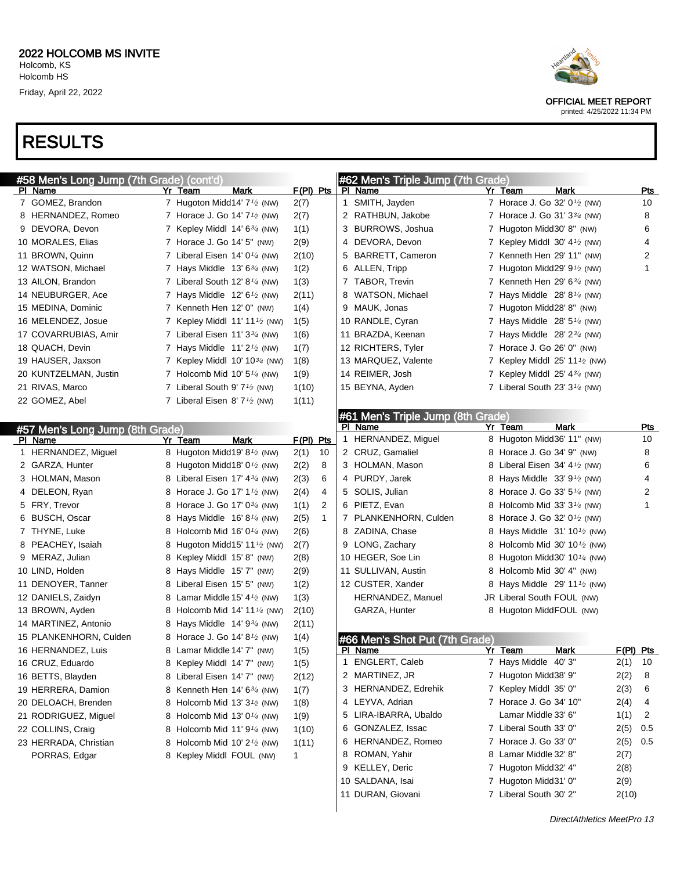#### RESULTS

| #58 Men's Long Jump (7th Grade) (cont'd) |                                                       |                        | #62 Men's Triple Jump (7th Grade) |   |                                                       |             |
|------------------------------------------|-------------------------------------------------------|------------------------|-----------------------------------|---|-------------------------------------------------------|-------------|
| PI Name                                  | Yr Team<br>Mark                                       | $F(PI)$ Pts            | PI Name                           |   | Yr Team<br>Mark                                       | Pts         |
| 7 GOMEZ, Brandon                         | 7 Hugoton Midd14' 7 <sup>1/2</sup> (NW)               | 2(7)                   | 1 SMITH, Jayden                   |   | 7 Horace J. Go 32' 0 <sup>1</sup> / <sub>2</sub> (NW) | 10          |
| 8 HERNANDEZ, Romeo                       | 7 Horace J. Go 14' 7 <sup>1</sup> / <sub>2</sub> (NW) | 2(7)                   | 2 RATHBUN, Jakobe                 |   | 7 Horace J. Go 31' 3 <sup>3</sup> / <sub>4</sub> (NW) | 8           |
| 9 DEVORA, Devon                          | 7 Kepley Middl $14'6^{3/4}$ (NW)                      | 1(1)                   | 3 BURROWS, Joshua                 |   | 7 Hugoton Midd30' 8" (NW)                             | 6           |
| 10 MORALES, Elias                        | 7 Horace J. Go 14' 5" (NW)                            | 2(9)                   | 4 DEVORA, Devon                   | 7 | Kepley Middl $30' 4\frac{1}{2}$ (NW)                  | 4           |
| 11 BROWN, Quinn                          | 7 Liberal Eisen 14' 0 $\frac{1}{4}$ (NW)              | 2(10)                  | 5 BARRETT, Cameron                |   | 7 Kenneth Hen 29' 11" (NW)                            | 2           |
| 12 WATSON, Michael                       | 7 Hays Middle $13'6^{3/4}$ (NW)                       | 1(2)                   | 6 ALLEN, Tripp                    | 7 | Hugoton Midd29' $9\frac{1}{2}$ (NW)                   | 1           |
| 13 AILON, Brandon                        | 7 Liberal South 12' 8 $\frac{1}{4}$ (NW)              | 1(3)                   | 7 TABOR, Trevin                   |   | Kenneth Hen 29' $6\frac{3}{4}$ (NW)                   |             |
| 14 NEUBURGER, Ace                        | 7 Hays Middle $12' 6'$ (NW)                           | 2(11)                  | 8 WATSON, Michael                 | 7 | Hays Middle $28' 8''/4$ (NW)                          |             |
| 15 MEDINA, Dominic                       | 7 Kenneth Hen 12' 0" (NW)                             | 1(4)                   | 9 MAUK, Jonas                     |   | 7 Hugoton Midd28' 8" (NW)                             |             |
| 16 MELENDEZ, Josue                       | 7 Kepley Middl $11'11'$ (NW)                          | 1(5)                   | 10 RANDLE, Cyran                  |   | 7 Hays Middle $28'5''$ (NW)                           |             |
| 17 COVARRUBIAS, Amir                     | 7 Liberal Eisen 11' $3\frac{3}{4}$ (NW)               | 1(6)                   | 11 BRAZDA, Keenan                 | 7 | Hays Middle $28' 2^{3/4}$ (NW)                        |             |
| 18 QUACH, Devin                          | 7 Hays Middle $11'2'$ (NW)                            | 1(7)                   | 12 RICHTERS, Tyler                |   | Horace J. Go $26'$ 0" (NW)                            |             |
| 19 HAUSER, Jaxson                        | 7 Kepley Middl 10' 10 $\frac{3}{4}$ (NW)              | 1(8)                   | 13 MARQUEZ, Valente               |   | Kepley Middl 25' 11 $\frac{1}{2}$ (NW)                |             |
| 20 KUNTZELMAN, Justin                    | 7 Holcomb Mid 10' $5\frac{1}{4}$ (NW)                 | 1(9)                   | 14 REIMER, Josh                   | 7 | Kepley Middl $25'$ 4 $\frac{3}{4}$ (NW)               |             |
| 21 RIVAS, Marco                          | 7 Liberal South 9' $7\frac{1}{2}$ (NW)                | 1(10)                  | 15 BEYNA, Ayden                   |   | 7 Liberal South 23' $3\frac{1}{4}$ (NW)               |             |
| 22 GOMEZ, Abel                           | 7 Liberal Eisen 8' $7\frac{1}{2}$ (NW)                | 1(11)                  |                                   |   |                                                       |             |
|                                          |                                                       |                        | #61 Men's Triple Jump (8th Grade) |   |                                                       |             |
| #57 Men's Long Jump (8th Grade)          |                                                       |                        | PI Name                           |   | <b>Mark</b><br>Yr Team                                | <u>Pts</u>  |
| PI Name                                  | Yr Team<br><b>Mark</b>                                | F(PI) Pts              | HERNANDEZ, Miguel<br>1            |   | 8 Hugoton Midd36' 11" (NW)                            | 10          |
| 1 HERNANDEZ, Miguel                      | 8 Hugoton Midd19' 8 <sup>1</sup> / <sub>2</sub> (NW)  | 2(1)<br>-10            | 2 CRUZ, Gamaliel                  | 8 | Horace J. Go 34' 9" (NW)                              | 8           |
| 2 GARZA, Hunter                          | 8 Hugoton Midd18' 0 <sup>1</sup> / <sub>2</sub> (NW)  | 2(2)<br>8              | 3 HOLMAN, Mason                   | 8 | Liberal Eisen 34' $4\frac{1}{2}$ (NW)                 | 6           |
| 3 HOLMAN, Mason                          | 8 Liberal Eisen 17' 4 <sup>3/4</sup> (NW)             | 6<br>2(3)              | 4 PURDY, Jarek                    | 8 | Hays Middle $33'9'$ (NW)                              | 4           |
| 4 DELEON, Ryan                           | 8 Horace J. Go 17' 1 <sup>1</sup> / <sub>2</sub> (NW) | 4<br>2(4)              | 5 SOLIS, Julian                   | 8 | Horace J. Go 33' $5\frac{1}{4}$ (NW)                  | 2           |
| 5 FRY, Trevor                            | 8 Horace J. Go 17' 0 <sup>3/4</sup> (NW)              | $\overline{2}$<br>1(1) | 6 PIETZ, Evan                     | 8 | Holcomb Mid 33' $3\frac{1}{4}$ (NW)                   | 1           |
| 6 BUSCH, Oscar                           | 8 Hays Middle $16' 8\frac{1}{4}$ (NW)                 | $\mathbf{1}$<br>2(5)   | 7 PLANKENHORN, Culden             | 8 | Horace J. Go 32' $0\frac{1}{2}$ (NW)                  |             |
| 7 THYNE, Luke                            | 8 Holcomb Mid 16' 0 $\frac{1}{4}$ (NW)                | 2(6)                   | 8 ZADINA, Chase                   | 8 | Hays Middle $31' 10\frac{1}{2}$ (NW)                  |             |
| 8 PEACHEY, Isaiah                        | 8 Hugoton Midd15' 11 $\frac{1}{2}$ (NW)               | 2(7)                   | 9 LONG, Zachary                   | 8 | Holcomb Mid 30' $10\frac{1}{2}$ (NW)                  |             |
| 9 MERAZ, Julian                          | 8 Kepley Middl 15' 8" (NW)                            | 2(8)                   | 10 HEGER, Soe Lin                 | 8 | Hugoton Midd 30' 10 $\frac{1}{4}$ (NW)                |             |
| 10 LIND, Holden                          | 8 Hays Middle 15' 7" (NW)                             | 2(9)                   | 11 SULLIVAN, Austin               | 8 | Holcomb Mid 30' 4" (NW)                               |             |
| 11 DENOYER, Tanner                       | 8 Liberal Eisen 15' 5" (NW)                           | 1(2)                   | 12 CUSTER, Xander                 | 8 | Hays Middle 29' 11 $\frac{1}{2}$ (NW)                 |             |
| 12 DANIELS, Zaidyn                       | 8 Lamar Middle 15' $4\frac{1}{2}$ (NW)                | 1(3)                   | HERNANDEZ, Manuel                 |   | JR Liberal South FOUL (NW)                            |             |
| 13 BROWN, Ayden                          | 8 Holcomb Mid 14' 11 $\frac{1}{4}$ (NW)               | 2(10)                  | GARZA, Hunter                     |   | 8 Hugoton MiddFOUL (NW)                               |             |
| 14 MARTINEZ, Antonio                     | 8 Hays Middle $14'9^{3/4}$ (NW)                       | 2(11)                  |                                   |   |                                                       |             |
| 15 PLANKENHORN, Culden                   | 8 Horace J. Go 14' 8 <sup>1</sup> / <sub>2</sub> (NW) | 1(4)                   | #66 Men's Shot Put (7th Grade)    |   |                                                       |             |
| 16 HERNANDEZ, Luis                       | 8 Lamar Middle 14' 7" (NW)                            | 1(5)                   | PI Name                           |   | <b>Mark</b><br>Yr Team                                | F(PI) Pts   |
| 16 CRUZ, Eduardo                         | 8 Kepley Middl 14' 7" (NW)                            | 1(5)                   | ENGLERT, Caleb<br>1               |   | 7 Hays Middle 40' 3"                                  | $2(1)$ 10   |
| 16 BETTS, Blayden                        | 8 Liberal Eisen 14' 7" (NW)                           | 2(12)                  | 2 MARTINEZ, JR                    |   | 7 Hugoton Midd38' 9"                                  | 2(2)<br>8   |
| 19 HERRERA, Damion                       | 8 Kenneth Hen 14' $6\frac{3}{4}$ (NW)                 | 1(7)                   | 3 HERNANDEZ, Edrehik              |   | 7 Kepley Middl 35' 0"                                 | 2(3)<br>6   |
| 20 DELOACH, Brenden                      | 8 Holcomb Mid 13' $3\frac{1}{2}$ (NW)                 | 1(8)                   | 4 LEYVA, Adrian                   |   | 7 Horace J. Go 34' 10"                                | 2(4)<br>4   |
| 21 RODRIGUEZ, Miguel                     | 8 Holcomb Mid 13' $0\frac{1}{4}$ (NW)                 | 1(9)                   | 5 LIRA-IBARRA, Ubaldo             |   | Lamar Middle 33' 6"                                   | 1(1)<br>2   |
| 22 COLLINS, Craig                        | 8 Holcomb Mid 11' $9\frac{1}{4}$ (NW)                 | 1(10)                  | 6 GONZALEZ, Issac                 |   | 7 Liberal South 33' 0"                                | 2(5)<br>0.5 |
| 23 HERRADA, Christian                    | 8 Holcomb Mid 10' $2\frac{1}{2}$ (NW)                 | 1(11)                  | 6 HERNANDEZ, Romeo                |   | 7 Horace J. Go 33' 0"                                 | 0.5<br>2(5) |
| PORRAS, Edgar                            | 8 Kepley Middl FOUL (NW)                              | $\mathbf{1}$           | 8 ROMAN, Yahir                    |   | 8 Lamar Middle 32' 8"                                 | 2(7)        |
|                                          |                                                       |                        | 9 KELLEY, Deric                   |   | 7 Hugoton Midd32' 4"                                  | 2(8)        |
|                                          |                                                       |                        | 10 SALDANA, Isai                  |   | 7 Hugoton Midd31' 0"                                  | 2(9)        |
|                                          |                                                       |                        | 11 DURAN, Giovani                 |   | 7 Liberal South 30' 2"                                | 2(10)       |



OFFICIAL MEET REPORT printed: 4/25/2022 11:34 PM

DirectAthletics MeetPro 13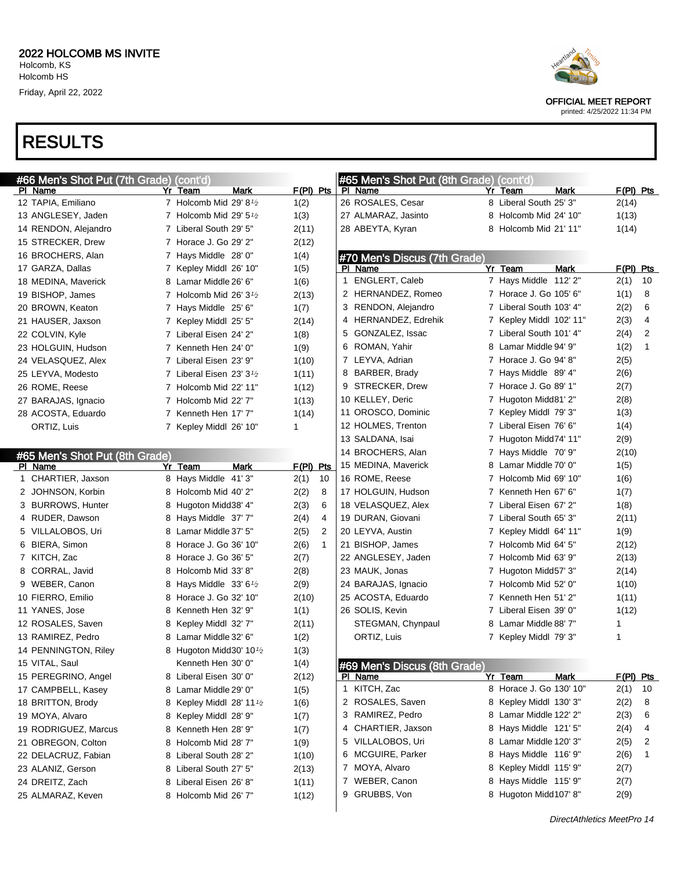

DirectAthletics MeetPro 14



OFFICIAL MEET REPORT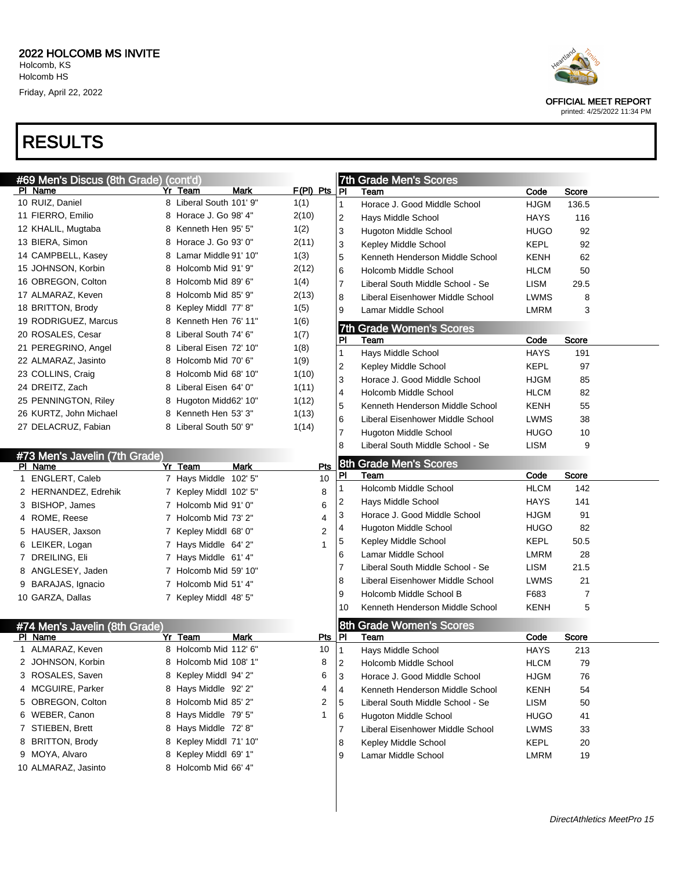

|                                | #69 Men's Discus (8th Grade) (cont'd) |                | <b>7th Grade Men's Scores</b>                      |             |       |
|--------------------------------|---------------------------------------|----------------|----------------------------------------------------|-------------|-------|
| PI Name                        | Yr Team<br>Mark                       | $F(PI)$ Pts    | ]PI<br>Team                                        | Code        | Score |
| 10 RUIZ, Daniel                | 8 Liberal South 101' 9"               | 1(1)           | Horace J. Good Middle School<br>$\mathbf{1}$       | <b>HJGM</b> | 136.5 |
| 11 FIERRO, Emilio              | 8 Horace J. Go 98' 4"                 | 2(10)          | 2<br>Hays Middle School                            | HAYS        | 116   |
| 12 KHALIL, Mugtaba             | 8 Kenneth Hen 95' 5"                  | 1(2)           | 3<br><b>Hugoton Middle School</b>                  | <b>HUGO</b> | 92    |
| 13 BIERA, Simon                | 8 Horace J. Go 93' 0"                 | 2(11)          | 3<br>Kepley Middle School                          | KEPL        | 92    |
| 14 CAMPBELL, Kasey             | 8 Lamar Middle 91' 10"                | 1(3)           | 5<br>Kenneth Henderson Middle School               | <b>KENH</b> | 62    |
| 15 JOHNSON, Korbin             | 8 Holcomb Mid 91' 9"                  | 2(12)          | 6<br>Holcomb Middle School                         | <b>HLCM</b> | 50    |
| 16 OBREGON, Colton             | 8 Holcomb Mid 89' 6"                  | 1(4)           | $\overline{7}$<br>Liberal South Middle School - Se | LISM        | 29.5  |
| 17 ALMARAZ, Keven              | 8 Holcomb Mid 85' 9"                  | 2(13)          | 8<br>Liberal Eisenhower Middle School              | <b>LWMS</b> | 8     |
| 18 BRITTON, Brody              | 8 Kepley Middl 77' 8"                 | 1(5)           | 9<br>Lamar Middle School                           | <b>LMRM</b> | 3     |
| 19 RODRIGUEZ, Marcus           | 8 Kenneth Hen 76' 11"                 | 1(6)           | <b>Grade Women's Scores</b><br>7th                 |             |       |
| 20 ROSALES, Cesar              | 8 Liberal South 74' 6"                | 1(7)           | PI<br>Team                                         | Code        | Score |
| 21 PEREGRINO, Angel            | 8 Liberal Eisen 72' 10"               | 1(8)           | Hays Middle School<br>1                            | <b>HAYS</b> | 191   |
| 22 ALMARAZ, Jasinto            | 8 Holcomb Mid 70' 6"                  | 1(9)           | 2<br>Kepley Middle School                          | KEPL        | 97    |
| 23 COLLINS, Craig              | 8 Holcomb Mid 68' 10"                 | 1(10)          | 3<br>Horace J. Good Middle School                  | <b>HJGM</b> | 85    |
| 24 DREITZ, Zach                | 8 Liberal Eisen 64' 0"                | 1(11)          | Holcomb Middle School<br>4                         | <b>HLCM</b> | 82    |
| 25 PENNINGTON, Riley           | 8 Hugoton Midd62' 10"                 | 1(12)          | 5<br>Kenneth Henderson Middle School               | KENH        | 55    |
| 26 KURTZ, John Michael         | 8 Kenneth Hen 53' 3"                  | 1(13)          | Liberal Eisenhower Middle School<br>6              | <b>LWMS</b> | 38    |
| 27 DELACRUZ, Fabian            | 8 Liberal South 50' 9"                | 1(14)          | 7<br><b>Hugoton Middle School</b>                  | <b>HUGO</b> | 10    |
|                                |                                       |                | Liberal South Middle School - Se<br>8              | LISM        | 9     |
| #73 Men's Javelin (7th Grade)  |                                       |                |                                                    |             |       |
| PI Name                        | <b>Mark</b><br>Yr Team                | Pts            | 8th<br><b>Grade Men's Scores</b>                   |             |       |
| 1 ENGLERT, Caleb               | 7 Hays Middle 102' 5"                 | 10             | PI<br>Team                                         | Code        | Score |
| 2 HERNANDEZ, Edrehik           | 7 Kepley Middl 102' 5"                | 8              | Holcomb Middle School<br>1                         | <b>HLCM</b> | 142   |
| 3 BISHOP, James                | 7 Holcomb Mid 91' 0"                  | 6              | Hays Middle School<br>2                            | HAYS        | 141   |
| 4 ROME, Reese                  | 7 Holcomb Mid 73' 2"                  | 4              | 3<br>Horace J. Good Middle School                  | <b>HJGM</b> | 91    |
| 5 HAUSER, Jaxson               | 7 Kepley Middl 68' 0"                 | $\overline{2}$ | Hugoton Middle School<br>4                         | <b>HUGO</b> | 82    |
| 6 LEIKER, Logan                | 7 Hays Middle 64' 2"                  |                | Kepley Middle School<br>5                          | KEPL        | 50.5  |
| 7 DREILING, Eli                | 7 Hays Middle 61' 4"                  |                | Lamar Middle School<br>6                           | LMRM        | 28    |
| 8 ANGLESEY, Jaden              | 7 Holcomb Mid 59' 10"                 |                | 7<br>Liberal South Middle School - Se              | LISM        | 21.5  |
| 9 BARAJAS, Ignacio             | 7 Holcomb Mid 51' 4"                  |                | 8<br>Liberal Eisenhower Middle School              | <b>LWMS</b> | 21    |
| 10 GARZA, Dallas               | 7 Kepley Middl 48' 5"                 |                | 9<br>Holcomb Middle School B                       | F683        | 7     |
|                                |                                       |                | Kenneth Henderson Middle School<br>10              | <b>KENH</b> | 5     |
| #74 Men's Javelin (8th Grade)  |                                       |                | <b>Grade Women's Scores</b><br>8th                 |             |       |
| PI Name                        | Yr Team<br>Mark                       | Pts            | IPI<br>Team                                        | Code        | Score |
| ALMARAZ, Keven<br>$\mathbf{1}$ | 8 Holcomb Mid 112' 6"                 | 10             | 1<br>Hays Middle School                            | <b>HAYS</b> | 213   |
| 2 JOHNSON, Korbin              | 8 Holcomb Mid 108' 1"                 | 8              | Holcomb Middle School<br> 2                        | <b>HLCM</b> | 79    |
| 3 ROSALES, Saven               | 8 Kepley Middl 94' 2"                 | 6              | Horace J. Good Middle School<br>3                  | <b>HJGM</b> | 76    |
| 4 MCGUIRE, Parker              | 8 Hays Middle 92' 2"                  | 4              | 4<br>Kenneth Henderson Middle School               | <b>KENH</b> | 54    |
| 5 OBREGON, Colton              | 8 Holcomb Mid 85' 2"                  | 2              | 5<br>Liberal South Middle School - Se              | <b>LISM</b> | 50    |
| 6 WEBER, Canon                 | 8 Hays Middle 79' 5"                  | 1              | 6<br>Hugoton Middle School                         | <b>HUGO</b> | 41    |
|                                | 8 Hays Middle 72' 8"                  |                | Liberal Eisenhower Middle School<br>7              | <b>LWMS</b> | 33    |
| 7 STIEBEN, Brett               |                                       |                |                                                    |             |       |
| 8 BRITTON, Brody               | 8 Kepley Middl 71' 10"                |                | Kepley Middle School<br>8                          | <b>KEPL</b> | 20    |
| 9 MOYA, Alvaro                 | 8 Kepley Middl 69' 1"                 |                | Lamar Middle School<br>9                           | <b>LMRM</b> | 19    |



OFFICIAL MEET REPORT printed: 4/25/2022 11:34 PM